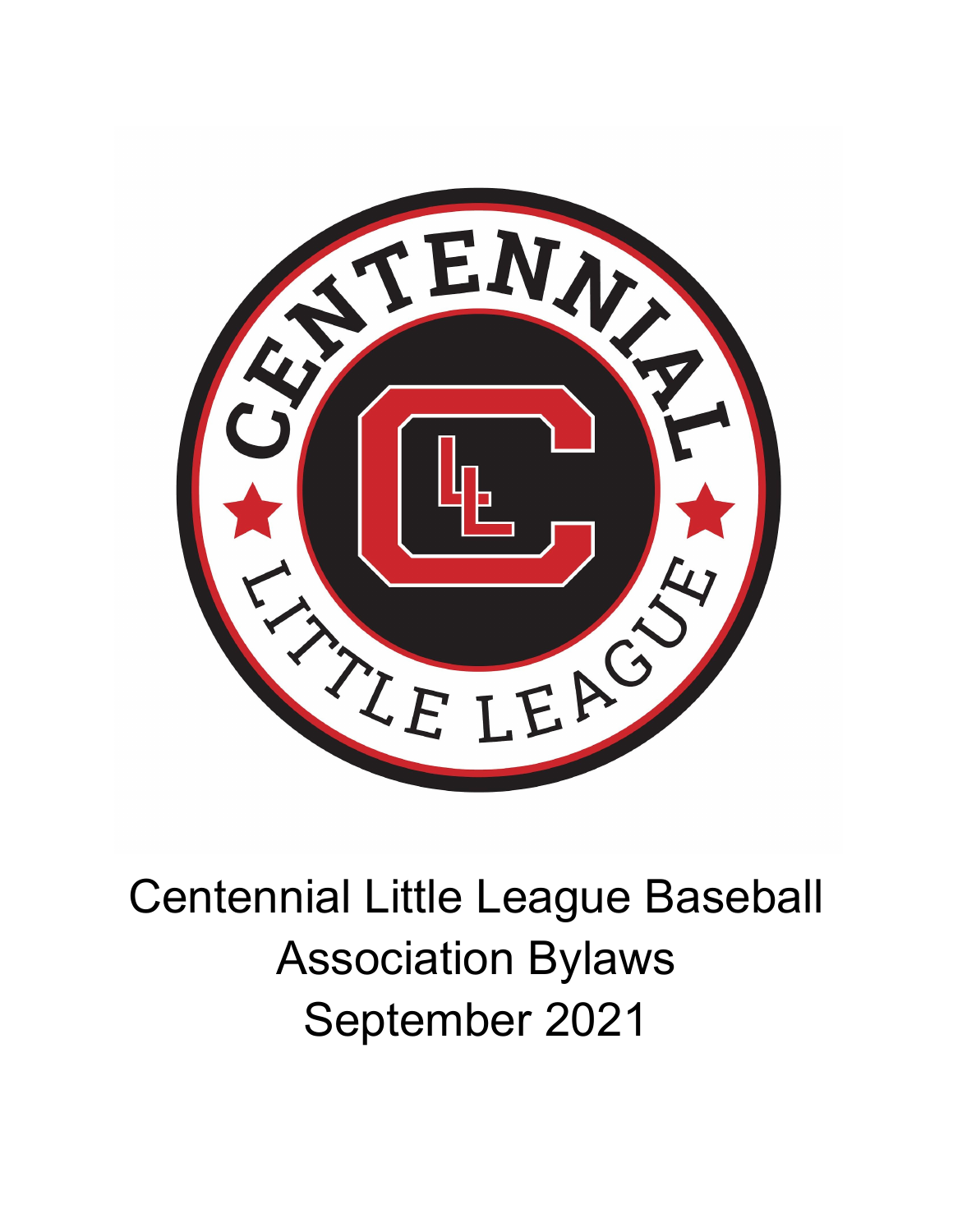

# Centennial Little League Baseball Association Bylaws September 2021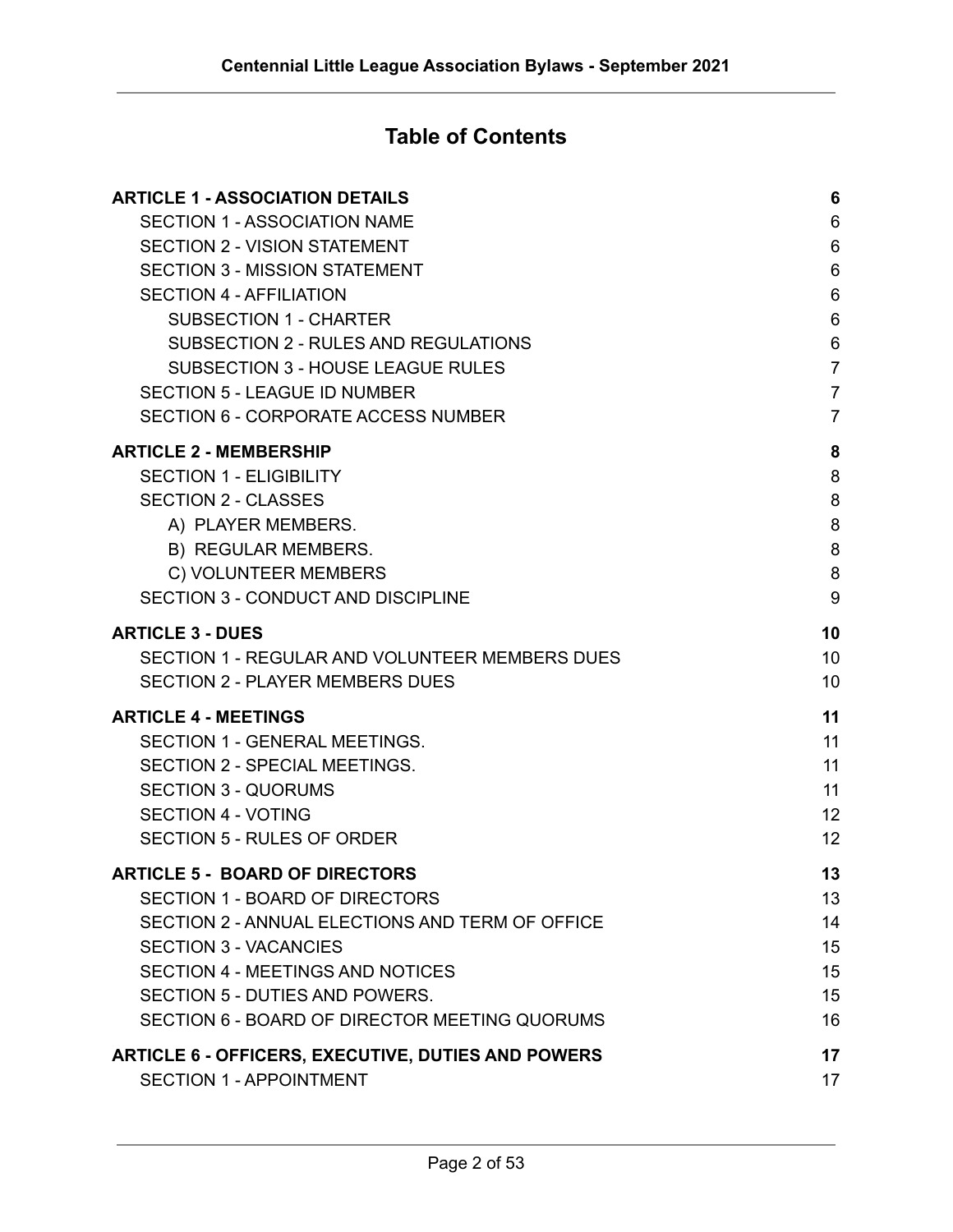#### **Table of Contents**

| <b>ARTICLE 1 - ASSOCIATION DETAILS</b>                    | 6              |
|-----------------------------------------------------------|----------------|
| <b>SECTION 1 - ASSOCIATION NAME</b>                       | $6\phantom{1}$ |
| <b>SECTION 2 - VISION STATEMENT</b>                       | 6              |
| <b>SECTION 3 - MISSION STATEMENT</b>                      | $6\phantom{1}$ |
| <b>SECTION 4 - AFFILIATION</b>                            | $6\phantom{1}$ |
| <b>SUBSECTION 1 - CHARTER</b>                             | $6\phantom{1}$ |
| SUBSECTION 2 - RULES AND REGULATIONS                      | $\,6\,$        |
| <b>SUBSECTION 3 - HOUSE LEAGUE RULES</b>                  | $\overline{7}$ |
| <b>SECTION 5 - LEAGUE ID NUMBER</b>                       | $\overline{7}$ |
| <b>SECTION 6 - CORPORATE ACCESS NUMBER</b>                | $\overline{7}$ |
| <b>ARTICLE 2 - MEMBERSHIP</b>                             | 8              |
| <b>SECTION 1 - ELIGIBILITY</b>                            | 8              |
| <b>SECTION 2 - CLASSES</b>                                | 8              |
| A) PLAYER MEMBERS.                                        | 8              |
| B) REGULAR MEMBERS.                                       | 8              |
| C) VOLUNTEER MEMBERS                                      | 8              |
| SECTION 3 - CONDUCT AND DISCIPLINE                        | 9              |
| <b>ARTICLE 3 - DUES</b>                                   | 10             |
| SECTION 1 - REGULAR AND VOLUNTEER MEMBERS DUES            | 10             |
| <b>SECTION 2 - PLAYER MEMBERS DUES</b>                    | 10             |
| <b>ARTICLE 4 - MEETINGS</b>                               | 11             |
| <b>SECTION 1 - GENERAL MEETINGS.</b>                      | 11             |
| SECTION 2 - SPECIAL MEETINGS.                             | 11             |
| <b>SECTION 3 - QUORUMS</b>                                | 11             |
| <b>SECTION 4 - VOTING</b>                                 | 12             |
| <b>SECTION 5 - RULES OF ORDER</b>                         | 12             |
| <b>ARTICLE 5 - BOARD OF DIRECTORS</b>                     | 13             |
| <b>SECTION 1 - BOARD OF DIRECTORS</b>                     | 13             |
| SECTION 2 - ANNUAL ELECTIONS AND TERM OF OFFICE           | 14             |
| <b>SECTION 3 - VACANCIES</b>                              | 15             |
| SECTION 4 - MEETINGS AND NOTICES                          | 15             |
| SECTION 5 - DUTIES AND POWERS.                            | 15             |
| SECTION 6 - BOARD OF DIRECTOR MEETING QUORUMS             | 16             |
| <b>ARTICLE 6 - OFFICERS, EXECUTIVE, DUTIES AND POWERS</b> | 17             |
| <b>SECTION 1 - APPOINTMENT</b>                            | 17             |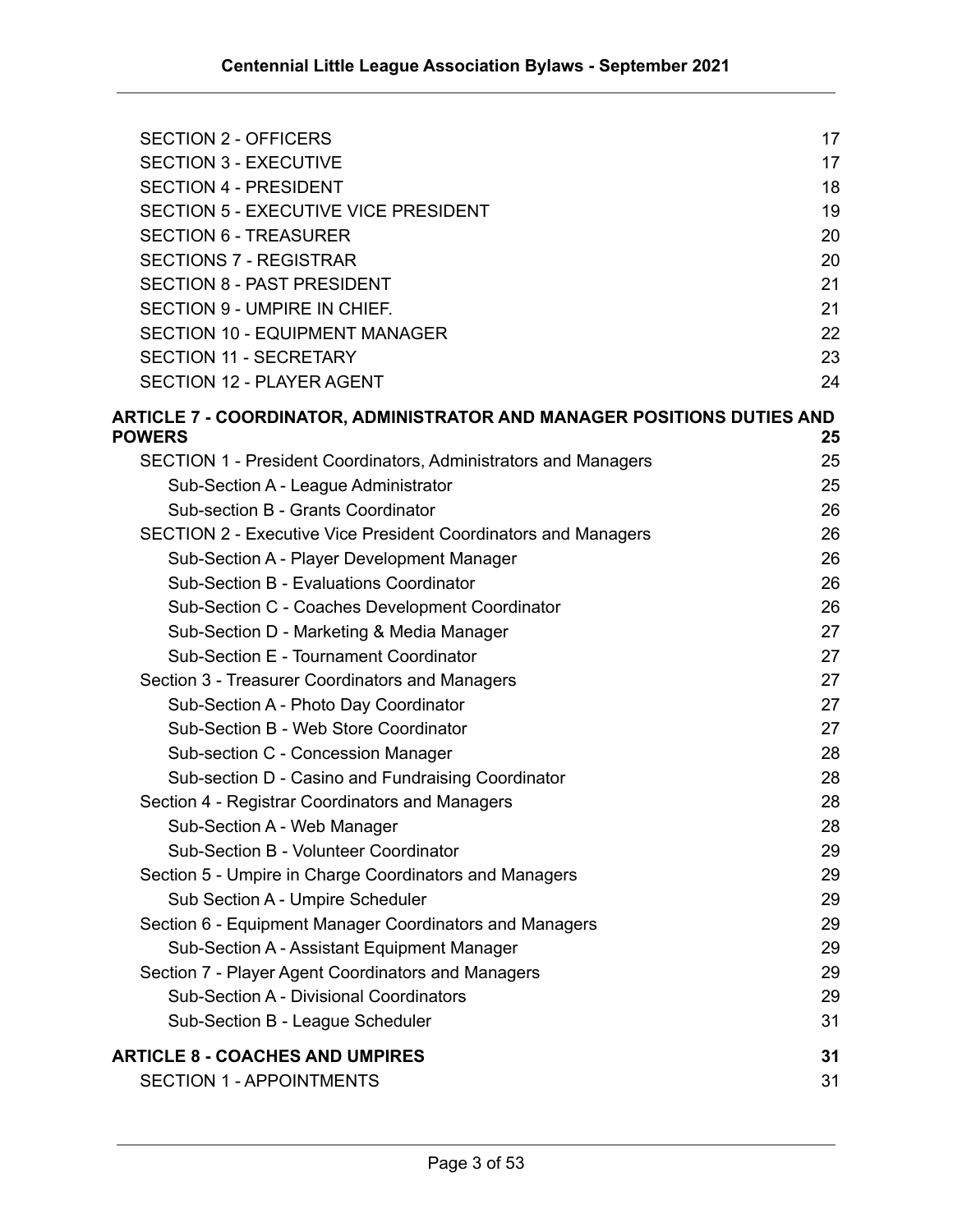| <b>SECTION 2 - OFFICERS</b>                                                                     | 17 |
|-------------------------------------------------------------------------------------------------|----|
| <b>SECTION 3 - EXECUTIVE</b>                                                                    | 17 |
| <b>SECTION 4 - PRESIDENT</b>                                                                    | 18 |
| <b>SECTION 5 - EXECUTIVE VICE PRESIDENT</b>                                                     | 19 |
| <b>SECTION 6 - TREASURER</b>                                                                    | 20 |
| <b>SECTIONS 7 - REGISTRAR</b>                                                                   | 20 |
| <b>SECTION 8 - PAST PRESIDENT</b>                                                               | 21 |
| <b>SECTION 9 - UMPIRE IN CHIEF.</b>                                                             | 21 |
| <b>SECTION 10 - EQUIPMENT MANAGER</b>                                                           | 22 |
| <b>SECTION 11 - SECRETARY</b>                                                                   | 23 |
| <b>SECTION 12 - PLAYER AGENT</b>                                                                | 24 |
| <b>ARTICLE 7 - COORDINATOR, ADMINISTRATOR AND MANAGER POSITIONS DUTIES AND</b><br><b>POWERS</b> | 25 |
| SECTION 1 - President Coordinators, Administrators and Managers                                 | 25 |
| Sub-Section A - League Administrator                                                            | 25 |
| Sub-section B - Grants Coordinator                                                              | 26 |
| <b>SECTION 2 - Executive Vice President Coordinators and Managers</b>                           | 26 |
| Sub-Section A - Player Development Manager                                                      | 26 |
| Sub-Section B - Evaluations Coordinator                                                         | 26 |
| Sub-Section C - Coaches Development Coordinator                                                 | 26 |
| Sub-Section D - Marketing & Media Manager                                                       | 27 |
| Sub-Section E - Tournament Coordinator                                                          | 27 |
| Section 3 - Treasurer Coordinators and Managers                                                 | 27 |
| Sub-Section A - Photo Day Coordinator                                                           | 27 |
| Sub-Section B - Web Store Coordinator                                                           | 27 |
| Sub-section C - Concession Manager                                                              | 28 |
| Sub-section D - Casino and Fundraising Coordinator                                              | 28 |
| Section 4 - Registrar Coordinators and Managers                                                 | 28 |
| Sub-Section A - Web Manager                                                                     | 28 |
| Sub-Section B - Volunteer Coordinator                                                           | 29 |
| Section 5 - Umpire in Charge Coordinators and Managers                                          | 29 |
| Sub Section A - Umpire Scheduler                                                                | 29 |
| Section 6 - Equipment Manager Coordinators and Managers                                         | 29 |
| Sub-Section A - Assistant Equipment Manager                                                     | 29 |
| Section 7 - Player Agent Coordinators and Managers                                              | 29 |
| Sub-Section A - Divisional Coordinators                                                         | 29 |
| Sub-Section B - League Scheduler                                                                | 31 |
| <b>ARTICLE 8 - COACHES AND UMPIRES</b>                                                          | 31 |
| <b>SECTION 1 - APPOINTMENTS</b>                                                                 | 31 |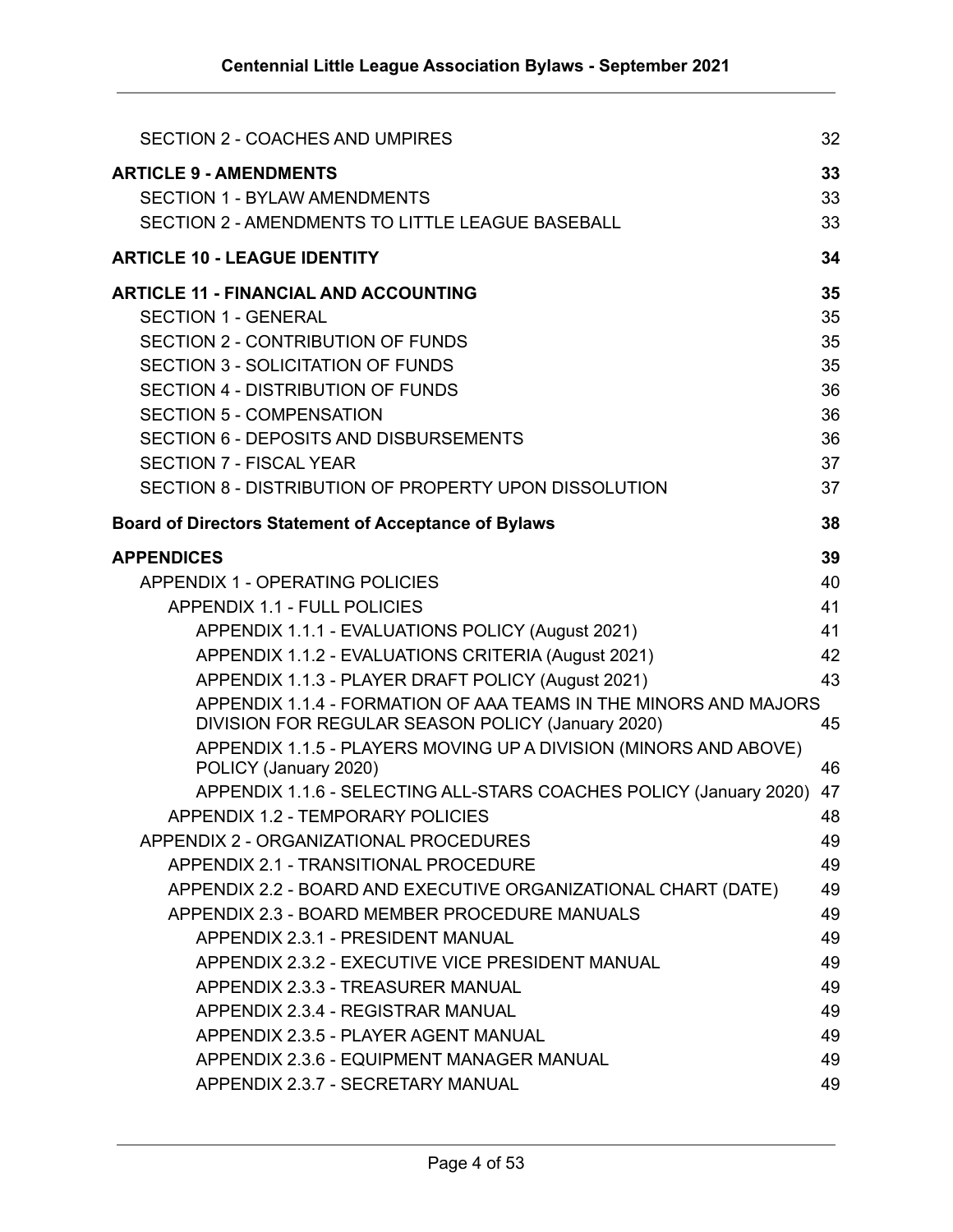| <b>SECTION 2 - COACHES AND UMPIRES</b>                                                                                | 32 |
|-----------------------------------------------------------------------------------------------------------------------|----|
| <b>ARTICLE 9 - AMENDMENTS</b>                                                                                         | 33 |
| <b>SECTION 1 - BYLAW AMENDMENTS</b>                                                                                   | 33 |
| SECTION 2 - AMENDMENTS TO LITTLE LEAGUE BASEBALL                                                                      | 33 |
| <b>ARTICLE 10 - LEAGUE IDENTITY</b>                                                                                   | 34 |
| <b>ARTICLE 11 - FINANCIAL AND ACCOUNTING</b>                                                                          | 35 |
| <b>SECTION 1 - GENERAL</b>                                                                                            | 35 |
| <b>SECTION 2 - CONTRIBUTION OF FUNDS</b>                                                                              | 35 |
| <b>SECTION 3 - SOLICITATION OF FUNDS</b>                                                                              | 35 |
| <b>SECTION 4 - DISTRIBUTION OF FUNDS</b>                                                                              | 36 |
| <b>SECTION 5 - COMPENSATION</b>                                                                                       | 36 |
| <b>SECTION 6 - DEPOSITS AND DISBURSEMENTS</b>                                                                         | 36 |
| <b>SECTION 7 - FISCAL YEAR</b>                                                                                        | 37 |
| SECTION 8 - DISTRIBUTION OF PROPERTY UPON DISSOLUTION                                                                 | 37 |
| <b>Board of Directors Statement of Acceptance of Bylaws</b>                                                           | 38 |
| <b>APPENDICES</b>                                                                                                     | 39 |
| <b>APPENDIX 1 - OPERATING POLICIES</b>                                                                                | 40 |
| <b>APPENDIX 1.1 - FULL POLICIES</b>                                                                                   | 41 |
| APPENDIX 1.1.1 - EVALUATIONS POLICY (August 2021)                                                                     | 41 |
| APPENDIX 1.1.2 - EVALUATIONS CRITERIA (August 2021)                                                                   | 42 |
| APPENDIX 1.1.3 - PLAYER DRAFT POLICY (August 2021)                                                                    | 43 |
| APPENDIX 1.1.4 - FORMATION OF AAA TEAMS IN THE MINORS AND MAJORS<br>DIVISION FOR REGULAR SEASON POLICY (January 2020) | 45 |
| APPENDIX 1.1.5 - PLAYERS MOVING UP A DIVISION (MINORS AND ABOVE)                                                      |    |
| POLICY (January 2020)                                                                                                 | 46 |
| APPENDIX 1.1.6 - SELECTING ALL-STARS COACHES POLICY (January 2020)                                                    | 47 |
| APPENDIX 1.2 - TEMPORARY POLICIES                                                                                     | 48 |
| APPENDIX 2 - ORGANIZATIONAL PROCEDURES                                                                                | 49 |
| APPENDIX 2.1 - TRANSITIONAL PROCEDURE                                                                                 | 49 |
| APPENDIX 2.2 - BOARD AND EXECUTIVE ORGANIZATIONAL CHART (DATE)                                                        | 49 |
| APPENDIX 2.3 - BOARD MEMBER PROCEDURE MANUALS                                                                         | 49 |
| APPENDIX 2.3.1 - PRESIDENT MANUAL                                                                                     | 49 |
| APPENDIX 2.3.2 - EXECUTIVE VICE PRESIDENT MANUAL                                                                      | 49 |
| APPENDIX 2.3.3 - TREASURER MANUAL                                                                                     | 49 |
| APPENDIX 2.3.4 - REGISTRAR MANUAL                                                                                     | 49 |
| APPENDIX 2.3.5 - PLAYER AGENT MANUAL                                                                                  | 49 |
| APPENDIX 2.3.6 - EQUIPMENT MANAGER MANUAL                                                                             | 49 |
| APPENDIX 2.3.7 - SECRETARY MANUAL                                                                                     | 49 |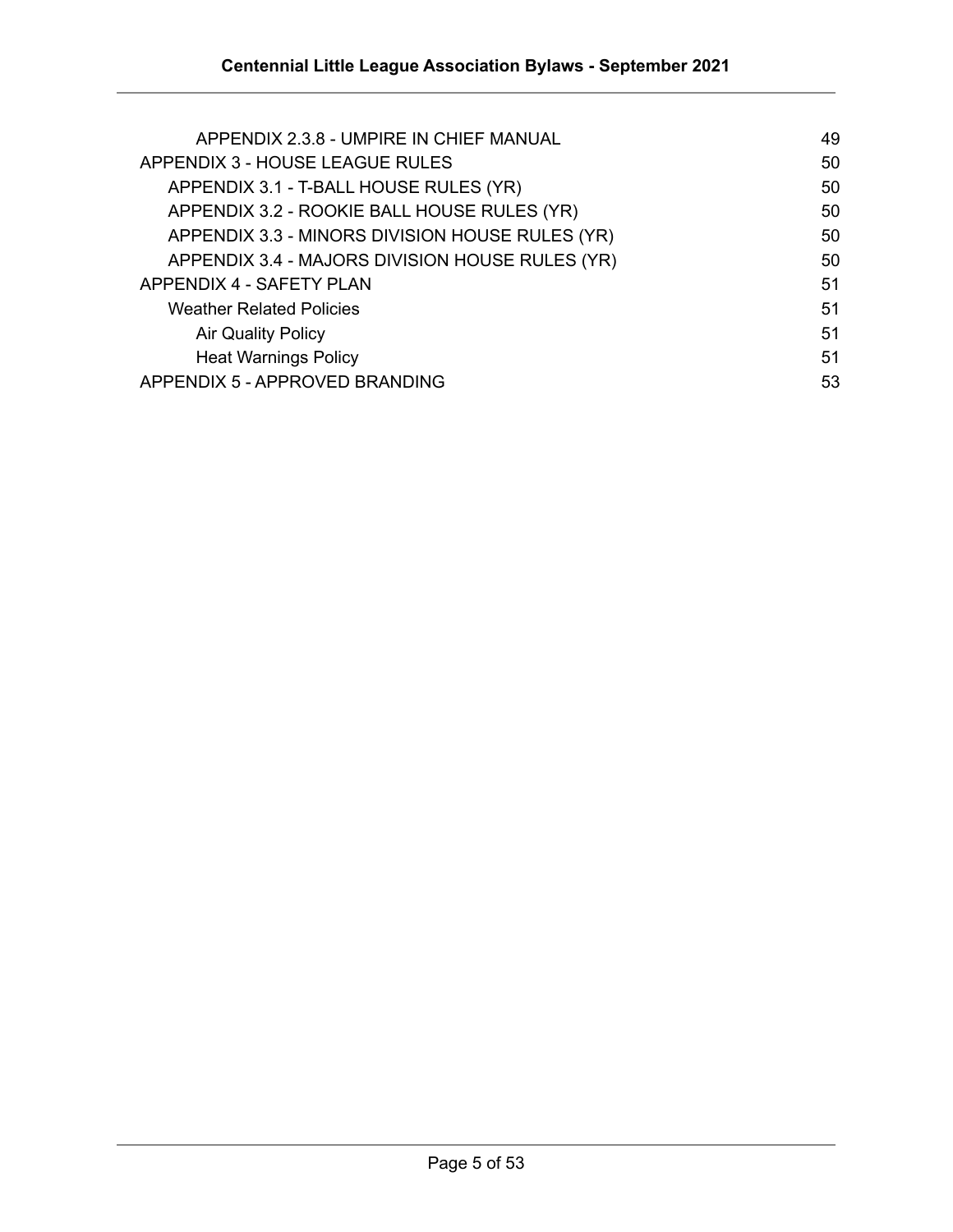| APPENDIX 2.3.8 - UMPIRE IN CHIEF MANUAL         | 49 |
|-------------------------------------------------|----|
| APPENDIX 3 - HOUSE LEAGUE RULES                 | 50 |
| APPENDIX 3.1 - T-BALL HOUSE RULES (YR)          | 50 |
| APPENDIX 3.2 - ROOKIE BALL HOUSE RULES (YR)     | 50 |
| APPENDIX 3.3 - MINORS DIVISION HOUSE RULES (YR) | 50 |
| APPENDIX 3.4 - MAJORS DIVISION HOUSE RULES (YR) | 50 |
| APPENDIX 4 - SAFETY PLAN                        | 51 |
| <b>Weather Related Policies</b>                 | 51 |
| <b>Air Quality Policy</b>                       | 51 |
| <b>Heat Warnings Policy</b>                     | 51 |
| APPENDIX 5 - APPROVED BRANDING                  | 53 |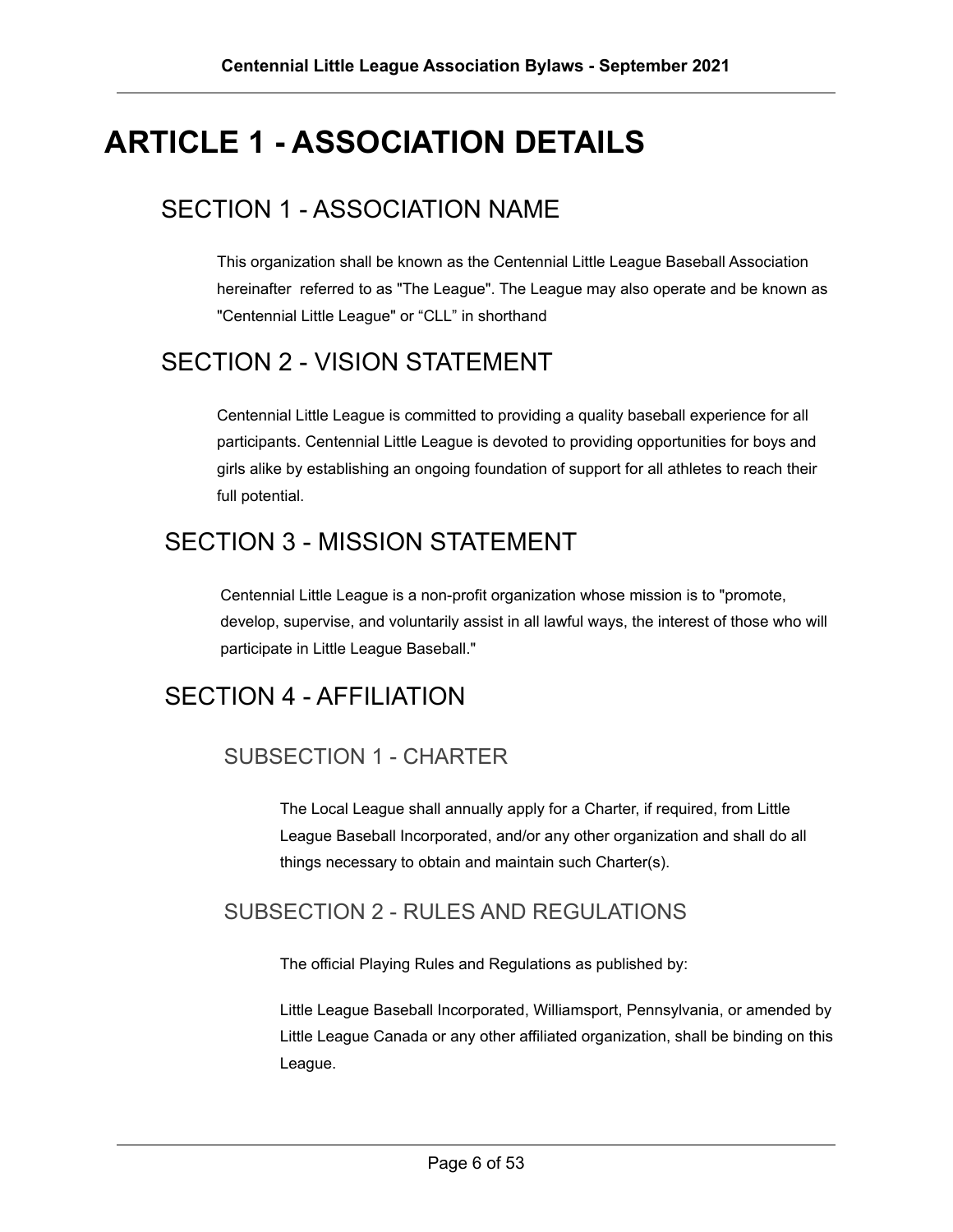# <span id="page-5-0"></span>**ARTICLE 1 - ASSOCIATION DETAILS**

### <span id="page-5-1"></span>SECTION 1 - ASSOCIATION NAME

This organization shall be known as the Centennial Little League Baseball Association hereinafter referred to as "The League". The League may also operate and be known as "Centennial Little League" or "CLL" in shorthand

# <span id="page-5-2"></span>SECTION 2 - VISION STATEMENT

Centennial Little League is committed to providing a quality baseball experience for all participants. Centennial Little League is devoted to providing opportunities for boys and girls alike by establishing an ongoing foundation of support for all athletes to reach their full potential.

# <span id="page-5-3"></span>SECTION 3 - MISSION STATEMENT

Centennial Little League is a non-profit organization whose mission is to "promote, develop, supervise, and voluntarily assist in all lawful ways, the interest of those who will participate in Little League Baseball."

# <span id="page-5-5"></span><span id="page-5-4"></span>SECTION 4 - AFFILIATION

#### SUBSECTION 1 - CHARTER

The Local League shall annually apply for a Charter, if required, from Little League Baseball Incorporated, and/or any other organization and shall do all things necessary to obtain and maintain such Charter(s).

#### <span id="page-5-6"></span>SUBSECTION 2 - RULES AND REGULATIONS

The official Playing Rules and Regulations as published by:

Little League Baseball Incorporated, Williamsport, Pennsylvania, or amended by Little League Canada or any other affiliated organization, shall be binding on this League.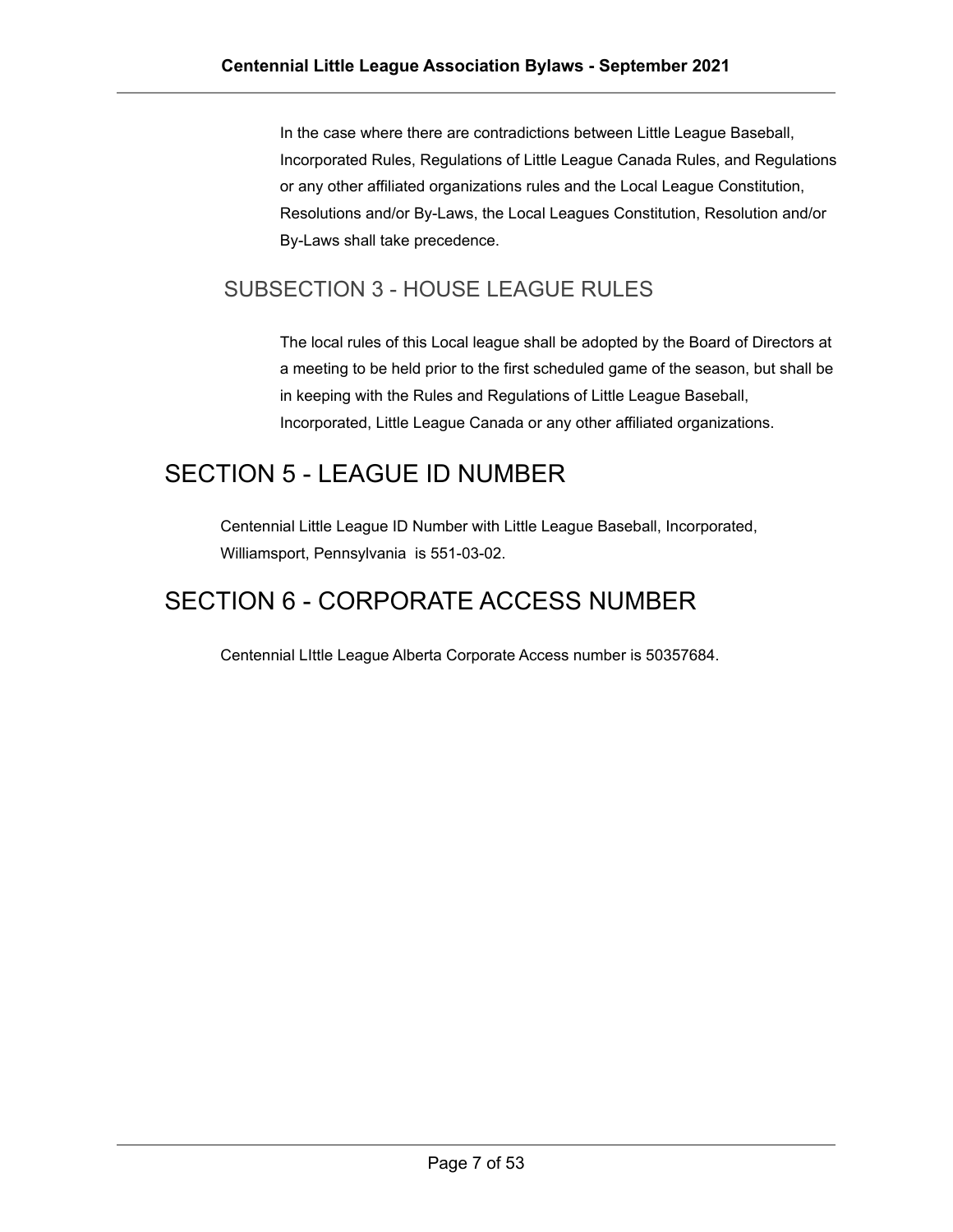In the case where there are contradictions between Little League Baseball, Incorporated Rules, Regulations of Little League Canada Rules, and Regulations or any other affiliated organizations rules and the Local League Constitution, Resolutions and/or By-Laws, the Local Leagues Constitution, Resolution and/or By-Laws shall take precedence.

#### <span id="page-6-0"></span>SUBSECTION 3 - HOUSE LEAGUE RULES

The local rules of this Local league shall be adopted by the Board of Directors at a meeting to be held prior to the first scheduled game of the season, but shall be in keeping with the Rules and Regulations of Little League Baseball, Incorporated, Little League Canada or any other affiliated organizations.

# <span id="page-6-1"></span>SECTION 5 - LEAGUE ID NUMBER

Centennial Little League ID Number with Little League Baseball, Incorporated, Williamsport, Pennsylvania is 551-03-02.

## <span id="page-6-2"></span>SECTION 6 - CORPORATE ACCESS NUMBER

Centennial LIttle League Alberta Corporate Access number is 50357684.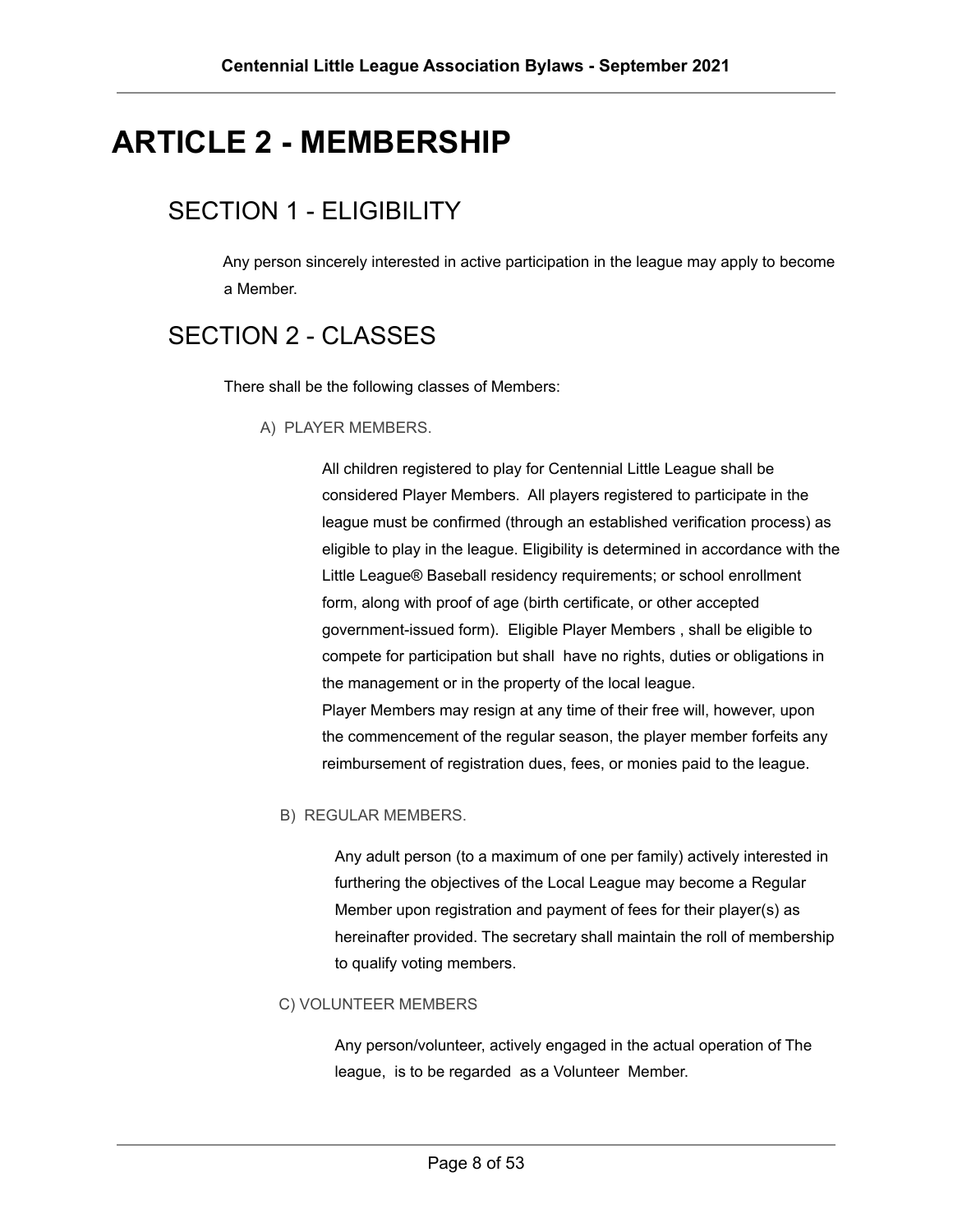# <span id="page-7-1"></span><span id="page-7-0"></span>**ARTICLE 2 - MEMBERSHIP**

# SECTION 1 - ELIGIBILITY

Any person sincerely interested in active participation in the league may apply to become a Member.

### <span id="page-7-3"></span><span id="page-7-2"></span>SECTION 2 - CLASSES

There shall be the following classes of Members:

A) PLAYER MEMBERS.

All children registered to play for Centennial Little League shall be considered Player Members. All players registered to participate in the league must be confirmed (through an established verification process) as eligible to play in the league. Eligibility is determined in accordance with the Little League® Baseball residency requirements; or school enrollment form, along with proof of age (birth certificate, or other accepted government-issued form). Eligible Player Members , shall be eligible to compete for participation but shall have no rights, duties or obligations in the management or in the property of the local league. Player Members may resign at any time of their free will, however, upon the commencement of the regular season, the player member forfeits any reimbursement of registration dues, fees, or monies paid to the league.

#### <span id="page-7-4"></span>B) REGULAR MEMBERS.

Any adult person (to a maximum of one per family) actively interested in furthering the objectives of the Local League may become a Regular Member upon registration and payment of fees for their player(s) as hereinafter provided. The secretary shall maintain the roll of membership to qualify voting members.

#### <span id="page-7-5"></span>C) VOLUNTEER MEMBERS

Any person/volunteer, actively engaged in the actual operation of The league, is to be regarded as a Volunteer Member.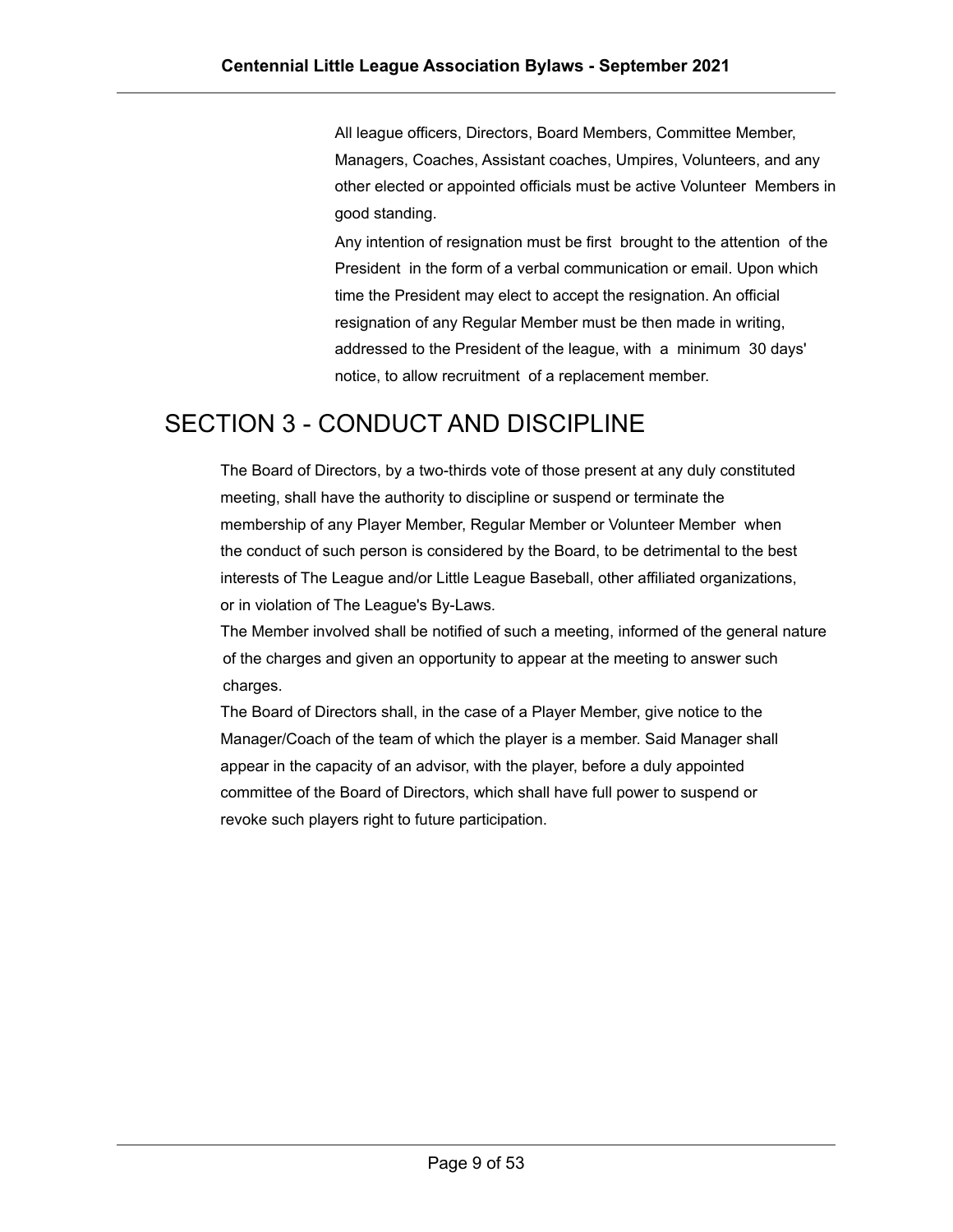All league officers, Directors, Board Members, Committee Member, Managers, Coaches, Assistant coaches, Umpires, Volunteers, and any other elected or appointed officials must be active Volunteer Members in good standing.

Any intention of resignation must be first brought to the attention of the President in the form of a verbal communication or email. Upon which time the President may elect to accept the resignation. An official resignation of any Regular Member must be then made in writing, addressed to the President of the league, with a minimum 30 days' notice, to allow recruitment of a replacement member.

#### <span id="page-8-0"></span>SECTION 3 - CONDUCT AND DISCIPLINE

The Board of Directors, by a two-thirds vote of those present at any duly constituted meeting, shall have the authority to discipline or suspend or terminate the membership of any Player Member, Regular Member or Volunteer Member when the conduct of such person is considered by the Board, to be detrimental to the best interests of The League and/or Little League Baseball, other affiliated organizations, or in violation of The League's By-Laws.

The Member involved shall be notified of such a meeting, informed of the general nature of the charges and given an opportunity to appear at the meeting to answer such charges.

The Board of Directors shall, in the case of a Player Member, give notice to the Manager/Coach of the team of which the player is a member. Said Manager shall appear in the capacity of an advisor, with the player, before a duly appointed committee of the Board of Directors, which shall have full power to suspend or revoke such players right to future participation.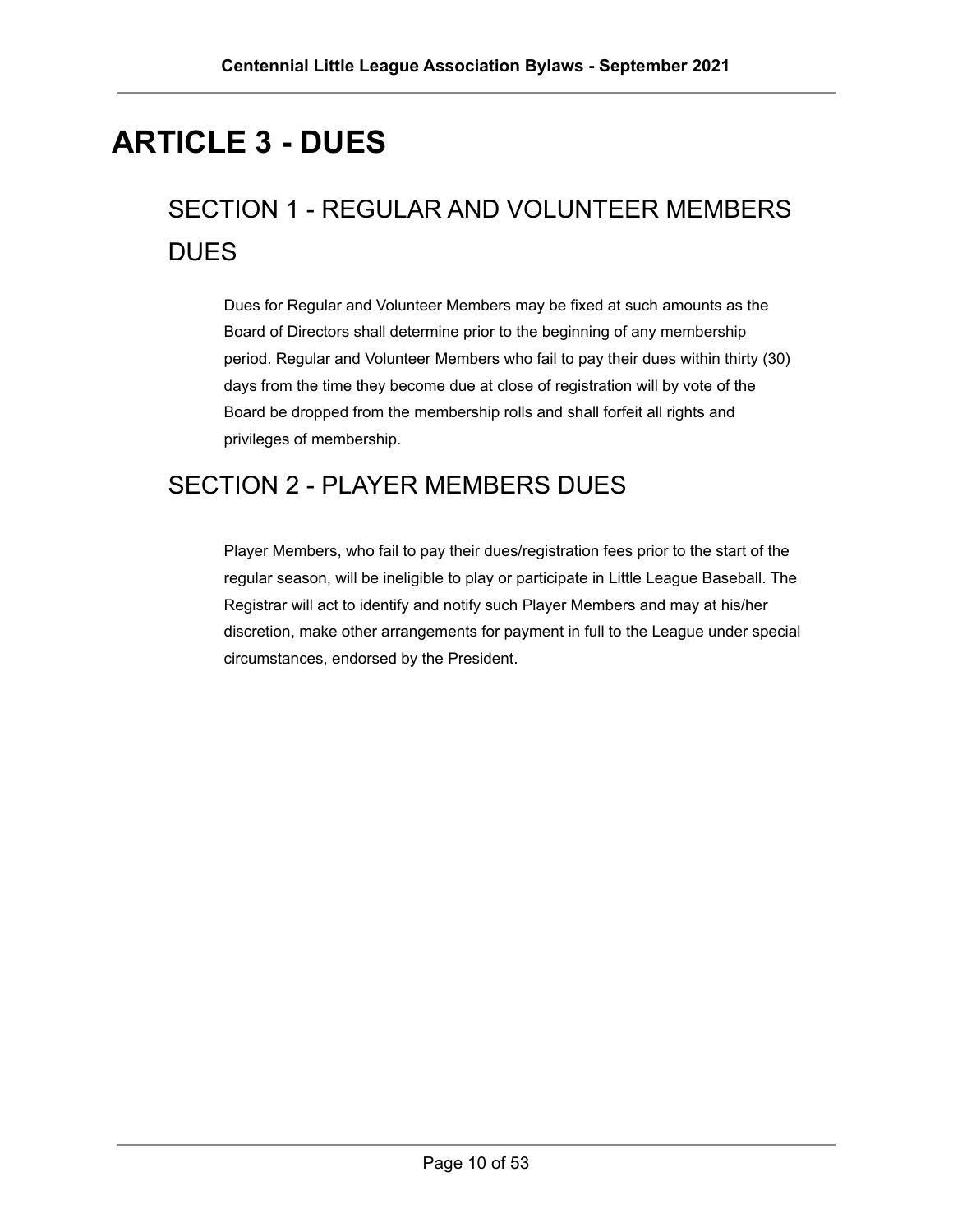# <span id="page-9-0"></span>**ARTICLE 3 - DUES**

# <span id="page-9-1"></span>SECTION 1 - REGULAR AND VOLUNTEER MEMBERS **DUES**

Dues for Regular and Volunteer Members may be fixed at such amounts as the Board of Directors shall determine prior to the beginning of any membership period. Regular and Volunteer Members who fail to pay their dues within thirty (30) days from the time they become due at close of registration will by vote of the Board be dropped from the membership rolls and shall forfeit all rights and privileges of membership.

# <span id="page-9-2"></span>SECTION 2 - PLAYER MEMBERS DUES

Player Members, who fail to pay their dues/registration fees prior to the start of the regular season, will be ineligible to play or participate in Little League Baseball. The Registrar will act to identify and notify such Player Members and may at his/her discretion, make other arrangements for payment in full to the League under special circumstances, endorsed by the President.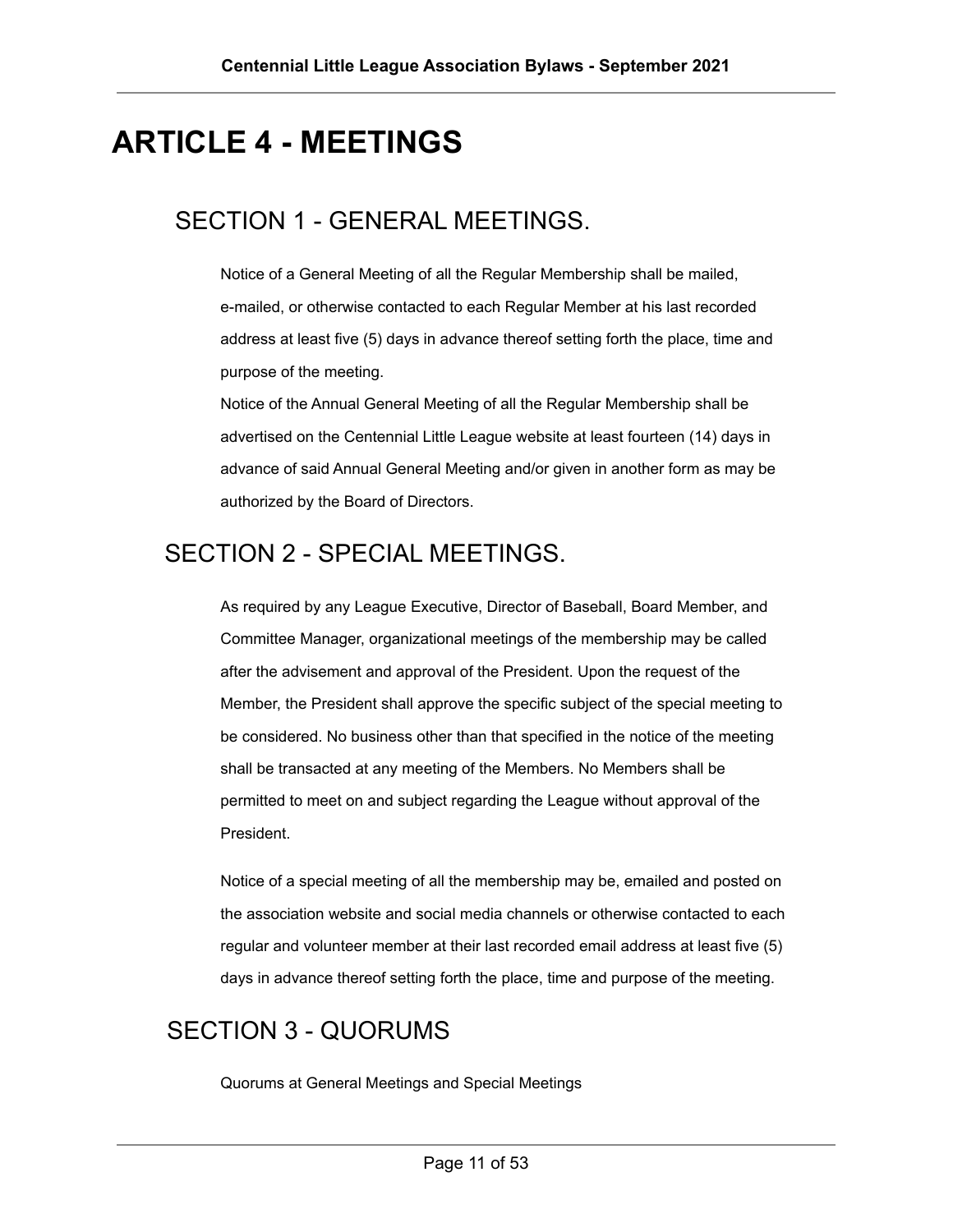# <span id="page-10-1"></span><span id="page-10-0"></span>**ARTICLE 4 - MEETINGS**

#### SECTION 1 - GENERAL MEETINGS.

Notice of a General Meeting of all the Regular Membership shall be mailed, e-mailed, or otherwise contacted to each Regular Member at his last recorded address at least five (5) days in advance thereof setting forth the place, time and purpose of the meeting.

Notice of the Annual General Meeting of all the Regular Membership shall be advertised on the Centennial Little League website at least fourteen (14) days in advance of said Annual General Meeting and/or given in another form as may be authorized by the Board of Directors.

#### <span id="page-10-2"></span>SECTION 2 - SPECIAL MEETINGS.

As required by any League Executive, Director of Baseball, Board Member, and Committee Manager, organizational meetings of the membership may be called after the advisement and approval of the President. Upon the request of the Member, the President shall approve the specific subject of the special meeting to be considered. No business other than that specified in the notice of the meeting shall be transacted at any meeting of the Members. No Members shall be permitted to meet on and subject regarding the League without approval of the President.

Notice of a special meeting of all the membership may be, emailed and posted on the association website and social media channels or otherwise contacted to each regular and volunteer member at their last recorded email address at least five (5) days in advance thereof setting forth the place, time and purpose of the meeting.

#### <span id="page-10-3"></span>SECTION 3 - QUORUMS

Quorums at General Meetings and Special Meetings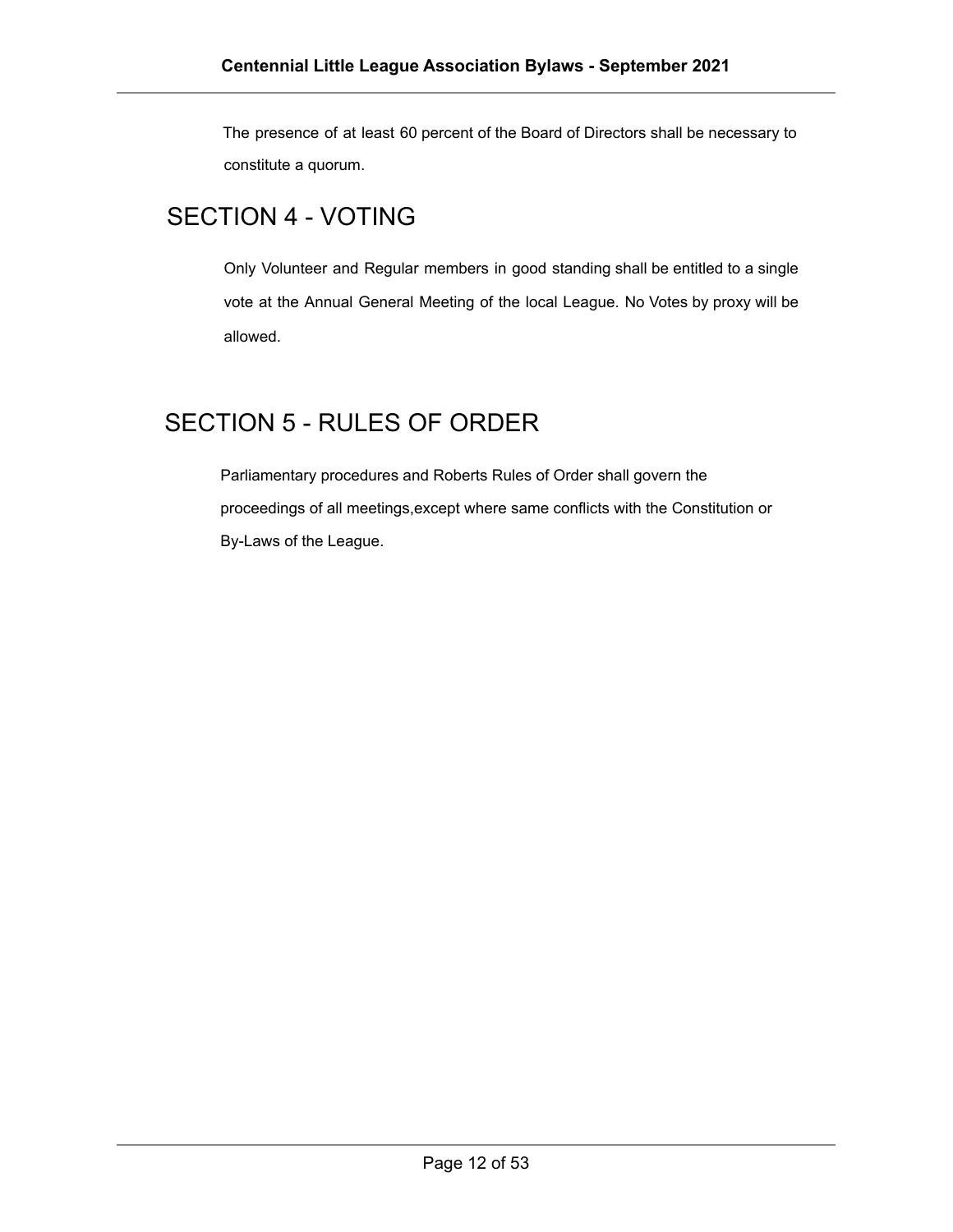The presence of at least 60 percent of the Board of Directors shall be necessary to constitute a quorum.

### <span id="page-11-0"></span>SECTION 4 - VOTING

Only Volunteer and Regular members in good standing shall be entitled to a single vote at the Annual General Meeting of the local League. No Votes by proxy will be allowed.

### <span id="page-11-1"></span>SECTION 5 - RULES OF ORDER

Parliamentary procedures and Roberts Rules of Order shall govern the proceedings of all meetings,except where same conflicts with the Constitution or By-Laws of the League.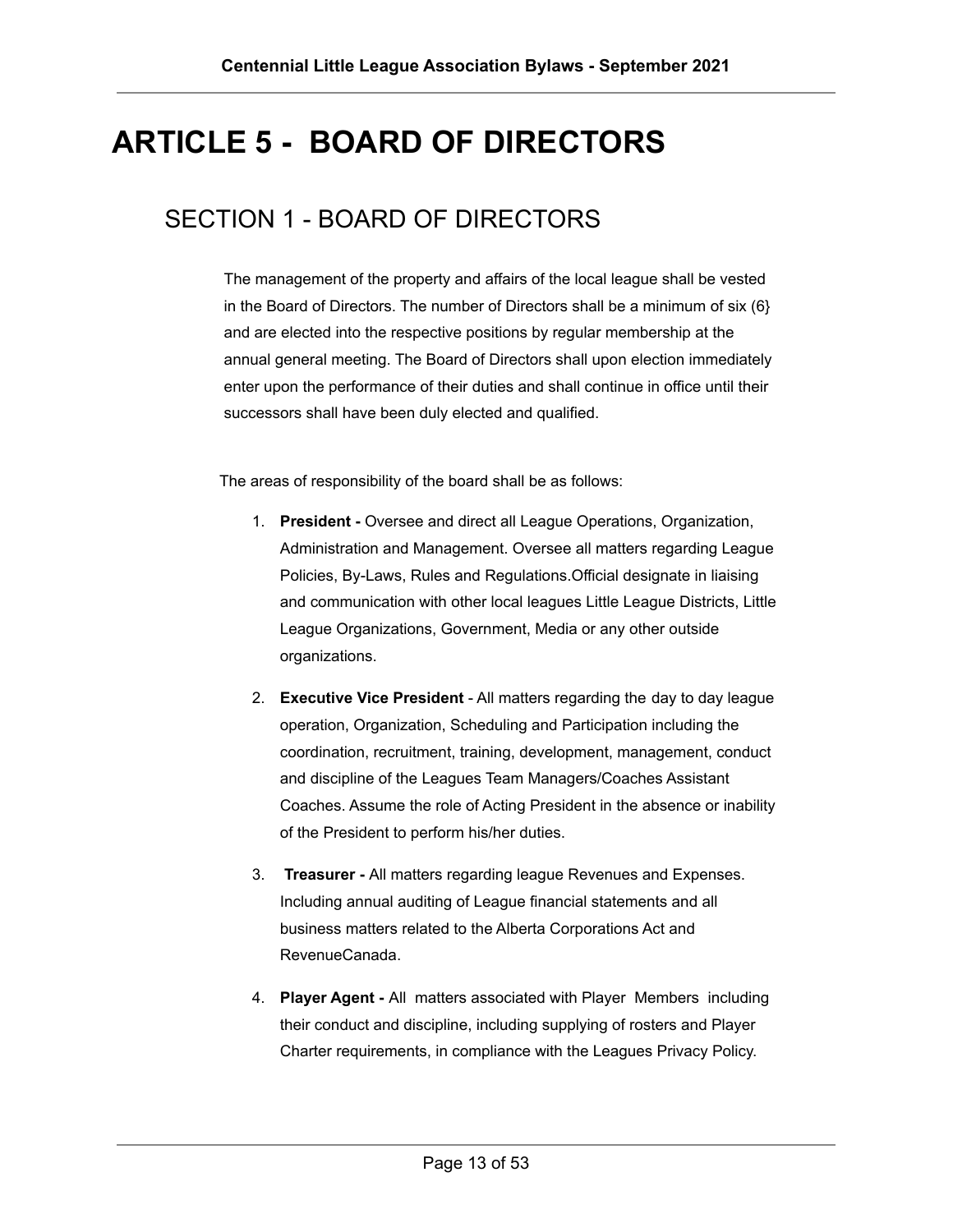# <span id="page-12-0"></span>**ARTICLE 5 - BOARD OF DIRECTORS**

### <span id="page-12-1"></span>SECTION 1 - BOARD OF DIRECTORS

The management of the property and affairs of the local league shall be vested in the Board of Directors. The number of Directors shall be a minimum of six (6} and are elected into the respective positions by regular membership at the annual general meeting. The Board of Directors shall upon election immediately enter upon the performance of their duties and shall continue in office until their successors shall have been duly elected and qualified.

The areas of responsibility of the board shall be as follows:

- 1. **President -** Oversee and direct all League Operations, Organization, Administration and Management. Oversee all matters regarding League Policies, By-Laws, Rules and Regulations.Official designate in liaising and communication with other local leagues Little League Districts, Little League Organizations, Government, Media or any other outside organizations.
- 2. **Executive Vice President** All matters regarding the day to day league operation, Organization, Scheduling and Participation including the coordination, recruitment, training, development, management, conduct and discipline of the Leagues Team Managers/Coaches Assistant Coaches. Assume the role of Acting President in the absence or inability of the President to perform his/her duties.
- 3. **Treasurer -** All matters regarding league Revenues and Expenses. Including annual auditing of League financial statements and all business matters related to the Alberta Corporations Act and RevenueCanada.
- 4. **Player Agent -** All matters associated with Player Members including their conduct and discipline, including supplying of rosters and Player Charter requirements, in compliance with the Leagues Privacy Policy.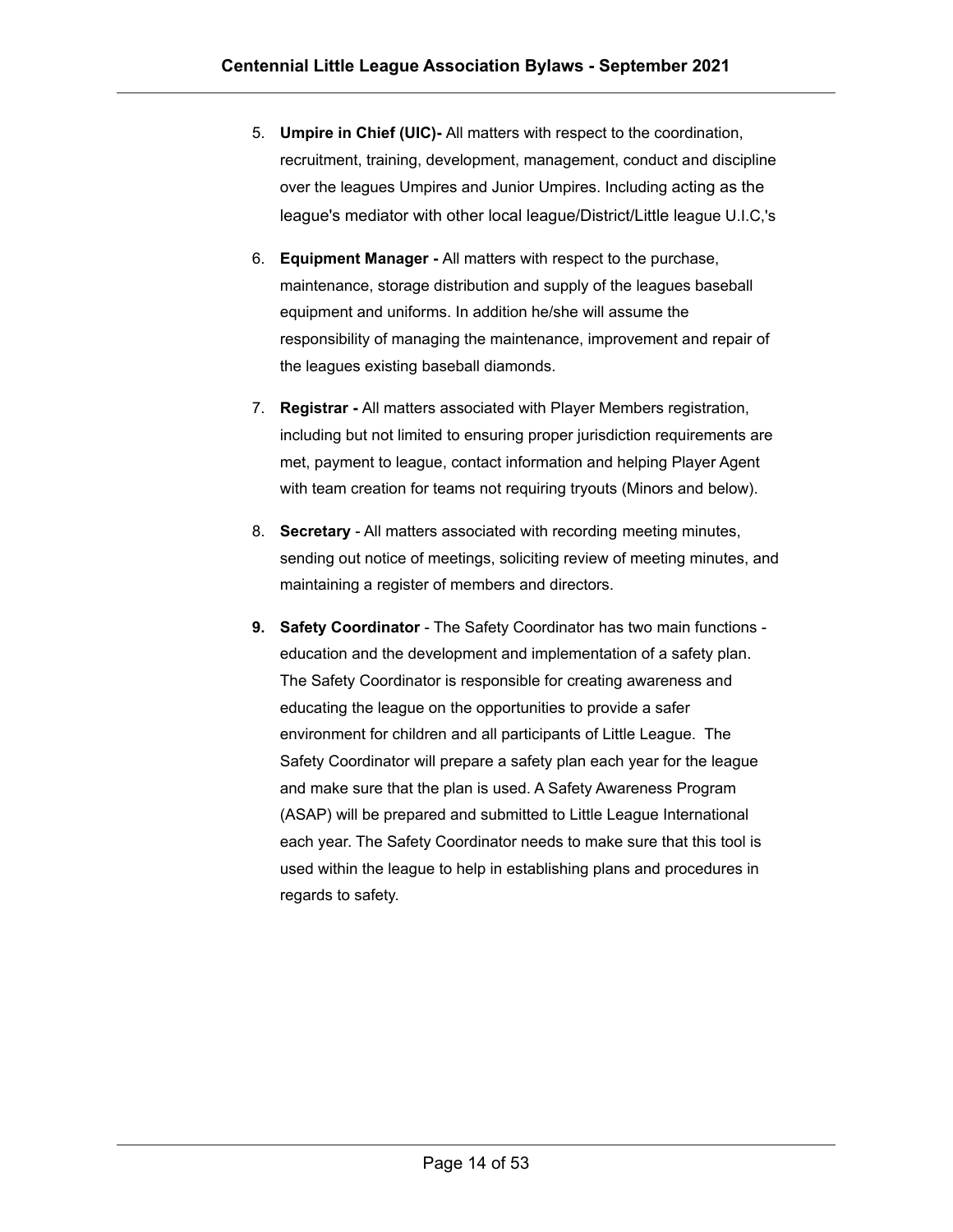- 5. **Umpire in Chief (UIC)-** All matters with respect to the coordination, recruitment, training, development, management, conduct and discipline over the leagues Umpires and Junior Umpires. Including acting as the league's mediator with other local league/District/Little league U.I.C,'s
- 6. **Equipment Manager -** All matters with respect to the purchase, maintenance, storage distribution and supply of the leagues baseball equipment and uniforms. In addition he/she will assume the responsibility of managing the maintenance, improvement and repair of the leagues existing baseball diamonds.
- 7. **Registrar -** All matters associated with Player Members registration, including but not limited to ensuring proper jurisdiction requirements are met, payment to league, contact information and helping Player Agent with team creation for teams not requiring tryouts (Minors and below).
- 8. **Secretary** All matters associated with recording meeting minutes, sending out notice of meetings, soliciting review of meeting minutes, and maintaining a register of members and directors.
- **9. Safety Coordinator** The Safety Coordinator has two main functions education and the development and implementation of a safety plan. The Safety Coordinator is responsible for creating awareness and educating the league on the opportunities to provide a safer environment for children and all participants of Little League. The Safety Coordinator will prepare a safety plan each year for the league and make sure that the plan is used. A Safety Awareness Program (ASAP) will be prepared and submitted to Little League International each year. The Safety Coordinator needs to make sure that this tool is used within the league to help in establishing plans and procedures in regards to safety.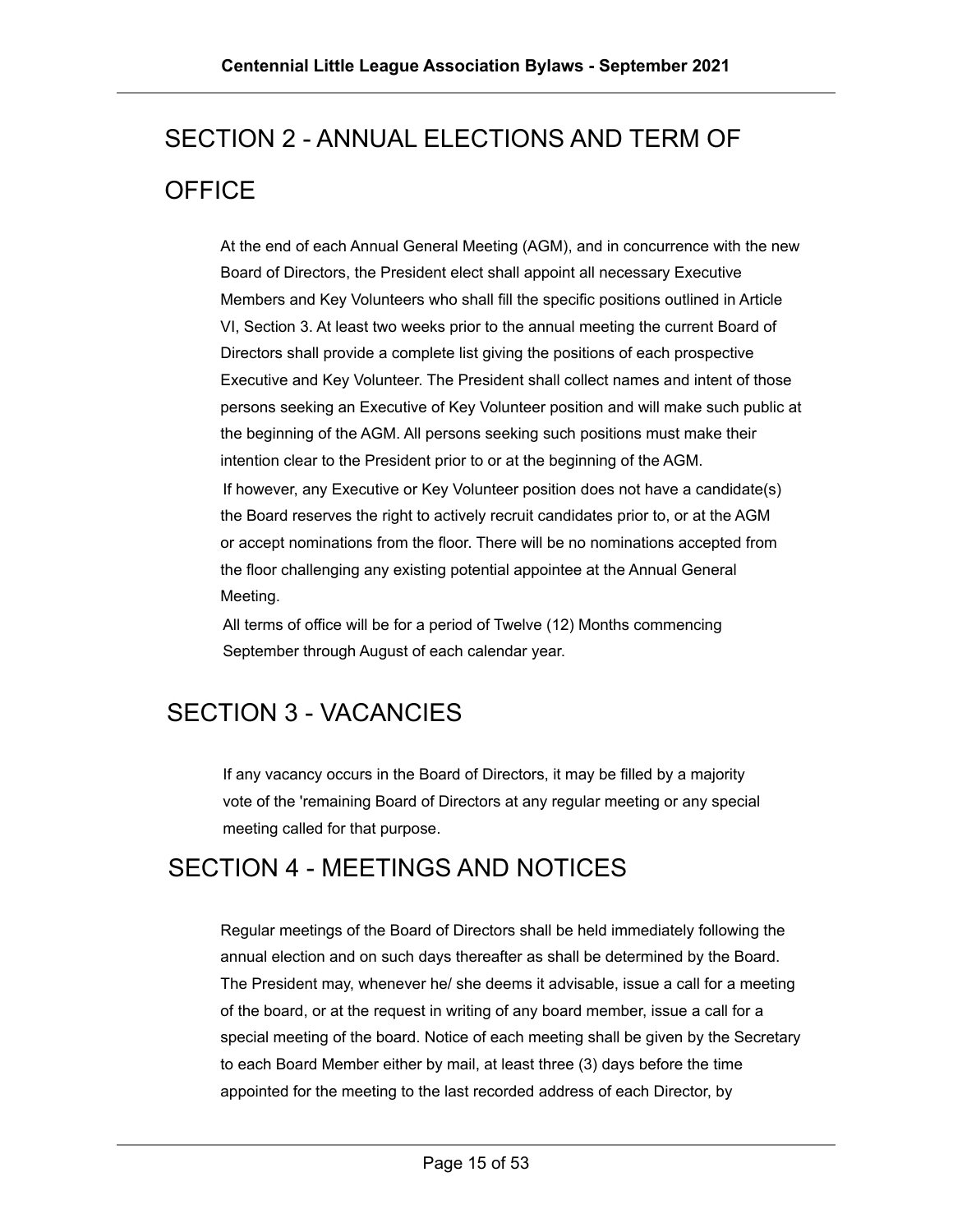# <span id="page-14-0"></span>SECTION 2 - ANNUAL ELECTIONS AND TERM OF **OFFICE**

At the end of each Annual General Meeting (AGM), and in concurrence with the new Board of Directors, the President elect shall appoint all necessary Executive Members and Key Volunteers who shall fill the specific positions outlined in Article VI, Section 3. At least two weeks prior to the annual meeting the current Board of Directors shall provide a complete list giving the positions of each prospective Executive and Key Volunteer. The President shall collect names and intent of those persons seeking an Executive of Key Volunteer position and will make such public at the beginning of the AGM. All persons seeking such positions must make their intention clear to the President prior to or at the beginning of the AGM. If however, any Executive or Key Volunteer position does not have a candidate(s) the Board reserves the right to actively recruit candidates prior to, or at the AGM or accept nominations from the floor. There will be no nominations accepted from the floor challenging any existing potential appointee at the Annual General Meeting.

All terms of office will be for a period of Twelve (12) Months commencing September through August of each calendar year.

# <span id="page-14-1"></span>SECTION 3 - VACANCIES

If any vacancy occurs in the Board of Directors, it may be filled by a majority vote of the 'remaining Board of Directors at any regular meeting or any special meeting called for that purpose.

#### <span id="page-14-2"></span>SECTION 4 - MEETINGS AND NOTICES

Regular meetings of the Board of Directors shall be held immediately following the annual election and on such days thereafter as shall be determined by the Board. The President may, whenever he/ she deems it advisable, issue a call for a meeting of the board, or at the request in writing of any board member, issue a call for a special meeting of the board. Notice of each meeting shall be given by the Secretary to each Board Member either by mail, at least three (3) days before the time appointed for the meeting to the last recorded address of each Director, by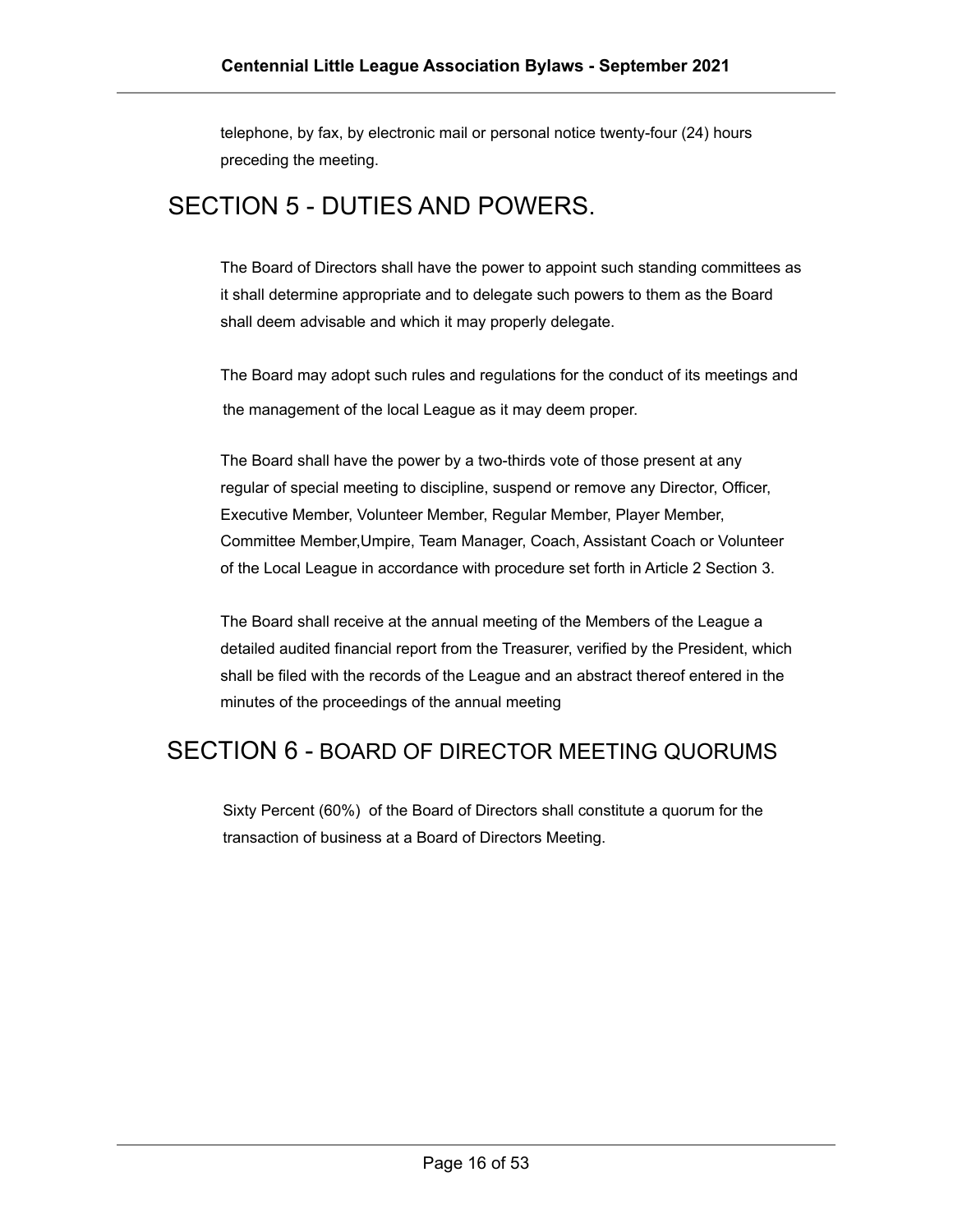telephone, by fax, by electronic mail or personal notice twenty-four (24) hours preceding the meeting.

#### <span id="page-15-0"></span>SECTION 5 - DUTIES AND POWERS.

The Board of Directors shall have the power to appoint such standing committees as it shall determine appropriate and to delegate such powers to them as the Board shall deem advisable and which it may properly delegate.

The Board may adopt such rules and regulations for the conduct of its meetings and the management of the local League as it may deem proper.

The Board shall have the power by a two-thirds vote of those present at any regular of special meeting to discipline, suspend or remove any Director, Officer, Executive Member, Volunteer Member, Regular Member, Player Member, Committee Member,Umpire, Team Manager, Coach, Assistant Coach or Volunteer of the Local League in accordance with procedure set forth in Article 2 Section 3.

The Board shall receive at the annual meeting of the Members of the League a detailed audited financial report from the Treasurer, verified by the President, which shall be filed with the records of the League and an abstract thereof entered in the minutes of the proceedings of the annual meeting

#### <span id="page-15-1"></span>SECTION 6 - BOARD OF DIRECTOR MEETING QUORUMS

Sixty Percent (60%) of the Board of Directors shall constitute a quorum for the transaction of business at a Board of Directors Meeting.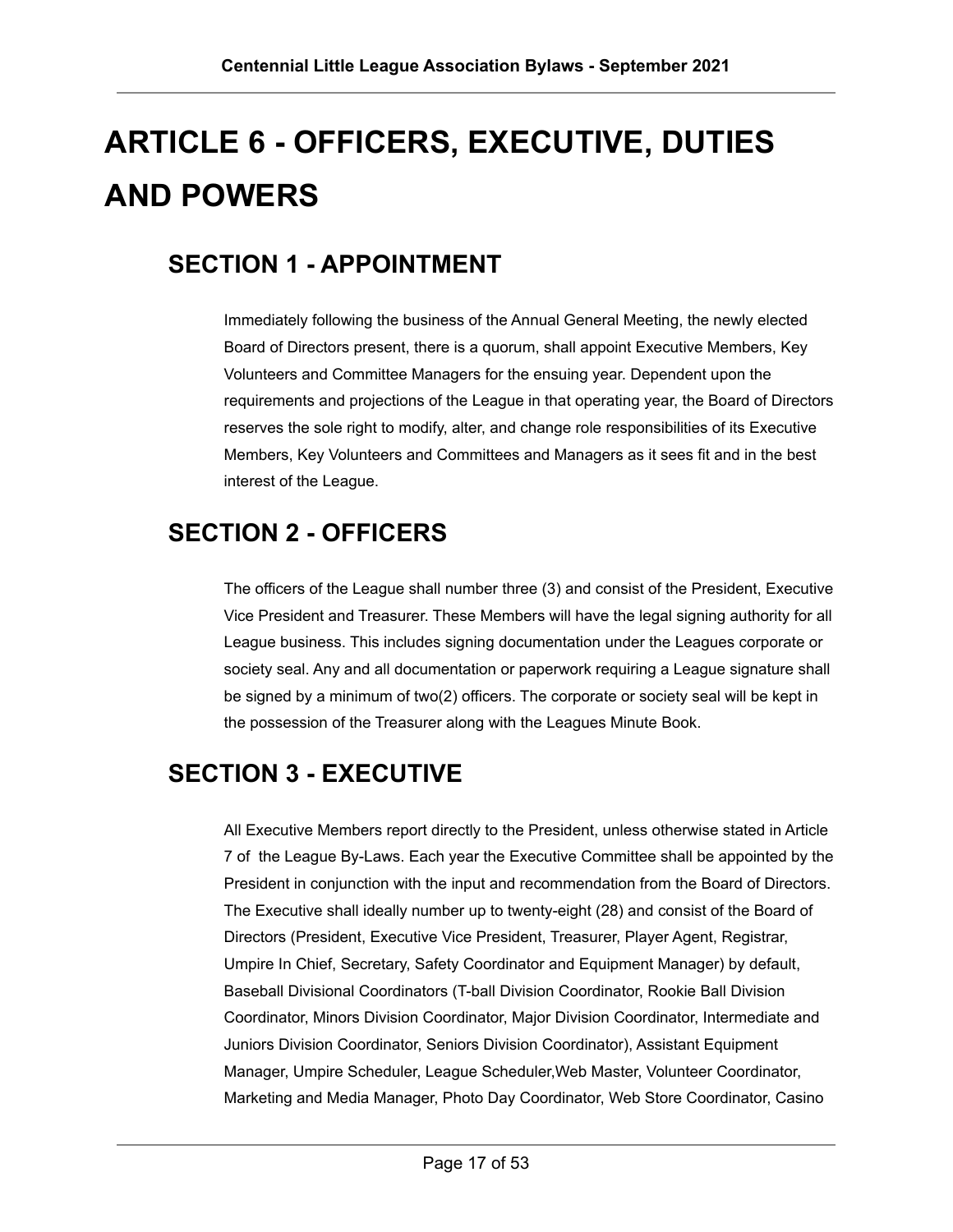# <span id="page-16-0"></span>**ARTICLE 6 - OFFICERS, EXECUTIVE, DUTIES AND POWERS**

# <span id="page-16-1"></span>**SECTION 1 - APPOINTMENT**

Immediately following the business of the Annual General Meeting, the newly elected Board of Directors present, there is a quorum, shall appoint Executive Members, Key Volunteers and Committee Managers for the ensuing year. Dependent upon the requirements and projections of the League in that operating year, the Board of Directors reserves the sole right to modify, alter, and change role responsibilities of its Executive Members, Key Volunteers and Committees and Managers as it sees fit and in the best interest of the League.

# <span id="page-16-2"></span>**SECTION 2 - OFFICERS**

The officers of the League shall number three (3) and consist of the President, Executive Vice President and Treasurer. These Members will have the legal signing authority for all League business. This includes signing documentation under the Leagues corporate or society seal. Any and all documentation or paperwork requiring a League signature shall be signed by a minimum of two(2) officers. The corporate or society seal will be kept in the possession of the Treasurer along with the Leagues Minute Book.

# <span id="page-16-3"></span>**SECTION 3 - EXECUTIVE**

All Executive Members report directly to the President, unless otherwise stated in Article 7 of the League By-Laws. Each year the Executive Committee shall be appointed by the President in conjunction with the input and recommendation from the Board of Directors. The Executive shall ideally number up to twenty-eight (28) and consist of the Board of Directors (President, Executive Vice President, Treasurer, Player Agent, Registrar, Umpire In Chief, Secretary, Safety Coordinator and Equipment Manager) by default, Baseball Divisional Coordinators (T-ball Division Coordinator, Rookie Ball Division Coordinator, Minors Division Coordinator, Major Division Coordinator, Intermediate and Juniors Division Coordinator, Seniors Division Coordinator), Assistant Equipment Manager, Umpire Scheduler, League Scheduler,Web Master, Volunteer Coordinator, Marketing and Media Manager, Photo Day Coordinator, Web Store Coordinator, Casino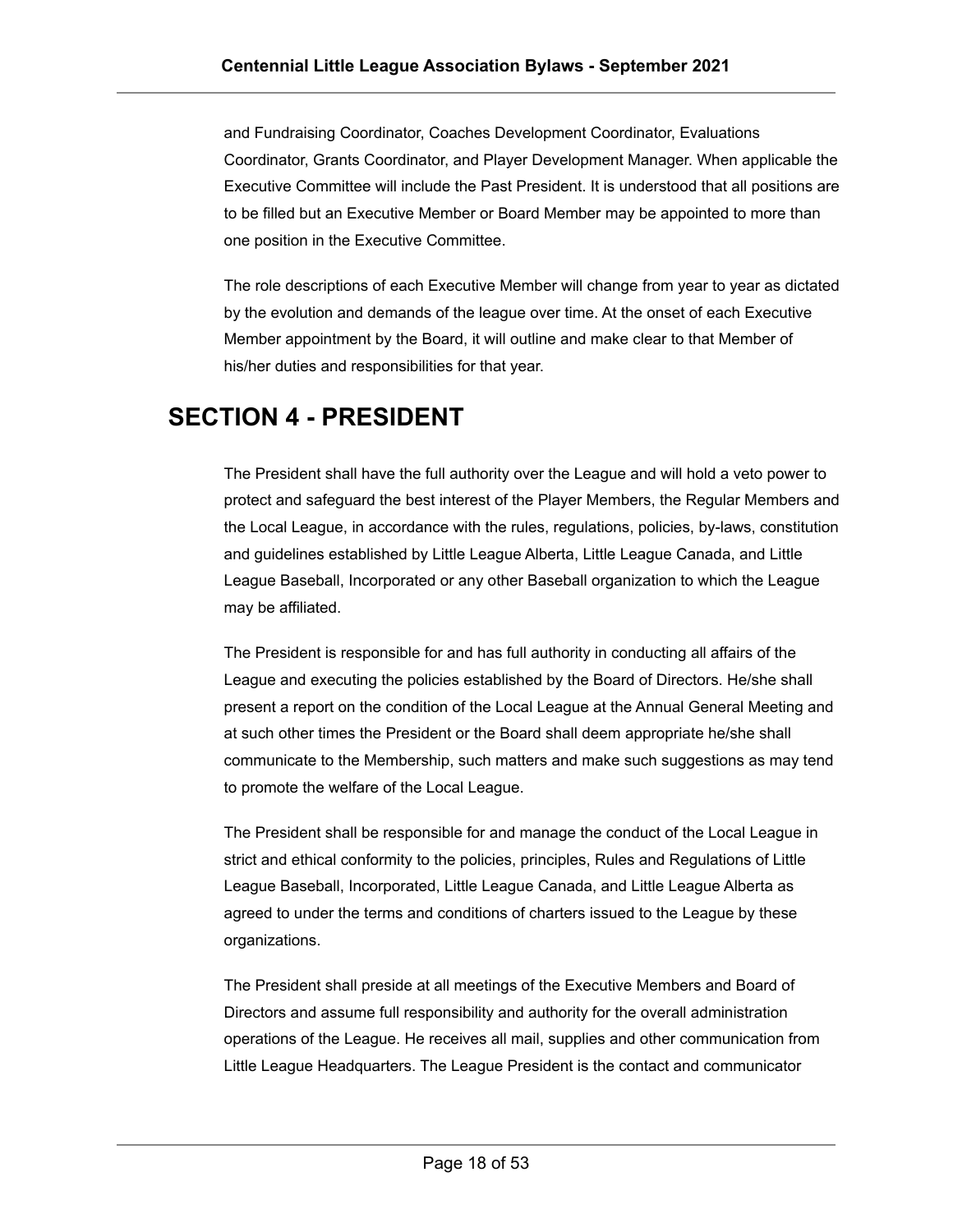and Fundraising Coordinator, Coaches Development Coordinator, Evaluations Coordinator, Grants Coordinator, and Player Development Manager. When applicable the Executive Committee will include the Past President. It is understood that all positions are to be filled but an Executive Member or Board Member may be appointed to more than one position in the Executive Committee.

The role descriptions of each Executive Member will change from year to year as dictated by the evolution and demands of the league over time. At the onset of each Executive Member appointment by the Board, it will outline and make clear to that Member of his/her duties and responsibilities for that year.

### <span id="page-17-0"></span>**SECTION 4 - PRESIDENT**

The President shall have the full authority over the League and will hold a veto power to protect and safeguard the best interest of the Player Members, the Regular Members and the Local League, in accordance with the rules, regulations, policies, by-laws, constitution and guidelines established by Little League Alberta, Little League Canada, and Little League Baseball, Incorporated or any other Baseball organization to which the League may be affiliated.

The President is responsible for and has full authority in conducting all affairs of the League and executing the policies established by the Board of Directors. He/she shall present a report on the condition of the Local League at the Annual General Meeting and at such other times the President or the Board shall deem appropriate he/she shall communicate to the Membership, such matters and make such suggestions as may tend to promote the welfare of the Local League.

The President shall be responsible for and manage the conduct of the Local League in strict and ethical conformity to the policies, principles, Rules and Regulations of Little League Baseball, Incorporated, Little League Canada, and Little League Alberta as agreed to under the terms and conditions of charters issued to the League by these organizations.

The President shall preside at all meetings of the Executive Members and Board of Directors and assume full responsibility and authority for the overall administration operations of the League. He receives all mail, supplies and other communication from Little League Headquarters. The League President is the contact and communicator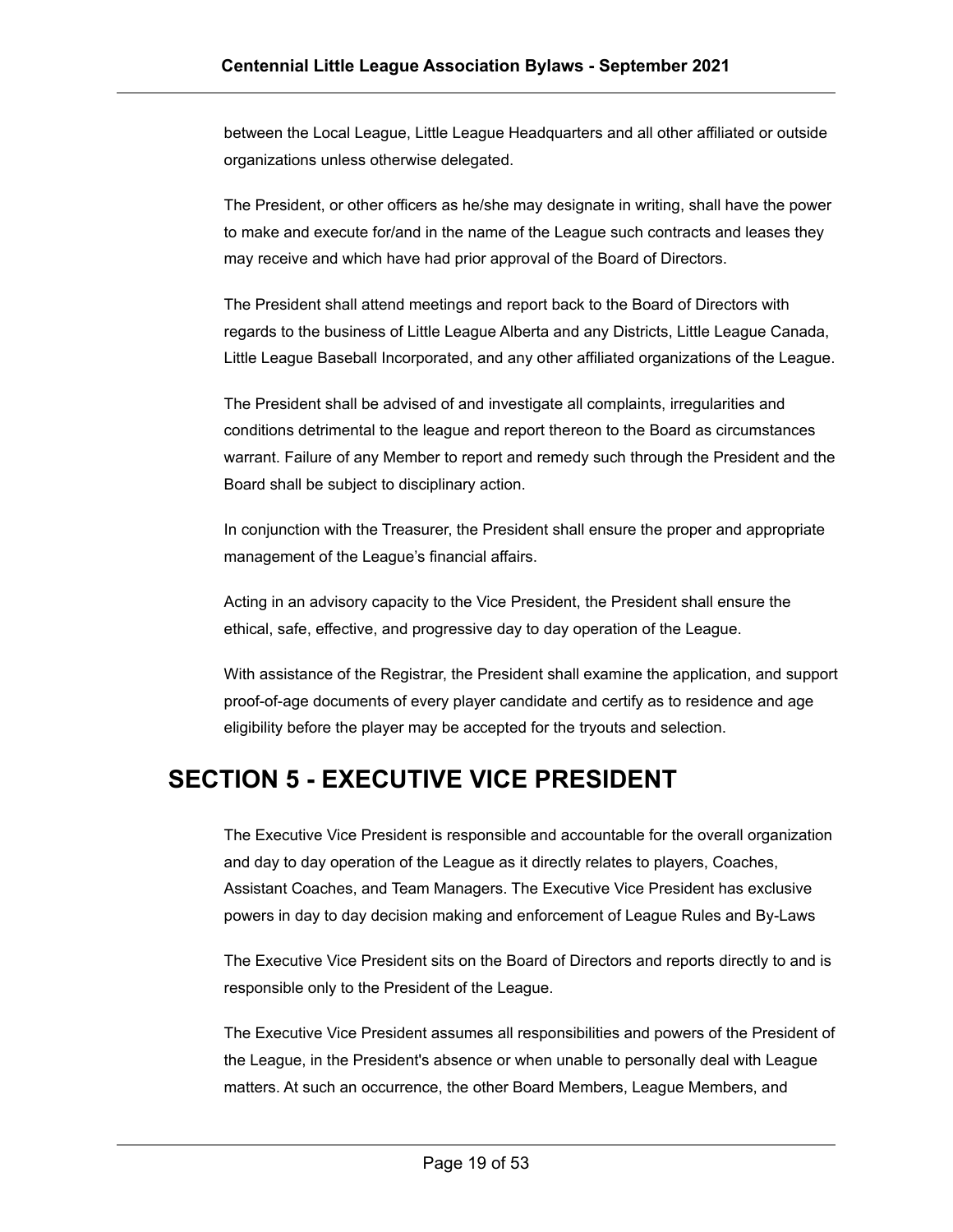between the Local League, Little League Headquarters and all other affiliated or outside organizations unless otherwise delegated.

The President, or other officers as he/she may designate in writing, shall have the power to make and execute for/and in the name of the League such contracts and leases they may receive and which have had prior approval of the Board of Directors.

The President shall attend meetings and report back to the Board of Directors with regards to the business of Little League Alberta and any Districts, Little League Canada, Little League Baseball Incorporated, and any other affiliated organizations of the League.

The President shall be advised of and investigate all complaints, irregularities and conditions detrimental to the league and report thereon to the Board as circumstances warrant. Failure of any Member to report and remedy such through the President and the Board shall be subject to disciplinary action.

In conjunction with the Treasurer, the President shall ensure the proper and appropriate management of the League's financial affairs.

Acting in an advisory capacity to the Vice President, the President shall ensure the ethical, safe, effective, and progressive day to day operation of the League.

With assistance of the Registrar, the President shall examine the application, and support proof-of-age documents of every player candidate and certify as to residence and age eligibility before the player may be accepted for the tryouts and selection.

# <span id="page-18-0"></span>**SECTION 5 - EXECUTIVE VICE PRESIDENT**

The Executive Vice President is responsible and accountable for the overall organization and day to day operation of the League as it directly relates to players, Coaches, Assistant Coaches, and Team Managers. The Executive Vice President has exclusive powers in day to day decision making and enforcement of League Rules and By-Laws

The Executive Vice President sits on the Board of Directors and reports directly to and is responsible only to the President of the League.

The Executive Vice President assumes all responsibilities and powers of the President of the League, in the President's absence or when unable to personally deal with League matters. At such an occurrence, the other Board Members, League Members, and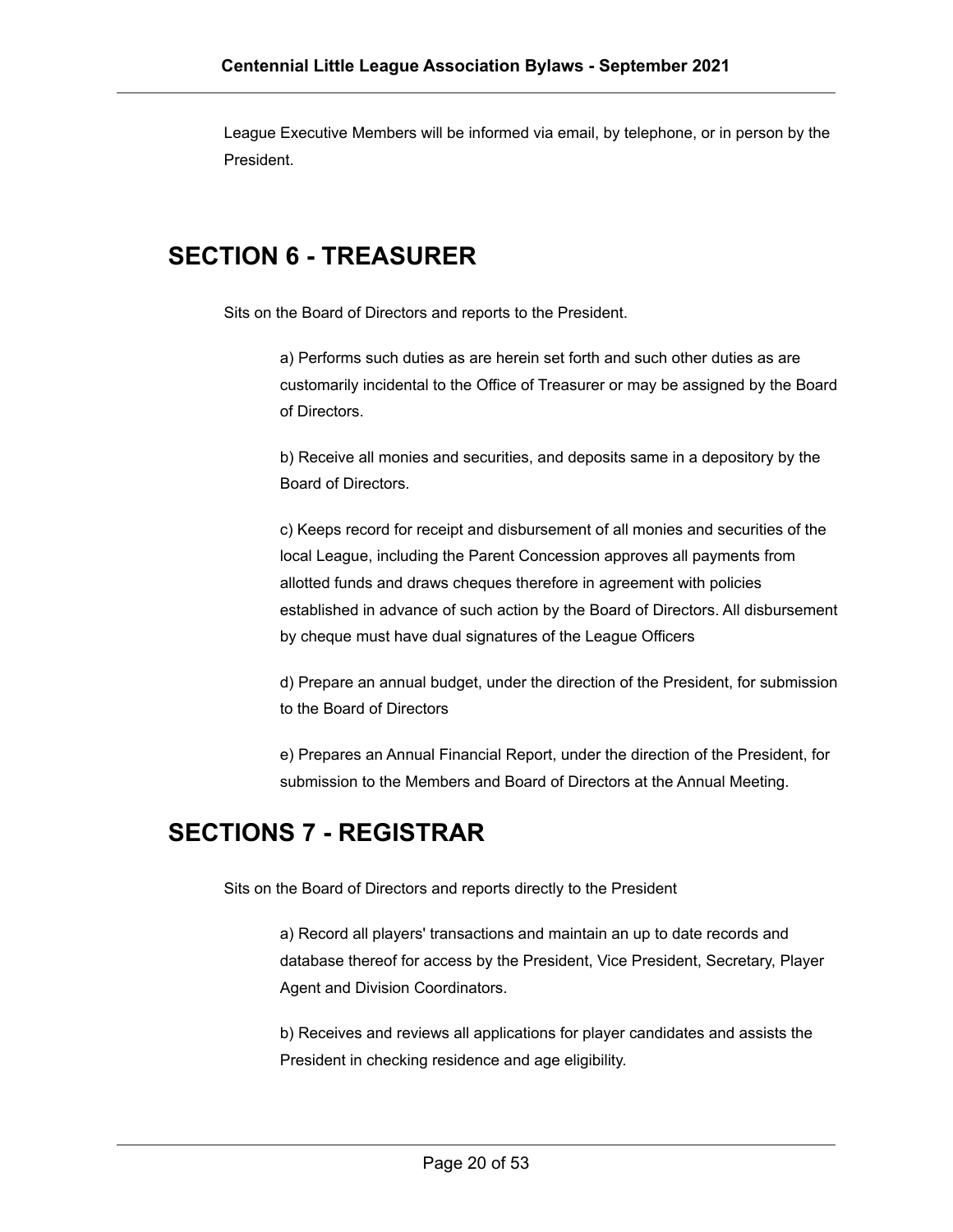League Executive Members will be informed via email, by telephone, or in person by the President.

### <span id="page-19-0"></span>**SECTION 6 - TREASURER**

Sits on the Board of Directors and reports to the President.

a) Performs such duties as are herein set forth and such other duties as are customarily incidental to the Office of Treasurer or may be assigned by the Board of Directors.

b) Receive all monies and securities, and deposits same in a depository by the Board of Directors.

c) Keeps record for receipt and disbursement of all monies and securities of the local League, including the Parent Concession approves all payments from allotted funds and draws cheques therefore in agreement with policies established in advance of such action by the Board of Directors. All disbursement by cheque must have dual signatures of the League Officers

d) Prepare an annual budget, under the direction of the President, for submission to the Board of Directors

e) Prepares an Annual Financial Report, under the direction of the President, for submission to the Members and Board of Directors at the Annual Meeting.

#### <span id="page-19-1"></span>**SECTIONS 7 - REGISTRAR**

Sits on the Board of Directors and reports directly to the President

a) Record all players' transactions and maintain an up to date records and database thereof for access by the President, Vice President, Secretary, Player Agent and Division Coordinators.

b) Receives and reviews all applications for player candidates and assists the President in checking residence and age eligibility.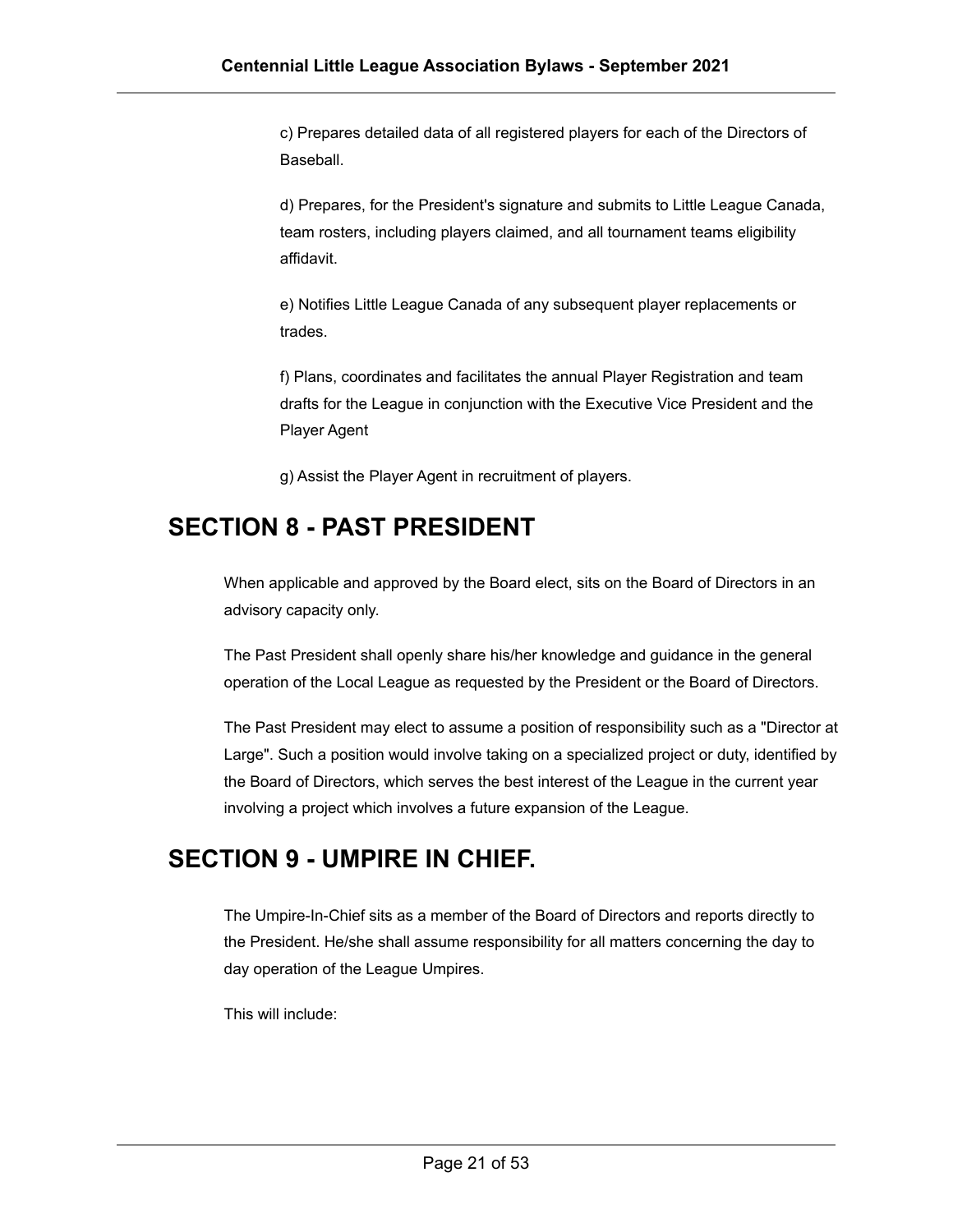c) Prepares detailed data of all registered players for each of the Directors of Baseball.

d) Prepares, for the President's signature and submits to Little League Canada, team rosters, including players claimed, and all tournament teams eligibility affidavit.

e) Notifies Little League Canada of any subsequent player replacements or trades.

f) Plans, coordinates and facilitates the annual Player Registration and team drafts for the League in conjunction with the Executive Vice President and the Player Agent

g) Assist the Player Agent in recruitment of players.

#### <span id="page-20-0"></span>**SECTION 8 - PAST PRESIDENT**

When applicable and approved by the Board elect, sits on the Board of Directors in an advisory capacity only.

The Past President shall openly share his/her knowledge and guidance in the general operation of the Local League as requested by the President or the Board of Directors.

The Past President may elect to assume a position of responsibility such as a "Director at Large". Such a position would involve taking on a specialized project or duty, identified by the Board of Directors, which serves the best interest of the League in the current year involving a project which involves a future expansion of the League.

#### <span id="page-20-1"></span>**SECTION 9 - UMPIRE IN CHIEF.**

The Umpire-In-Chief sits as a member of the Board of Directors and reports directly to the President. He/she shall assume responsibility for all matters concerning the day to day operation of the League Umpires.

This will include: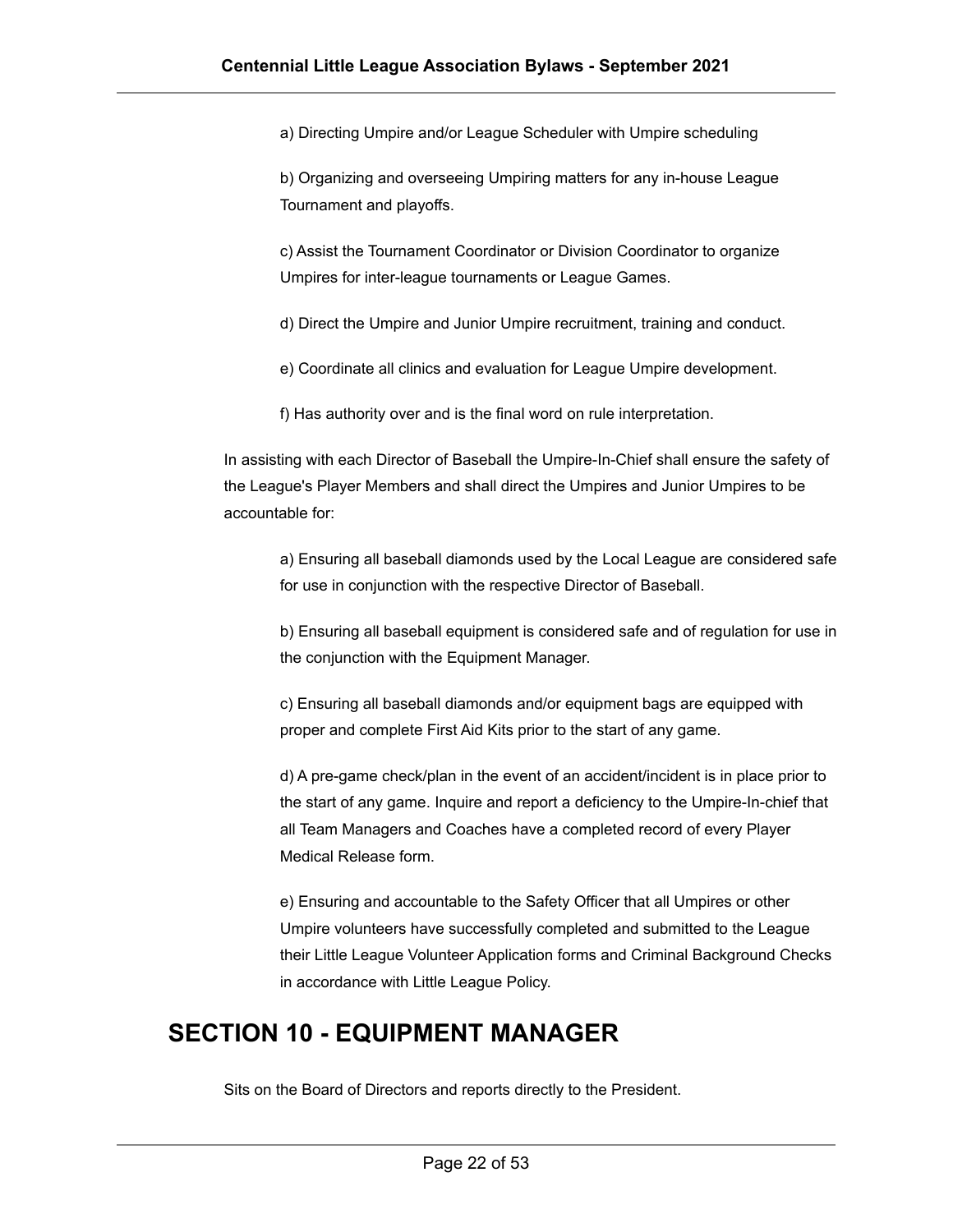a) Directing Umpire and/or League Scheduler with Umpire scheduling

b) Organizing and overseeing Umpiring matters for any in-house League Tournament and playoffs.

c) Assist the Tournament Coordinator or Division Coordinator to organize Umpires for inter-league tournaments or League Games.

d) Direct the Umpire and Junior Umpire recruitment, training and conduct.

e) Coordinate all clinics and evaluation for League Umpire development.

f) Has authority over and is the final word on rule interpretation.

In assisting with each Director of Baseball the Umpire-In-Chief shall ensure the safety of the League's Player Members and shall direct the Umpires and Junior Umpires to be accountable for:

a) Ensuring all baseball diamonds used by the Local League are considered safe for use in conjunction with the respective Director of Baseball.

b) Ensuring all baseball equipment is considered safe and of regulation for use in the conjunction with the Equipment Manager.

c) Ensuring all baseball diamonds and/or equipment bags are equipped with proper and complete First Aid Kits prior to the start of any game.

d) A pre-game check/plan in the event of an accident/incident is in place prior to the start of any game. Inquire and report a deficiency to the Umpire-In-chief that all Team Managers and Coaches have a completed record of every Player Medical Release form.

e) Ensuring and accountable to the Safety Officer that all Umpires or other Umpire volunteers have successfully completed and submitted to the League their Little League Volunteer Application forms and Criminal Background Checks in accordance with Little League Policy.

#### <span id="page-21-0"></span>**SECTION 10 - EQUIPMENT MANAGER**

Sits on the Board of Directors and reports directly to the President.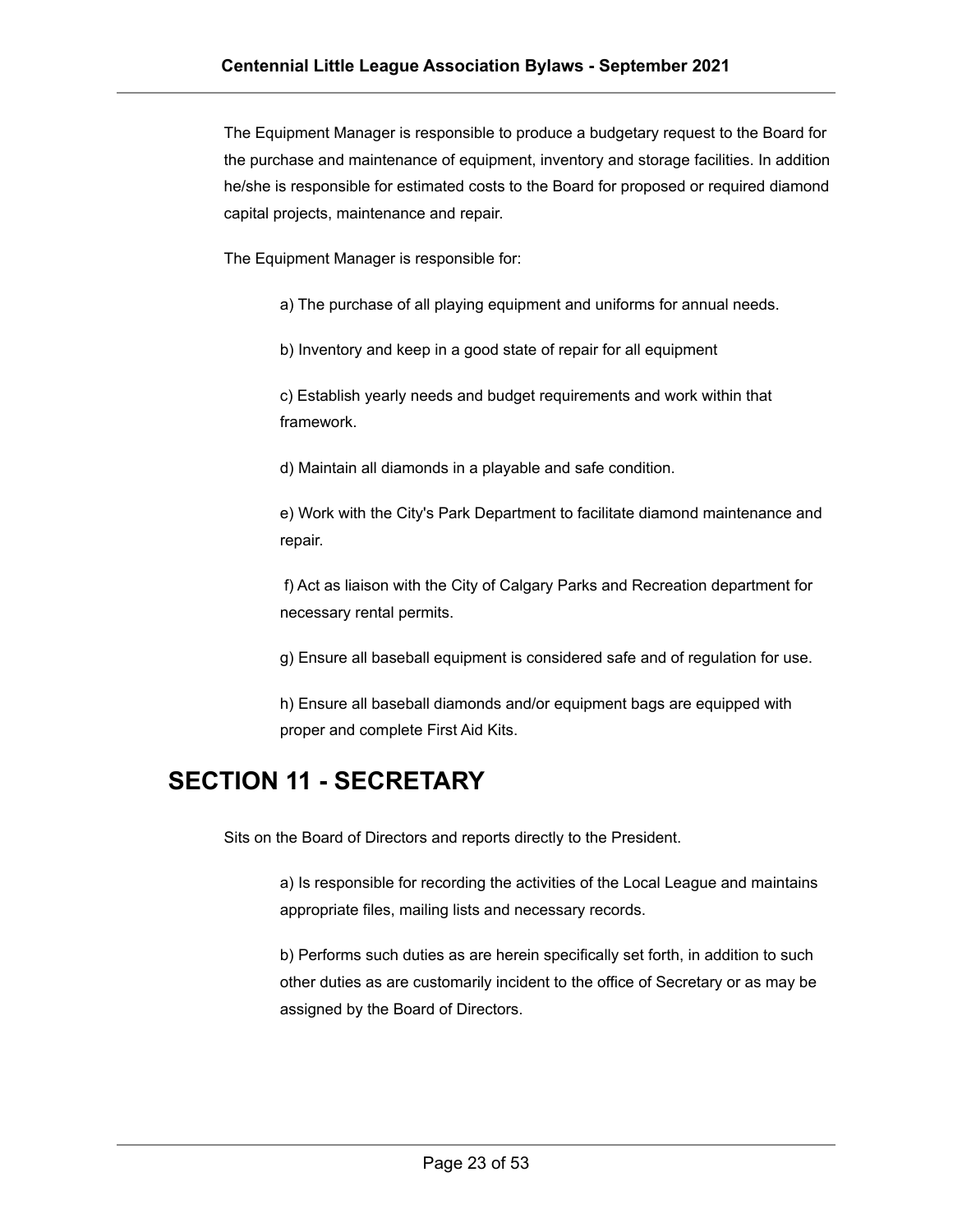The Equipment Manager is responsible to produce a budgetary request to the Board for the purchase and maintenance of equipment, inventory and storage facilities. In addition he/she is responsible for estimated costs to the Board for proposed or required diamond capital projects, maintenance and repair.

The Equipment Manager is responsible for:

a) The purchase of all playing equipment and uniforms for annual needs.

b) Inventory and keep in a good state of repair for all equipment

c) Establish yearly needs and budget requirements and work within that framework.

d) Maintain all diamonds in a playable and safe condition.

e) Work with the City's Park Department to facilitate diamond maintenance and repair.

f) Act as liaison with the City of Calgary Parks and Recreation department for necessary rental permits.

g) Ensure all baseball equipment is considered safe and of regulation for use.

h) Ensure all baseball diamonds and/or equipment bags are equipped with proper and complete First Aid Kits.

#### <span id="page-22-0"></span>**SECTION 11 - SECRETARY**

Sits on the Board of Directors and reports directly to the President.

a) Is responsible for recording the activities of the Local League and maintains appropriate files, mailing lists and necessary records.

b) Performs such duties as are herein specifically set forth, in addition to such other duties as are customarily incident to the office of Secretary or as may be assigned by the Board of Directors.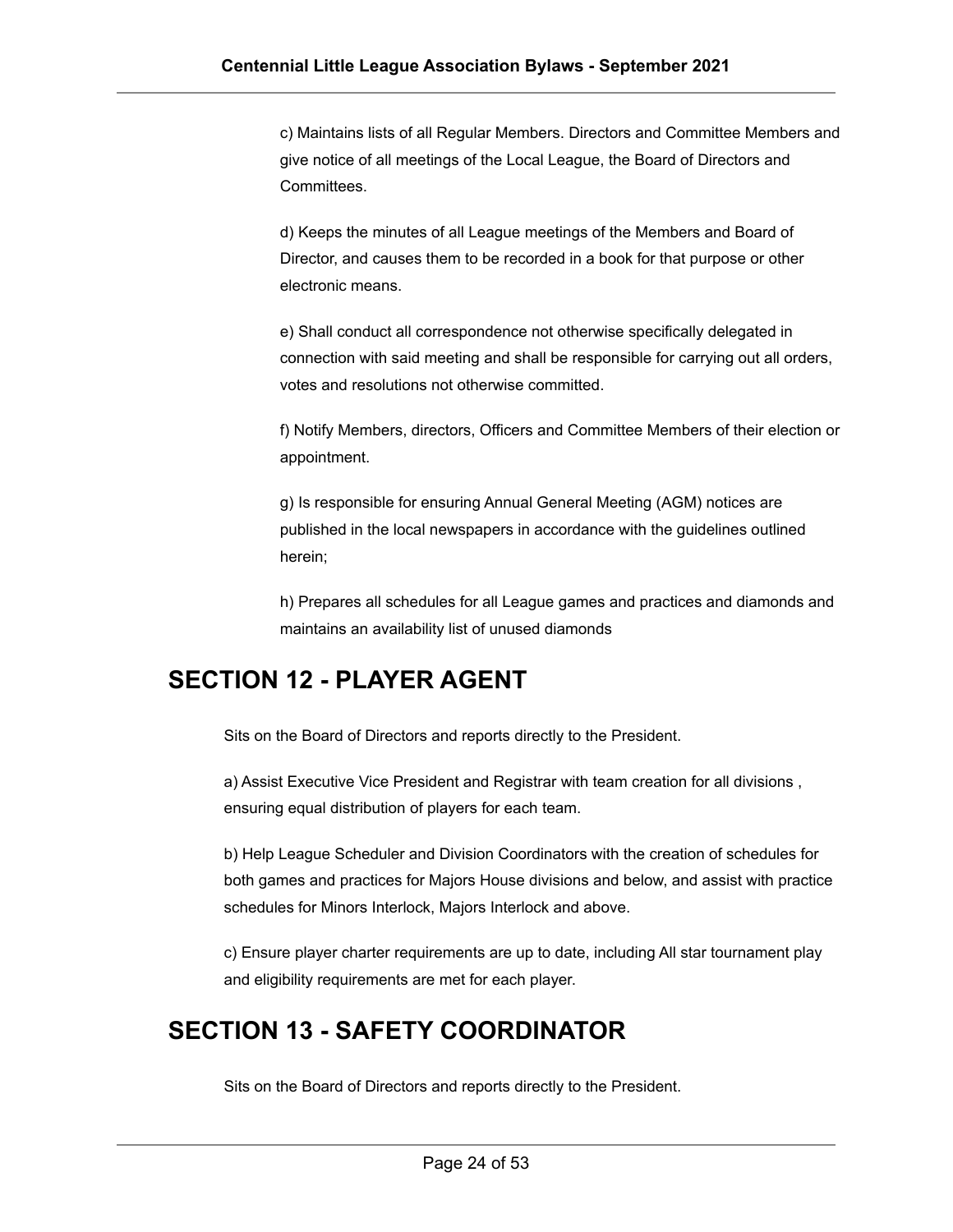c) Maintains lists of all Regular Members. Directors and Committee Members and give notice of all meetings of the Local League, the Board of Directors and Committees.

d) Keeps the minutes of all League meetings of the Members and Board of Director, and causes them to be recorded in a book for that purpose or other electronic means.

e) Shall conduct all correspondence not otherwise specifically delegated in connection with said meeting and shall be responsible for carrying out all orders, votes and resolutions not otherwise committed.

f) Notify Members, directors, Officers and Committee Members of their election or appointment.

g) Is responsible for ensuring Annual General Meeting (AGM) notices are published in the local newspapers in accordance with the guidelines outlined herein;

h) Prepares all schedules for all League games and practices and diamonds and maintains an availability list of unused diamonds

#### <span id="page-23-0"></span>**SECTION 12 - PLAYER AGENT**

Sits on the Board of Directors and reports directly to the President.

a) Assist Executive Vice President and Registrar with team creation for all divisions , ensuring equal distribution of players for each team.

b) Help League Scheduler and Division Coordinators with the creation of schedules for both games and practices for Majors House divisions and below, and assist with practice schedules for Minors Interlock, Majors Interlock and above.

c) Ensure player charter requirements are up to date, including All star tournament play and eligibility requirements are met for each player.

#### **SECTION 13 - SAFETY COORDINATOR**

Sits on the Board of Directors and reports directly to the President.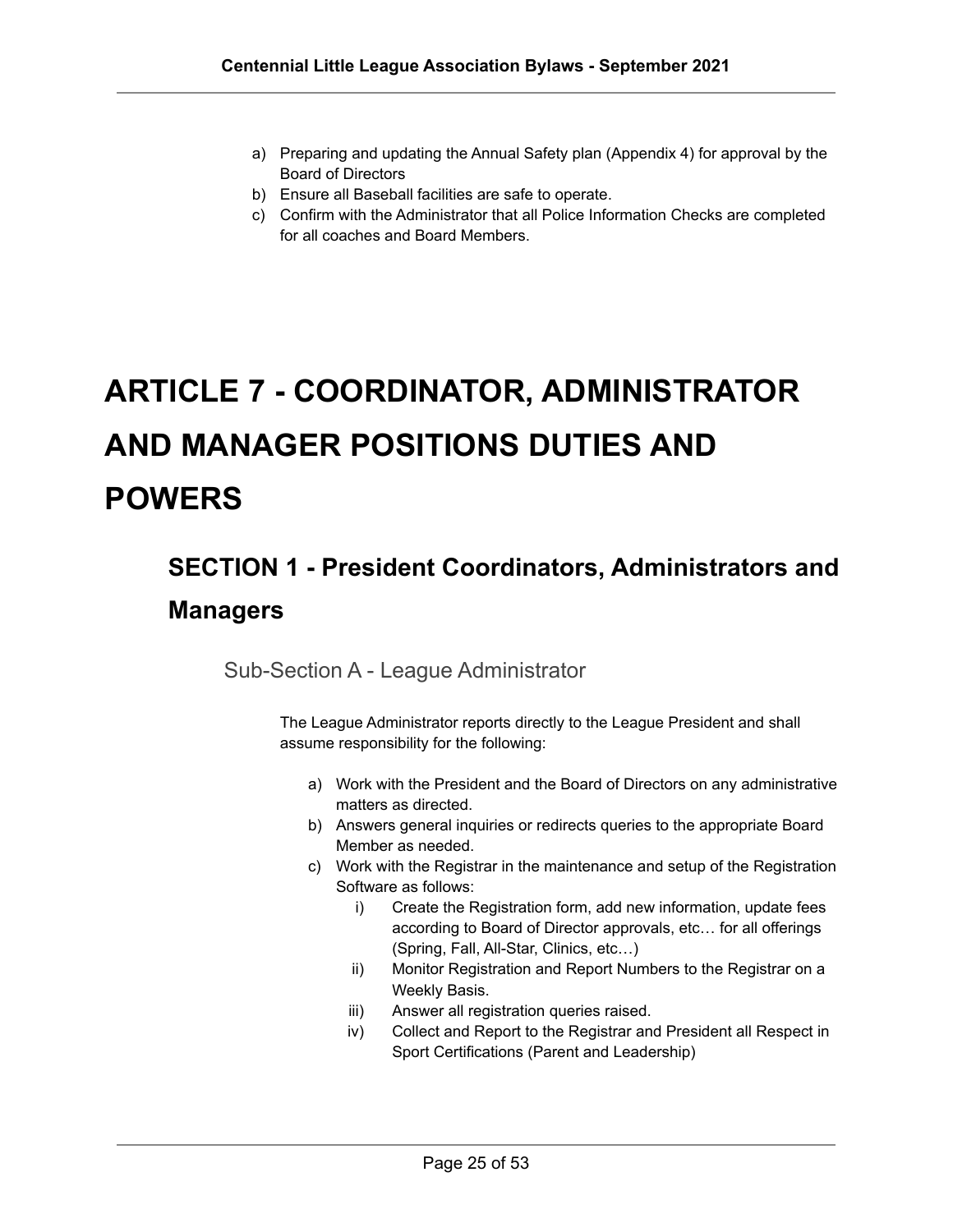- a) Preparing and updating the Annual Safety plan (Appendix 4) for approval by the Board of Directors
- b) Ensure all Baseball facilities are safe to operate.
- c) Confirm with the Administrator that all Police Information Checks are completed for all coaches and Board Members.

# **ARTICLE 7 - COORDINATOR, ADMINISTRATOR AND MANAGER POSITIONS DUTIES AND POWERS**

# <span id="page-24-1"></span><span id="page-24-0"></span>**SECTION 1 - President Coordinators, Administrators and Managers**

<span id="page-24-2"></span>Sub-Section A - League Administrator

The League Administrator reports directly to the League President and shall assume responsibility for the following:

- a) Work with the President and the Board of Directors on any administrative matters as directed.
- b) Answers general inquiries or redirects queries to the appropriate Board Member as needed.
- c) Work with the Registrar in the maintenance and setup of the Registration Software as follows:
	- i) Create the Registration form, add new information, update fees according to Board of Director approvals, etc… for all offerings (Spring, Fall, All-Star, Clinics, etc…)
	- ii) Monitor Registration and Report Numbers to the Registrar on a Weekly Basis.
	- iii) Answer all registration queries raised.
	- iv) Collect and Report to the Registrar and President all Respect in Sport Certifications (Parent and Leadership)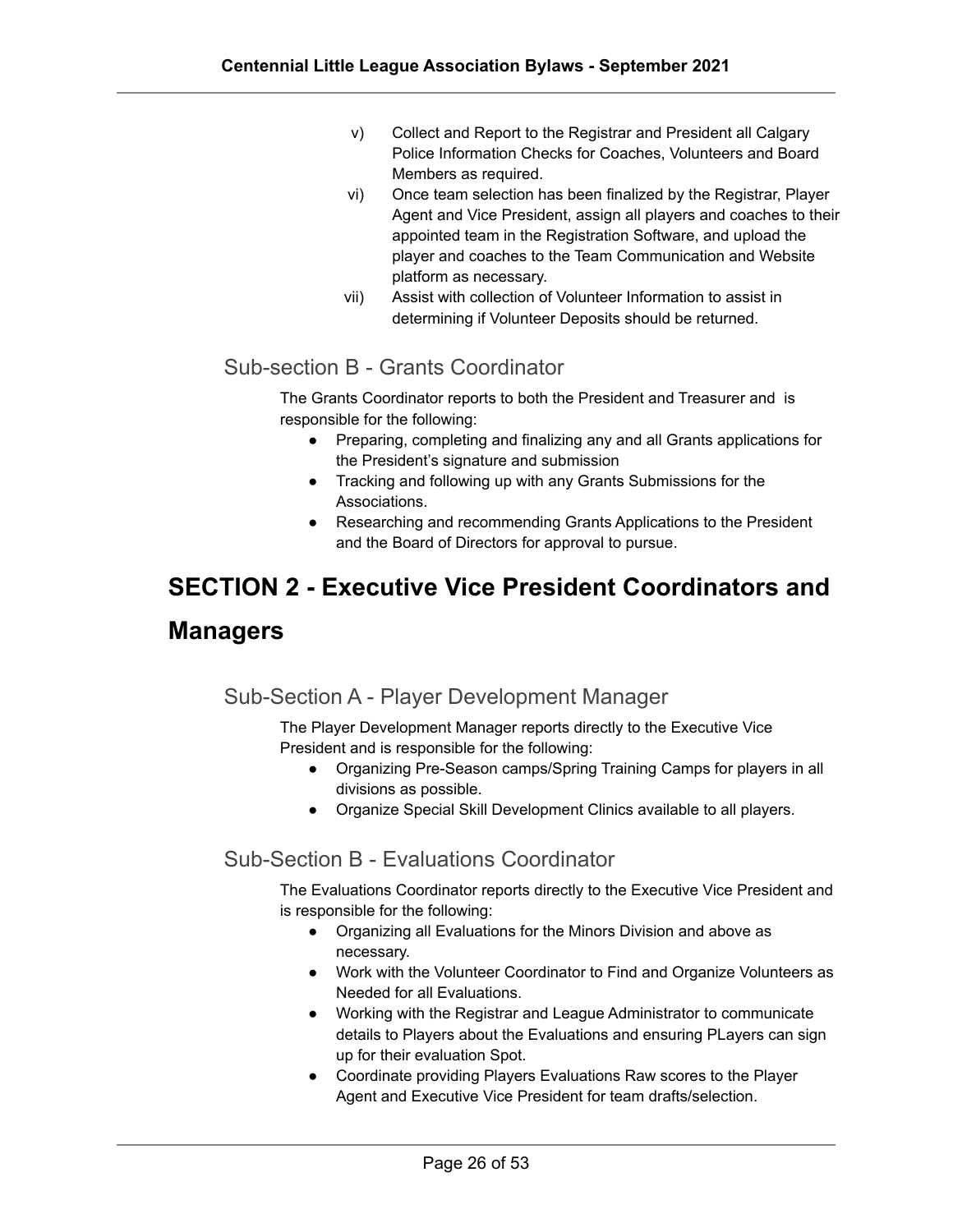- v) Collect and Report to the Registrar and President all Calgary Police Information Checks for Coaches, Volunteers and Board Members as required.
- vi) Once team selection has been finalized by the Registrar, Player Agent and Vice President, assign all players and coaches to their appointed team in the Registration Software, and upload the player and coaches to the Team Communication and Website platform as necessary.
- vii) Assist with collection of Volunteer Information to assist in determining if Volunteer Deposits should be returned.

#### <span id="page-25-0"></span>Sub-section B - Grants Coordinator

The Grants Coordinator reports to both the President and Treasurer and is responsible for the following:

- Preparing, completing and finalizing any and all Grants applications for the President's signature and submission
- Tracking and following up with any Grants Submissions for the Associations.
- Researching and recommending Grants Applications to the President and the Board of Directors for approval to pursue.

### **SECTION 2 - Executive Vice President Coordinators and**

#### <span id="page-25-1"></span>**Managers**

#### Sub-Section A - Player Development Manager

The Player Development Manager reports directly to the Executive Vice President and is responsible for the following:

- Organizing Pre-Season camps/Spring Training Camps for players in all divisions as possible.
- Organize Special Skill Development Clinics available to all players.

#### Sub-Section B - Evaluations Coordinator

The Evaluations Coordinator reports directly to the Executive Vice President and is responsible for the following:

- Organizing all Evaluations for the Minors Division and above as necessary.
- Work with the Volunteer Coordinator to Find and Organize Volunteers as Needed for all Evaluations.
- Working with the Registrar and League Administrator to communicate details to Players about the Evaluations and ensuring PLayers can sign up for their evaluation Spot.
- Coordinate providing Players Evaluations Raw scores to the Player Agent and Executive Vice President for team drafts/selection.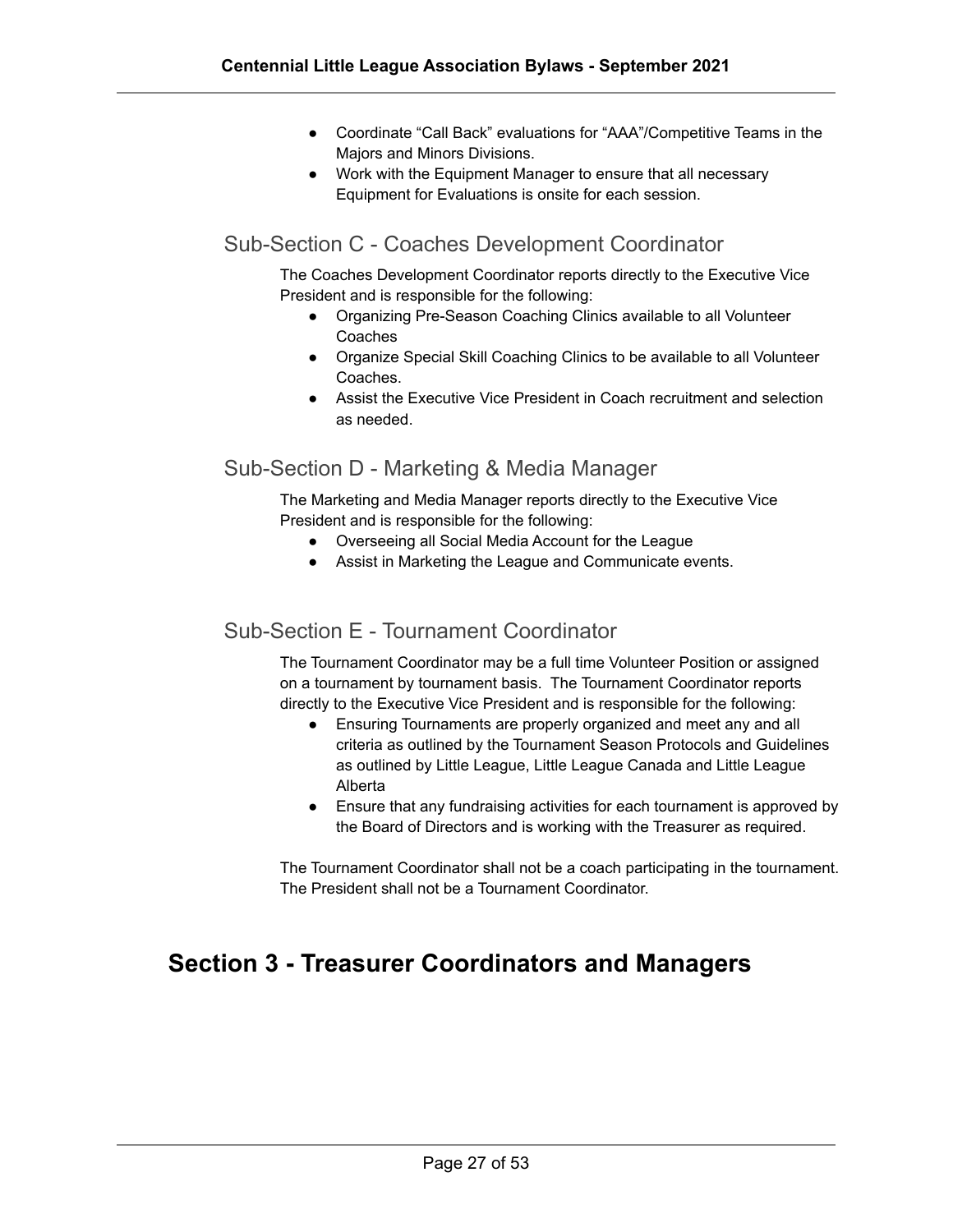- Coordinate "Call Back" evaluations for "AAA"/Competitive Teams in the Majors and Minors Divisions.
- Work with the Equipment Manager to ensure that all necessary Equipment for Evaluations is onsite for each session.

#### Sub-Section C - Coaches Development Coordinator

The Coaches Development Coordinator reports directly to the Executive Vice President and is responsible for the following:

- Organizing Pre-Season Coaching Clinics available to all Volunteer Coaches
- Organize Special Skill Coaching Clinics to be available to all Volunteer Coaches.
- Assist the Executive Vice President in Coach recruitment and selection as needed.

#### <span id="page-26-0"></span>Sub-Section D - Marketing & Media Manager

The Marketing and Media Manager reports directly to the Executive Vice President and is responsible for the following:

- Overseeing all Social Media Account for the League
- Assist in Marketing the League and Communicate events.

#### <span id="page-26-1"></span>Sub-Section E - Tournament Coordinator

The Tournament Coordinator may be a full time Volunteer Position or assigned on a tournament by tournament basis. The Tournament Coordinator reports directly to the Executive Vice President and is responsible for the following:

- Ensuring Tournaments are properly organized and meet any and all criteria as outlined by the Tournament Season Protocols and Guidelines as outlined by Little League, Little League Canada and Little League Alberta
- Ensure that any fundraising activities for each tournament is approved by the Board of Directors and is working with the Treasurer as required.

The Tournament Coordinator shall not be a coach participating in the tournament. The President shall not be a Tournament Coordinator.

#### <span id="page-26-2"></span>**Section 3 - Treasurer Coordinators and Managers**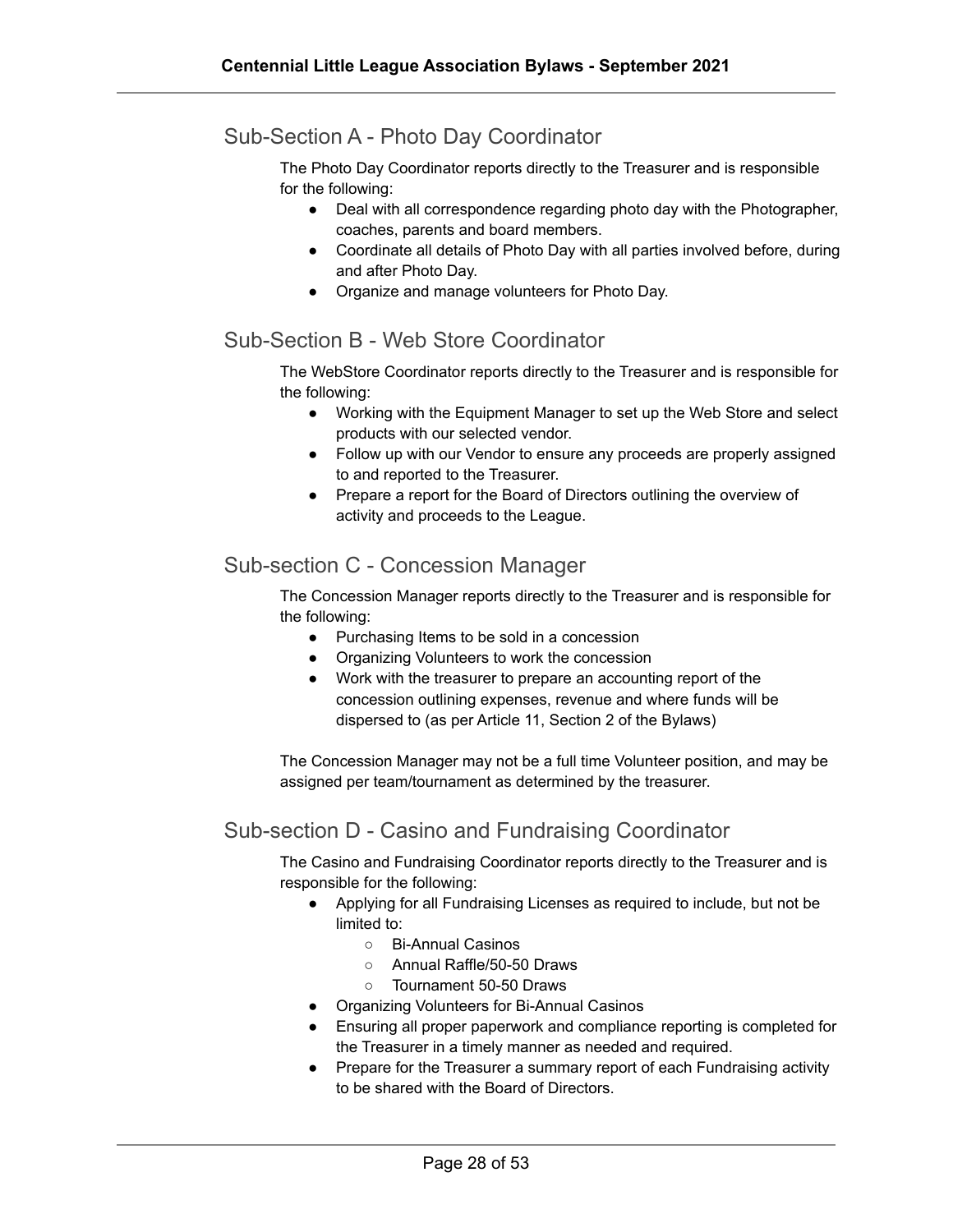#### Sub-Section A - Photo Day Coordinator

The Photo Day Coordinator reports directly to the Treasurer and is responsible for the following:

- Deal with all correspondence regarding photo day with the Photographer, coaches, parents and board members.
- Coordinate all details of Photo Day with all parties involved before, during and after Photo Day.
- Organize and manage volunteers for Photo Day.

#### Sub-Section B - Web Store Coordinator

The WebStore Coordinator reports directly to the Treasurer and is responsible for the following:

- Working with the Equipment Manager to set up the Web Store and select products with our selected vendor.
- Follow up with our Vendor to ensure any proceeds are properly assigned to and reported to the Treasurer.
- Prepare a report for the Board of Directors outlining the overview of activity and proceeds to the League.

#### <span id="page-27-0"></span>Sub-section C - Concession Manager

The Concession Manager reports directly to the Treasurer and is responsible for the following:

- Purchasing Items to be sold in a concession
- Organizing Volunteers to work the concession
- Work with the treasurer to prepare an accounting report of the concession outlining expenses, revenue and where funds will be dispersed to (as per Article 11, Section 2 of the Bylaws)

The Concession Manager may not be a full time Volunteer position, and may be assigned per team/tournament as determined by the treasurer.

#### <span id="page-27-1"></span>Sub-section D - Casino and Fundraising Coordinator

The Casino and Fundraising Coordinator reports directly to the Treasurer and is responsible for the following:

- Applying for all Fundraising Licenses as required to include, but not be limited to:
	- Bi-Annual Casinos
	- Annual Raffle/50-50 Draws
	- Tournament 50-50 Draws
- Organizing Volunteers for Bi-Annual Casinos
- Ensuring all proper paperwork and compliance reporting is completed for the Treasurer in a timely manner as needed and required.
- Prepare for the Treasurer a summary report of each Fundraising activity to be shared with the Board of Directors.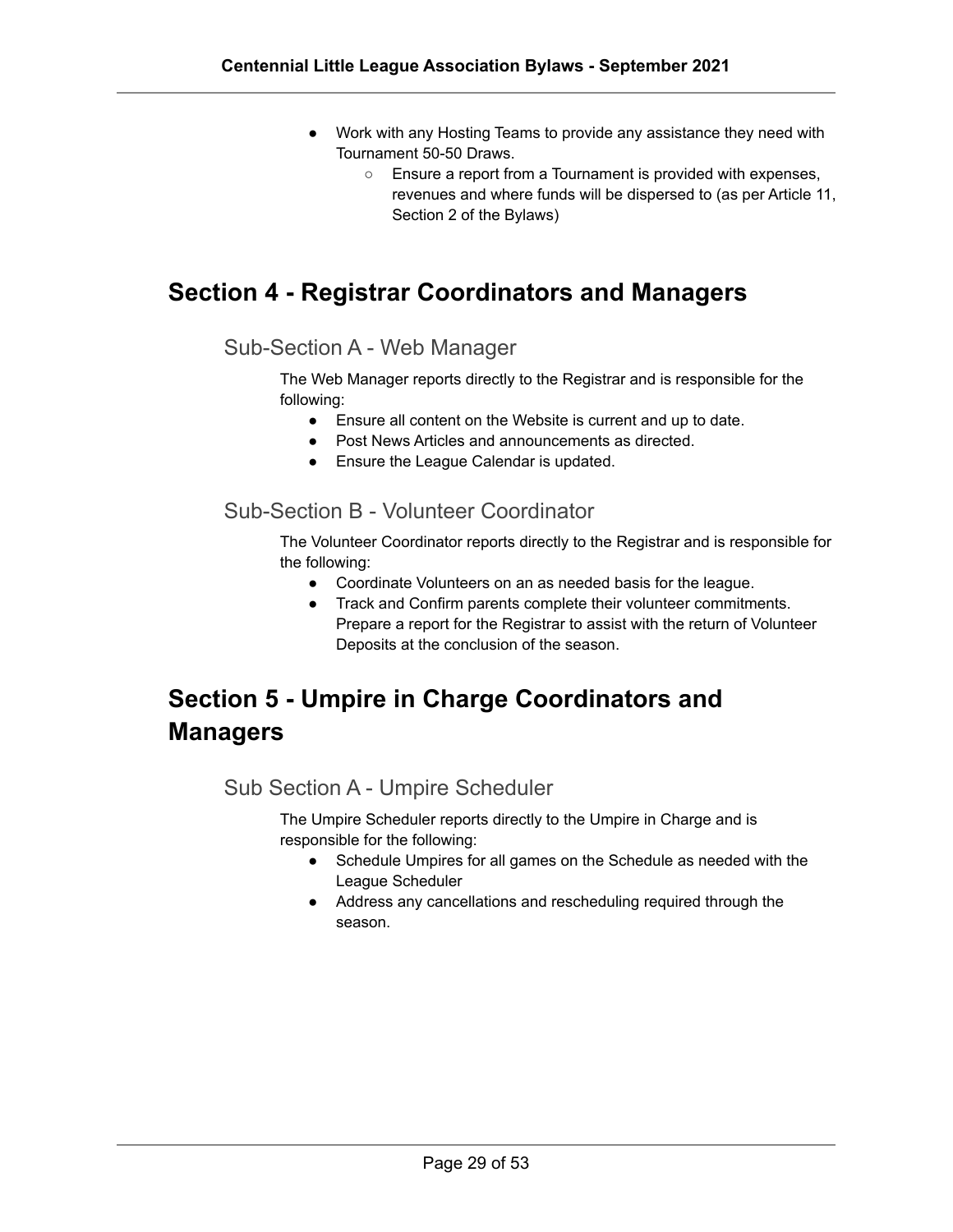- Work with any Hosting Teams to provide any assistance they need with Tournament 50-50 Draws.
	- Ensure a report from a Tournament is provided with expenses, revenues and where funds will be dispersed to (as per Article 11, Section 2 of the Bylaws)

#### <span id="page-28-0"></span>**Section 4 - Registrar Coordinators and Managers**

#### Sub-Section A - Web Manager

The Web Manager reports directly to the Registrar and is responsible for the following:

- Ensure all content on the Website is current and up to date.
- Post News Articles and announcements as directed.
- Ensure the League Calendar is updated.

#### <span id="page-28-1"></span>Sub-Section B - Volunteer Coordinator

The Volunteer Coordinator reports directly to the Registrar and is responsible for the following:

- Coordinate Volunteers on an as needed basis for the league.
- Track and Confirm parents complete their volunteer commitments. Prepare a report for the Registrar to assist with the return of Volunteer Deposits at the conclusion of the season.

# <span id="page-28-3"></span><span id="page-28-2"></span>**Section 5 - Umpire in Charge Coordinators and Managers**

#### Sub Section A - Umpire Scheduler

The Umpire Scheduler reports directly to the Umpire in Charge and is responsible for the following:

- Schedule Umpires for all games on the Schedule as needed with the League Scheduler
- Address any cancellations and rescheduling required through the season.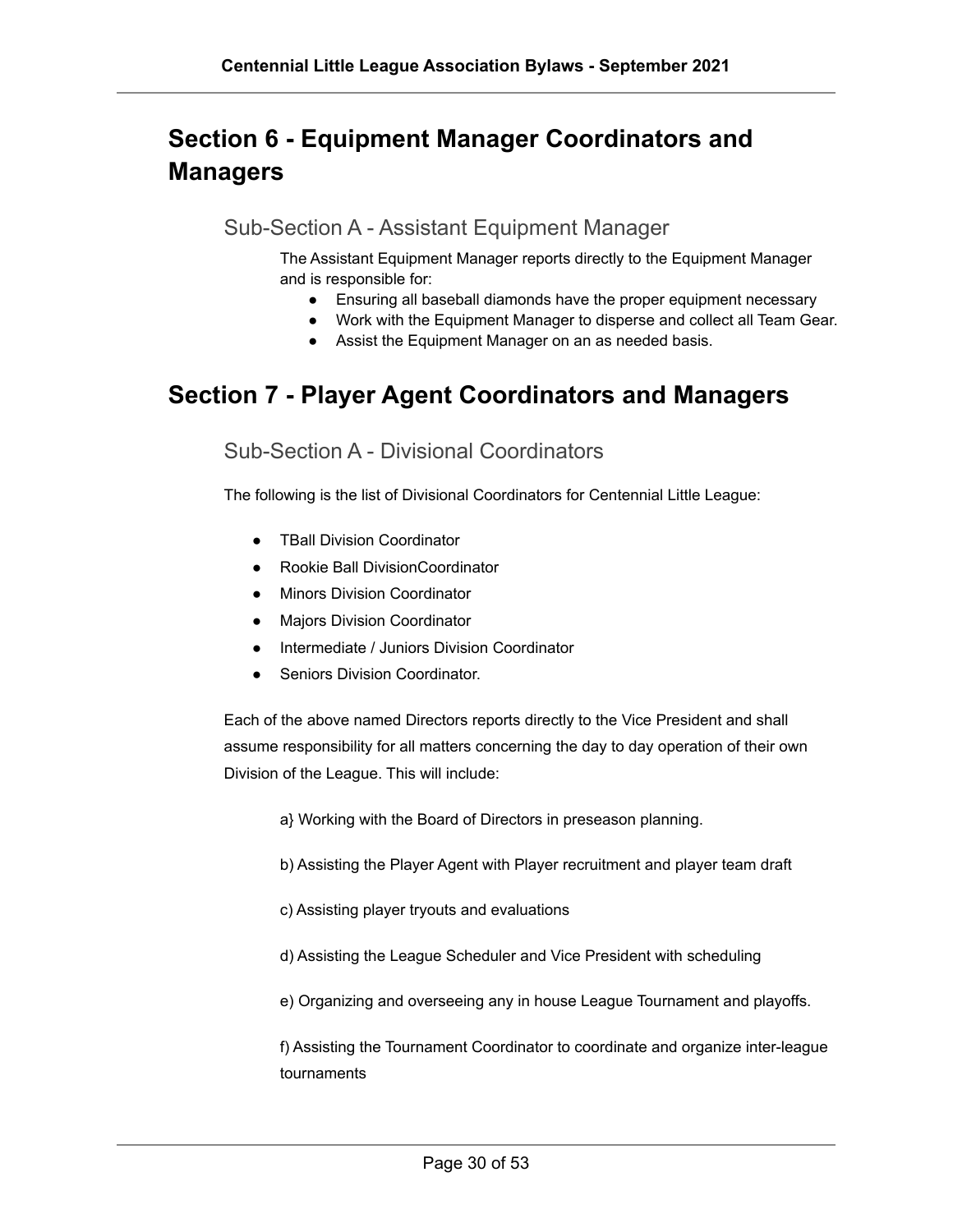# <span id="page-29-1"></span><span id="page-29-0"></span>**Section 6 - Equipment Manager Coordinators and Managers**

Sub-Section A - Assistant Equipment Manager

The Assistant Equipment Manager reports directly to the Equipment Manager and is responsible for:

- Ensuring all baseball diamonds have the proper equipment necessary
- Work with the Equipment Manager to disperse and collect all Team Gear.
- Assist the Equipment Manager on an as needed basis.

#### <span id="page-29-3"></span><span id="page-29-2"></span>**Section 7 - Player Agent Coordinators and Managers**

Sub-Section A - Divisional Coordinators

The following is the list of Divisional Coordinators for Centennial Little League:

- TBall Division Coordinator
- Rookie Ball DivisionCoordinator
- Minors Division Coordinator
- Majors Division Coordinator
- Intermediate / Juniors Division Coordinator
- Seniors Division Coordinator.

Each of the above named Directors reports directly to the Vice President and shall assume responsibility for all matters concerning the day to day operation of their own Division of the League. This will include:

- a} Working with the Board of Directors in preseason planning.
- b) Assisting the Player Agent with Player recruitment and player team draft
- c) Assisting player tryouts and evaluations
- d) Assisting the League Scheduler and Vice President with scheduling
- e) Organizing and overseeing any in house League Tournament and playoffs.

f) Assisting the Tournament Coordinator to coordinate and organize inter-league tournaments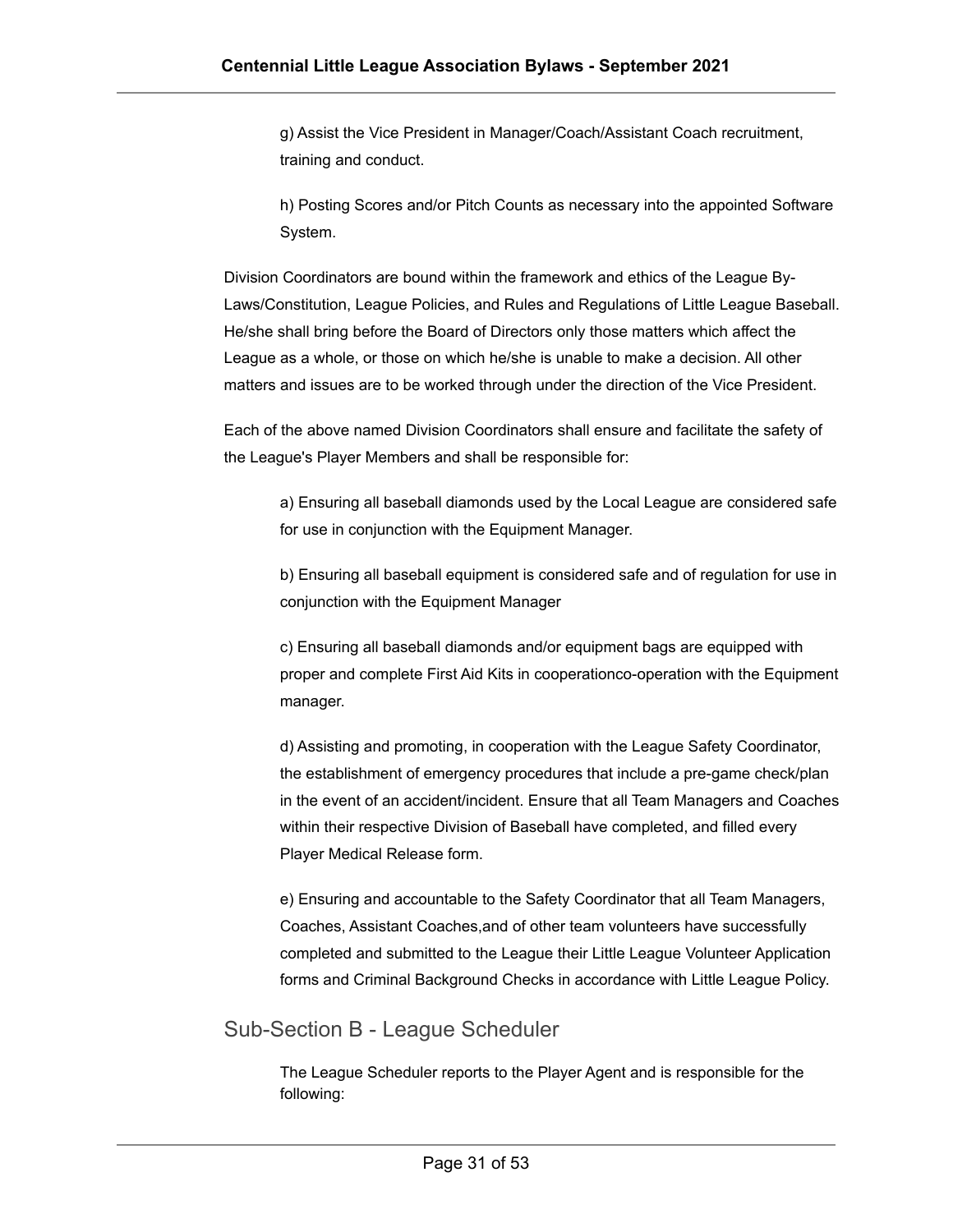g) Assist the Vice President in Manager/Coach/Assistant Coach recruitment, training and conduct.

h) Posting Scores and/or Pitch Counts as necessary into the appointed Software System.

Division Coordinators are bound within the framework and ethics of the League By-Laws/Constitution, League Policies, and Rules and Regulations of Little League Baseball. He/she shall bring before the Board of Directors only those matters which affect the League as a whole, or those on which he/she is unable to make a decision. All other matters and issues are to be worked through under the direction of the Vice President.

Each of the above named Division Coordinators shall ensure and facilitate the safety of the League's Player Members and shall be responsible for:

a) Ensuring all baseball diamonds used by the Local League are considered safe for use in conjunction with the Equipment Manager.

b) Ensuring all baseball equipment is considered safe and of regulation for use in conjunction with the Equipment Manager

c) Ensuring all baseball diamonds and/or equipment bags are equipped with proper and complete First Aid Kits in cooperationco-operation with the Equipment manager.

d) Assisting and promoting, in cooperation with the League Safety Coordinator, the establishment of emergency procedures that include a pre-game check/plan in the event of an accident/incident. Ensure that all Team Managers and Coaches within their respective Division of Baseball have completed, and filled every Player Medical Release form.

e) Ensuring and accountable to the Safety Coordinator that all Team Managers, Coaches, Assistant Coaches,and of other team volunteers have successfully completed and submitted to the League their Little League Volunteer Application forms and Criminal Background Checks in accordance with Little League Policy.

#### <span id="page-30-0"></span>Sub-Section B - League Scheduler

The League Scheduler reports to the Player Agent and is responsible for the following: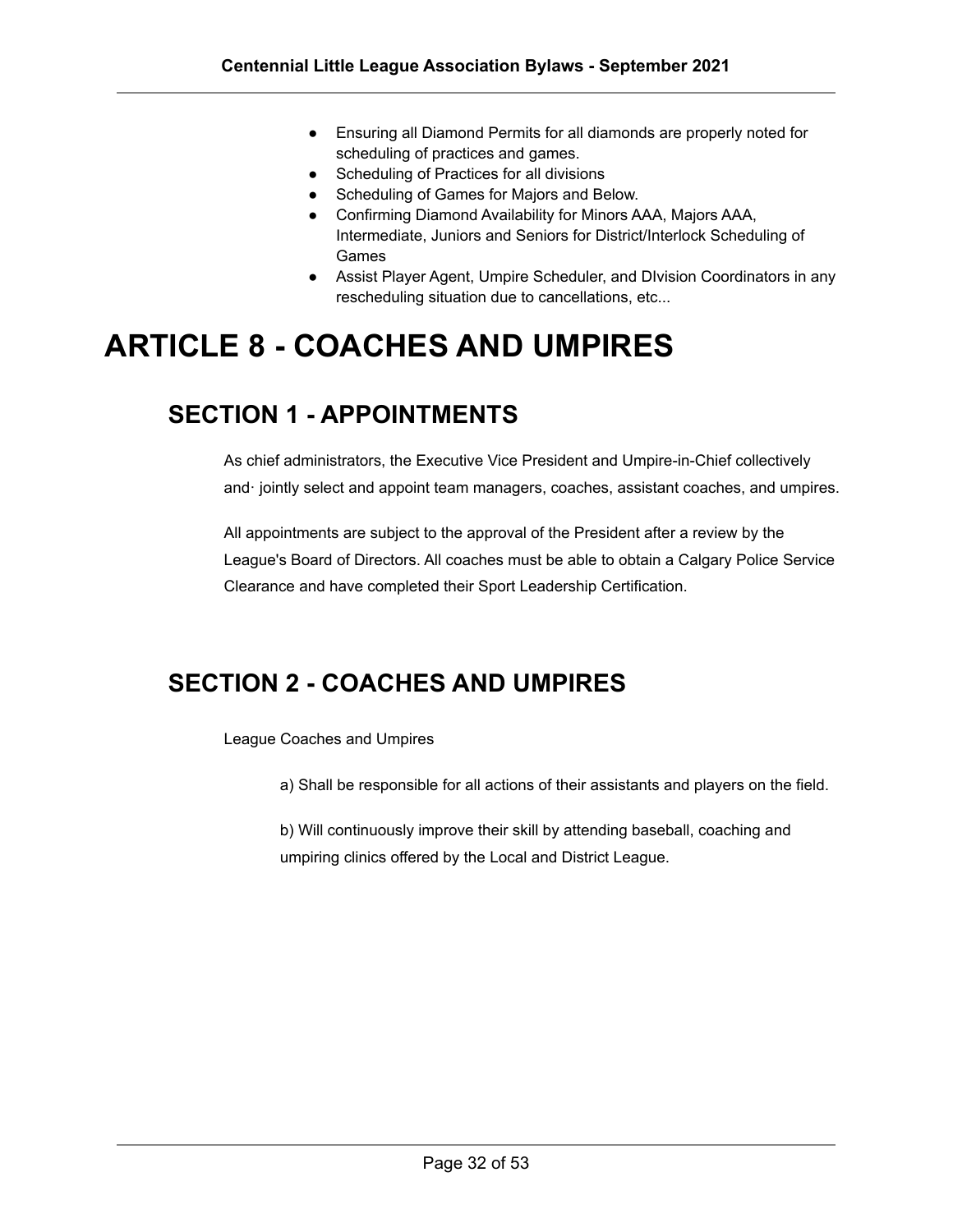- Ensuring all Diamond Permits for all diamonds are properly noted for scheduling of practices and games.
- Scheduling of Practices for all divisions
- Scheduling of Games for Majors and Below.
- Confirming Diamond Availability for Minors AAA, Majors AAA, Intermediate, Juniors and Seniors for District/Interlock Scheduling of Games
- Assist Player Agent, Umpire Scheduler, and DIvision Coordinators in any rescheduling situation due to cancellations, etc...

# <span id="page-31-0"></span>**ARTICLE 8 - COACHES AND UMPIRES**

#### <span id="page-31-1"></span>**SECTION 1 - APPOINTMENTS**

As chief administrators, the Executive Vice President and Umpire-in-Chief collectively and· jointly select and appoint team managers, coaches, assistant coaches, and umpires.

All appointments are subject to the approval of the President after a review by the League's Board of Directors. All coaches must be able to obtain a Calgary Police Service Clearance and have completed their Sport Leadership Certification.

#### <span id="page-31-2"></span>**SECTION 2 - COACHES AND UMPIRES**

League Coaches and Umpires

a) Shall be responsible for all actions of their assistants and players on the field.

b) Will continuously improve their skill by attending baseball, coaching and umpiring clinics offered by the Local and District League.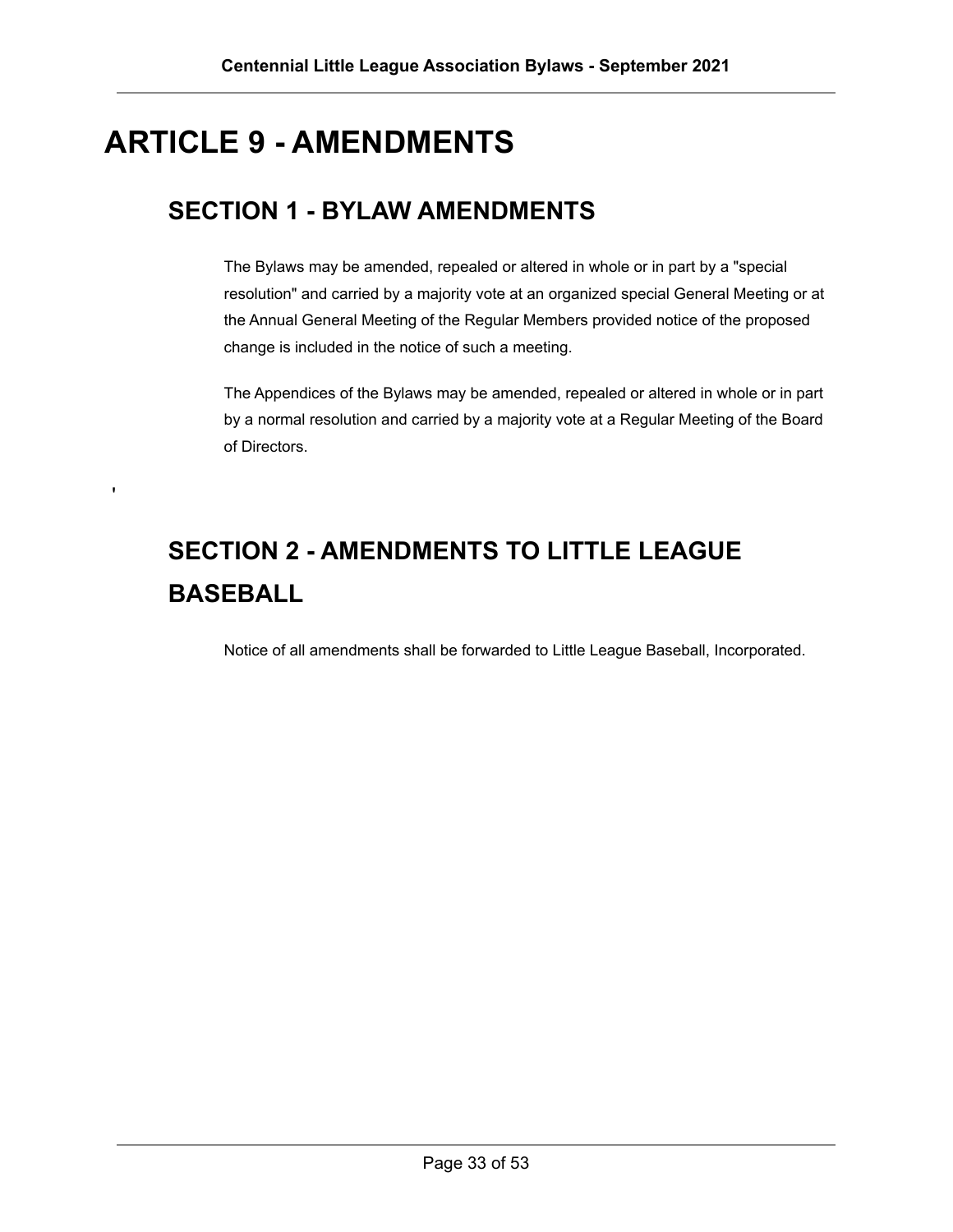# <span id="page-32-0"></span>**ARTICLE 9 - AMENDMENTS**

# <span id="page-32-1"></span>**SECTION 1 - BYLAW AMENDMENTS**

The Bylaws may be amended, repealed or altered in whole or in part by a "special resolution" and carried by a majority vote at an organized special General Meeting or at the Annual General Meeting of the Regular Members provided notice of the proposed change is included in the notice of such a meeting.

The Appendices of the Bylaws may be amended, repealed or altered in whole or in part by a normal resolution and carried by a majority vote at a Regular Meeting of the Board of Directors.

# <span id="page-32-2"></span>**SECTION 2 - AMENDMENTS TO LITTLE LEAGUE BASEBALL**

Notice of all amendments shall be forwarded to Little League Baseball, Incorporated.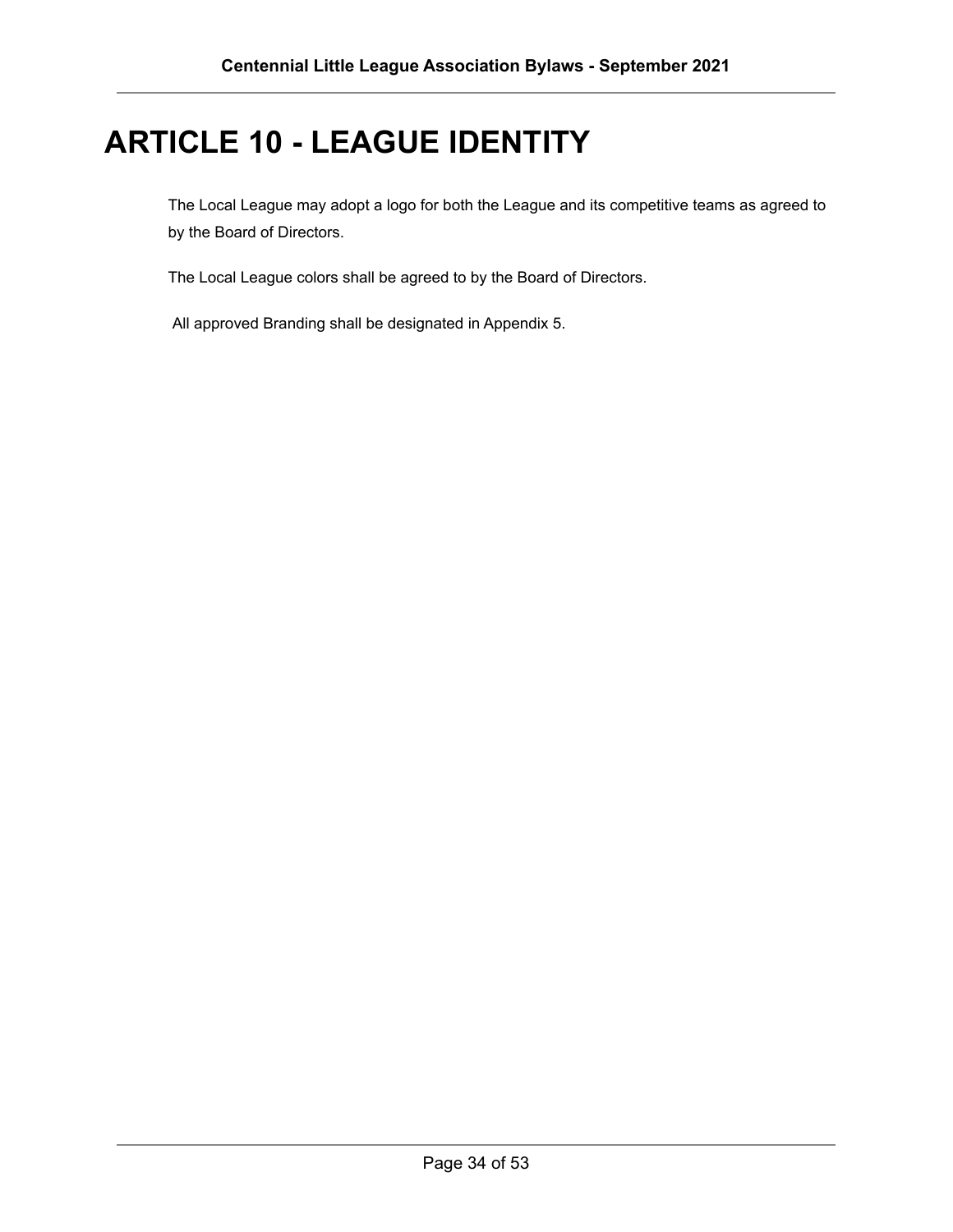# <span id="page-33-0"></span>**ARTICLE 10 - LEAGUE IDENTITY**

The Local League may adopt a logo for both the League and its competitive teams as agreed to by the Board of Directors.

The Local League colors shall be agreed to by the Board of Directors.

All approved Branding shall be designated in Appendix 5.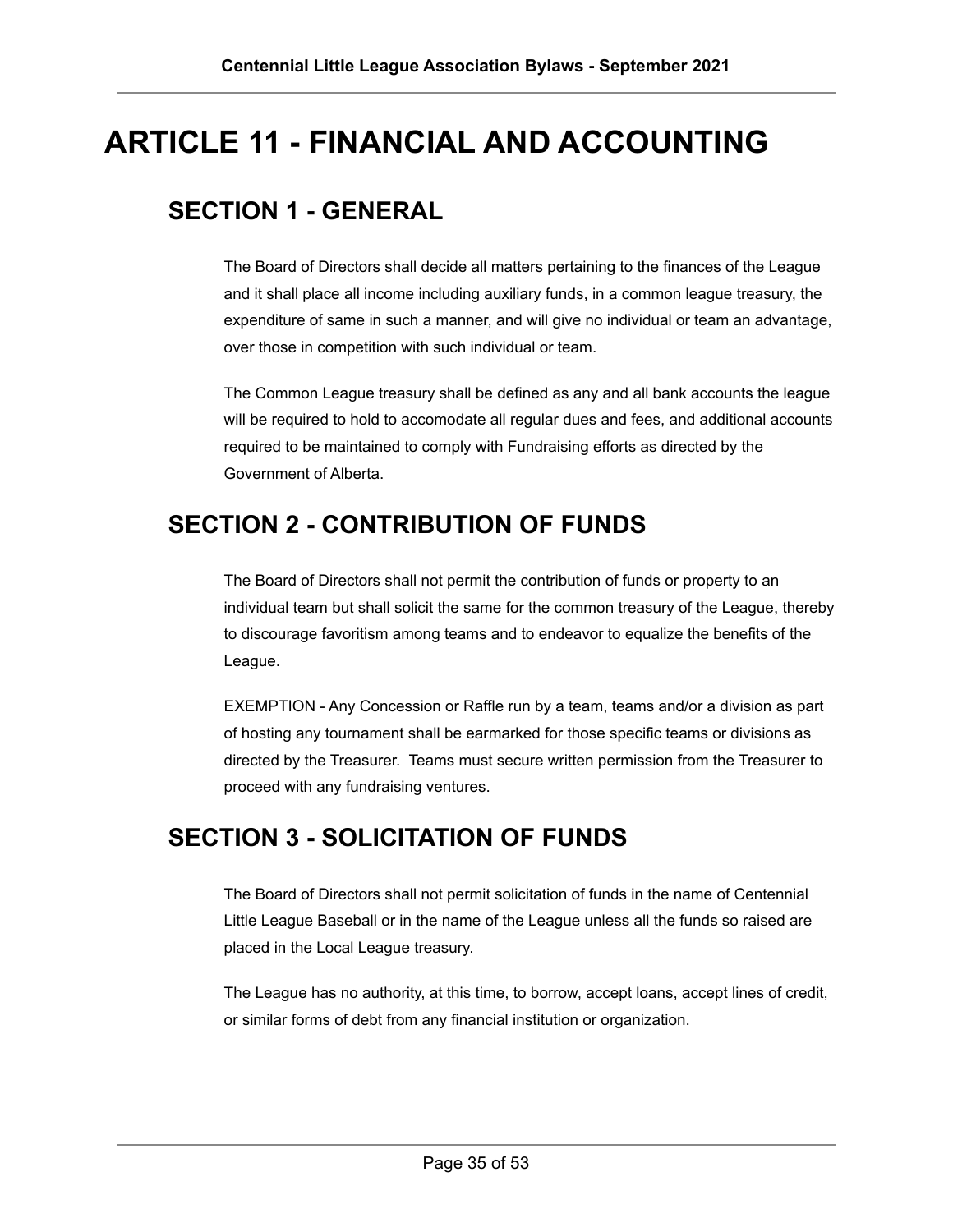# <span id="page-34-0"></span>**ARTICLE 11 - FINANCIAL AND ACCOUNTING**

# <span id="page-34-1"></span>**SECTION 1 - GENERAL**

The Board of Directors shall decide all matters pertaining to the finances of the League and it shall place all income including auxiliary funds, in a common league treasury, the expenditure of same in such a manner, and will give no individual or team an advantage, over those in competition with such individual or team.

The Common League treasury shall be defined as any and all bank accounts the league will be required to hold to accomodate all regular dues and fees, and additional accounts required to be maintained to comply with Fundraising efforts as directed by the Government of Alberta.

### <span id="page-34-2"></span>**SECTION 2 - CONTRIBUTION OF FUNDS**

The Board of Directors shall not permit the contribution of funds or property to an individual team but shall solicit the same for the common treasury of the League, thereby to discourage favoritism among teams and to endeavor to equalize the benefits of the League.

EXEMPTION - Any Concession or Raffle run by a team, teams and/or a division as part of hosting any tournament shall be earmarked for those specific teams or divisions as directed by the Treasurer. Teams must secure written permission from the Treasurer to proceed with any fundraising ventures.

#### <span id="page-34-3"></span>**SECTION 3 - SOLICITATION OF FUNDS**

The Board of Directors shall not permit solicitation of funds in the name of Centennial Little League Baseball or in the name of the League unless all the funds so raised are placed in the Local League treasury.

The League has no authority, at this time, to borrow, accept loans, accept lines of credit, or similar forms of debt from any financial institution or organization.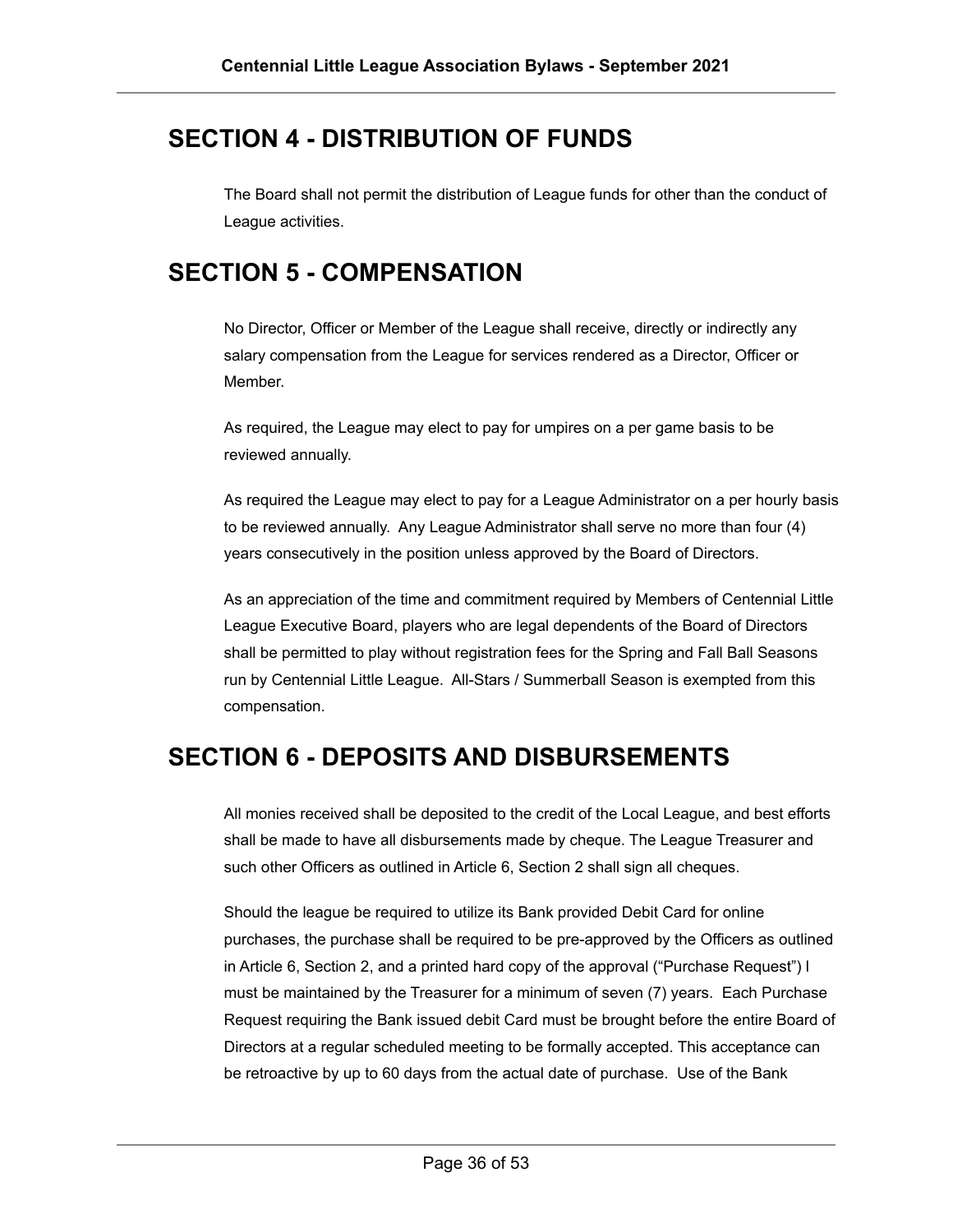#### <span id="page-35-0"></span>**SECTION 4 - DISTRIBUTION OF FUNDS**

The Board shall not permit the distribution of League funds for other than the conduct of League activities.

#### <span id="page-35-1"></span>**SECTION 5 - COMPENSATION**

No Director, Officer or Member of the League shall receive, directly or indirectly any salary compensation from the League for services rendered as a Director, Officer or Member.

As required, the League may elect to pay for umpires on a per game basis to be reviewed annually.

As required the League may elect to pay for a League Administrator on a per hourly basis to be reviewed annually. Any League Administrator shall serve no more than four (4) years consecutively in the position unless approved by the Board of Directors.

As an appreciation of the time and commitment required by Members of Centennial Little League Executive Board, players who are legal dependents of the Board of Directors shall be permitted to play without registration fees for the Spring and Fall Ball Seasons run by Centennial Little League. All-Stars / Summerball Season is exempted from this compensation.

#### <span id="page-35-2"></span>**SECTION 6 - DEPOSITS AND DISBURSEMENTS**

All monies received shall be deposited to the credit of the Local League, and best efforts shall be made to have all disbursements made by cheque. The League Treasurer and such other Officers as outlined in Article 6, Section 2 shall sign all cheques.

Should the league be required to utilize its Bank provided Debit Card for online purchases, the purchase shall be required to be pre-approved by the Officers as outlined in Article 6, Section 2, and a printed hard copy of the approval ("Purchase Request") l must be maintained by the Treasurer for a minimum of seven (7) years. Each Purchase Request requiring the Bank issued debit Card must be brought before the entire Board of Directors at a regular scheduled meeting to be formally accepted. This acceptance can be retroactive by up to 60 days from the actual date of purchase. Use of the Bank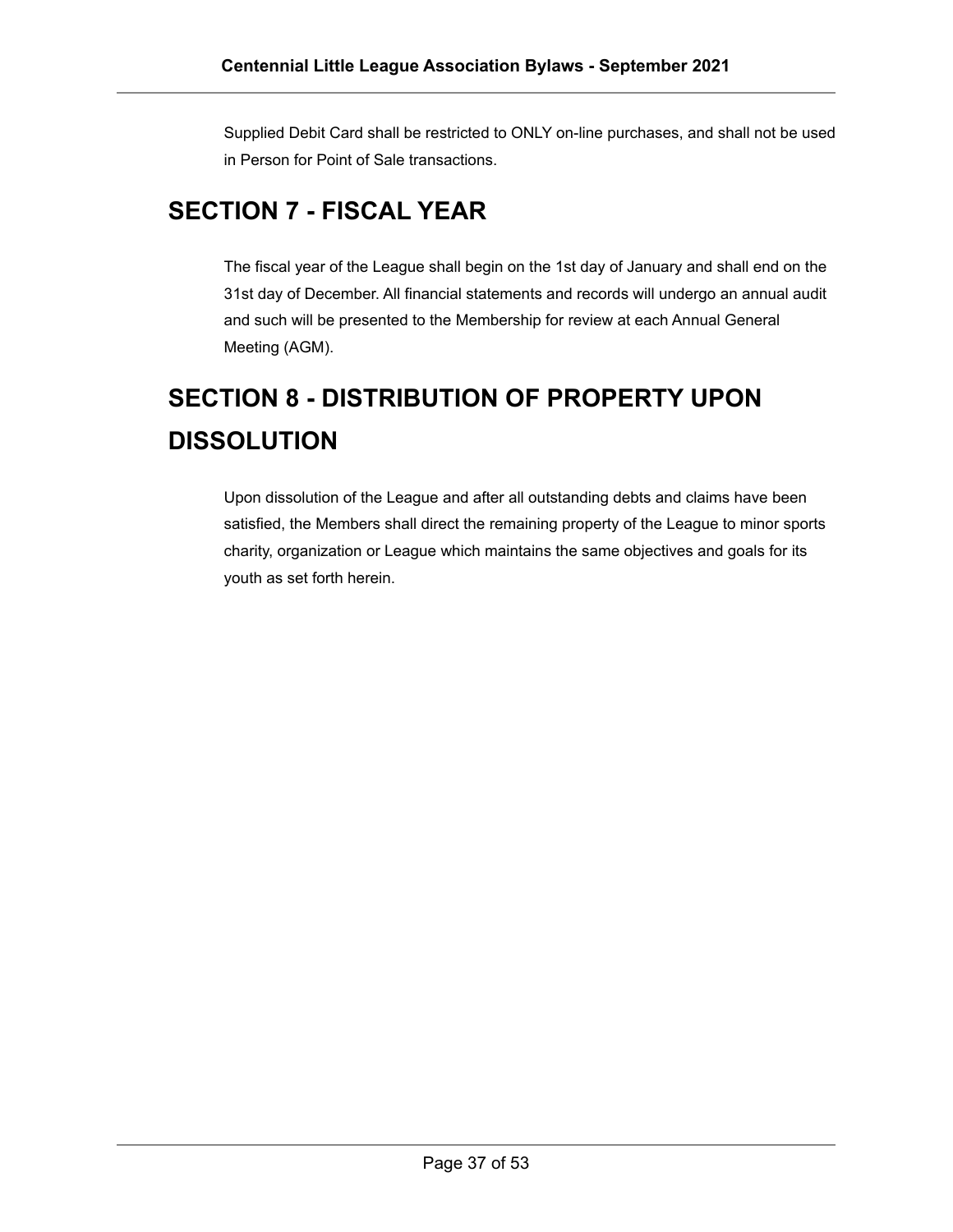Supplied Debit Card shall be restricted to ONLY on-line purchases, and shall not be used in Person for Point of Sale transactions.

# <span id="page-36-0"></span>**SECTION 7 - FISCAL YEAR**

The fiscal year of the League shall begin on the 1st day of January and shall end on the 31st day of December. All financial statements and records will undergo an annual audit and such will be presented to the Membership for review at each Annual General Meeting (AGM).

# <span id="page-36-1"></span>**SECTION 8 - DISTRIBUTION OF PROPERTY UPON DISSOLUTION**

Upon dissolution of the League and after all outstanding debts and claims have been satisfied, the Members shall direct the remaining property of the League to minor sports charity, organization or League which maintains the same objectives and goals for its youth as set forth herein.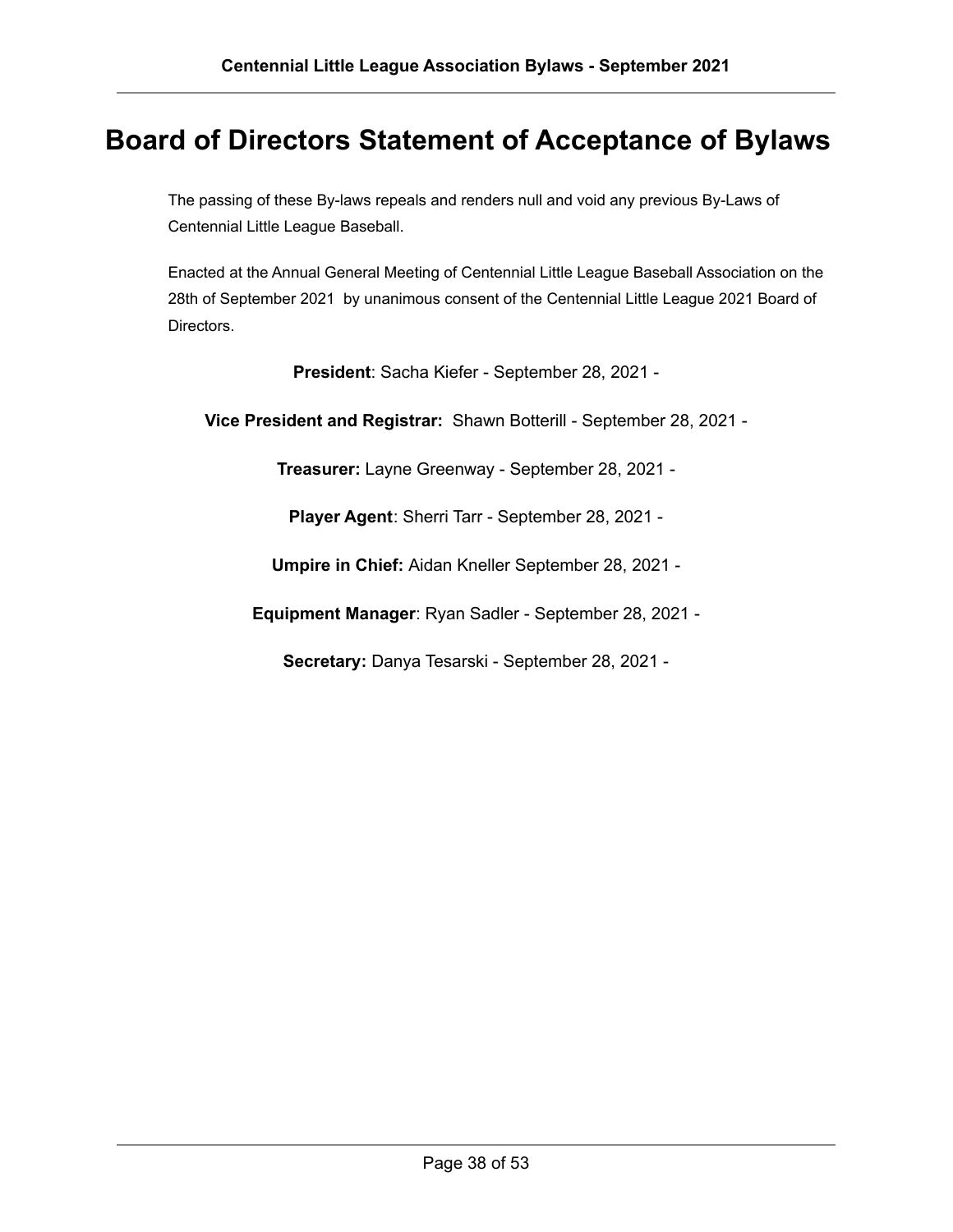# <span id="page-37-0"></span>**Board of Directors Statement of Acceptance of Bylaws**

The passing of these By-laws repeals and renders null and void any previous By-Laws of Centennial Little League Baseball.

Enacted at the Annual General Meeting of Centennial Little League Baseball Association on the 28th of September 2021 by unanimous consent of the Centennial Little League 2021 Board of Directors.

**President**: Sacha Kiefer - September 28, 2021 -

**Vice President and Registrar:** Shawn Botterill - September 28, 2021 -

**Treasurer:** Layne Greenway - September 28, 2021 -

**Player Agent**: Sherri Tarr - September 28, 2021 -

**Umpire in Chief:** Aidan Kneller September 28, 2021 -

**Equipment Manager**: Ryan Sadler - September 28, 2021 -

**Secretary:** Danya Tesarski - September 28, 2021 -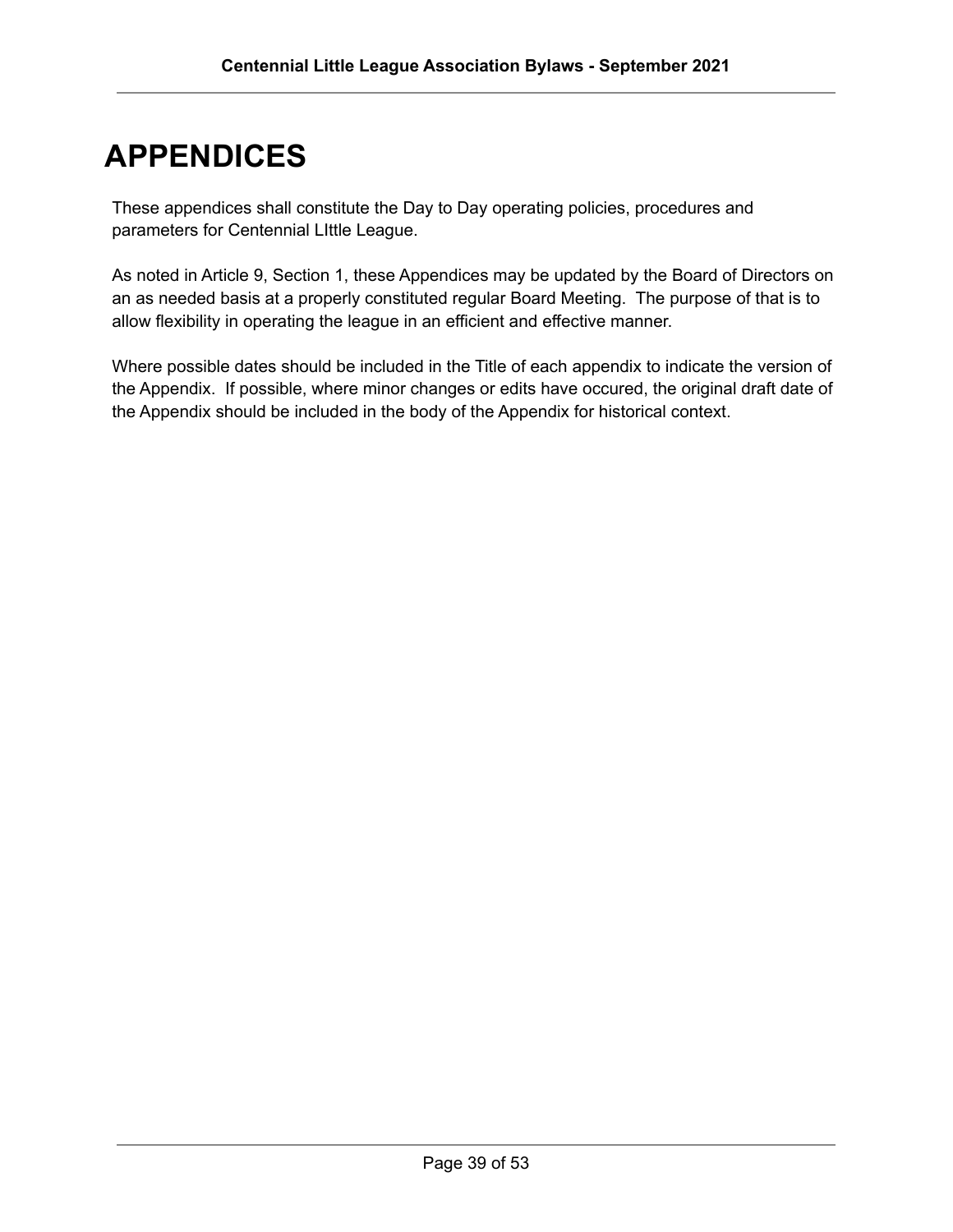# <span id="page-38-0"></span>**APPENDICES**

These appendices shall constitute the Day to Day operating policies, procedures and parameters for Centennial LIttle League.

As noted in Article 9, Section 1, these Appendices may be updated by the Board of Directors on an as needed basis at a properly constituted regular Board Meeting. The purpose of that is to allow flexibility in operating the league in an efficient and effective manner.

Where possible dates should be included in the Title of each appendix to indicate the version of the Appendix. If possible, where minor changes or edits have occured, the original draft date of the Appendix should be included in the body of the Appendix for historical context.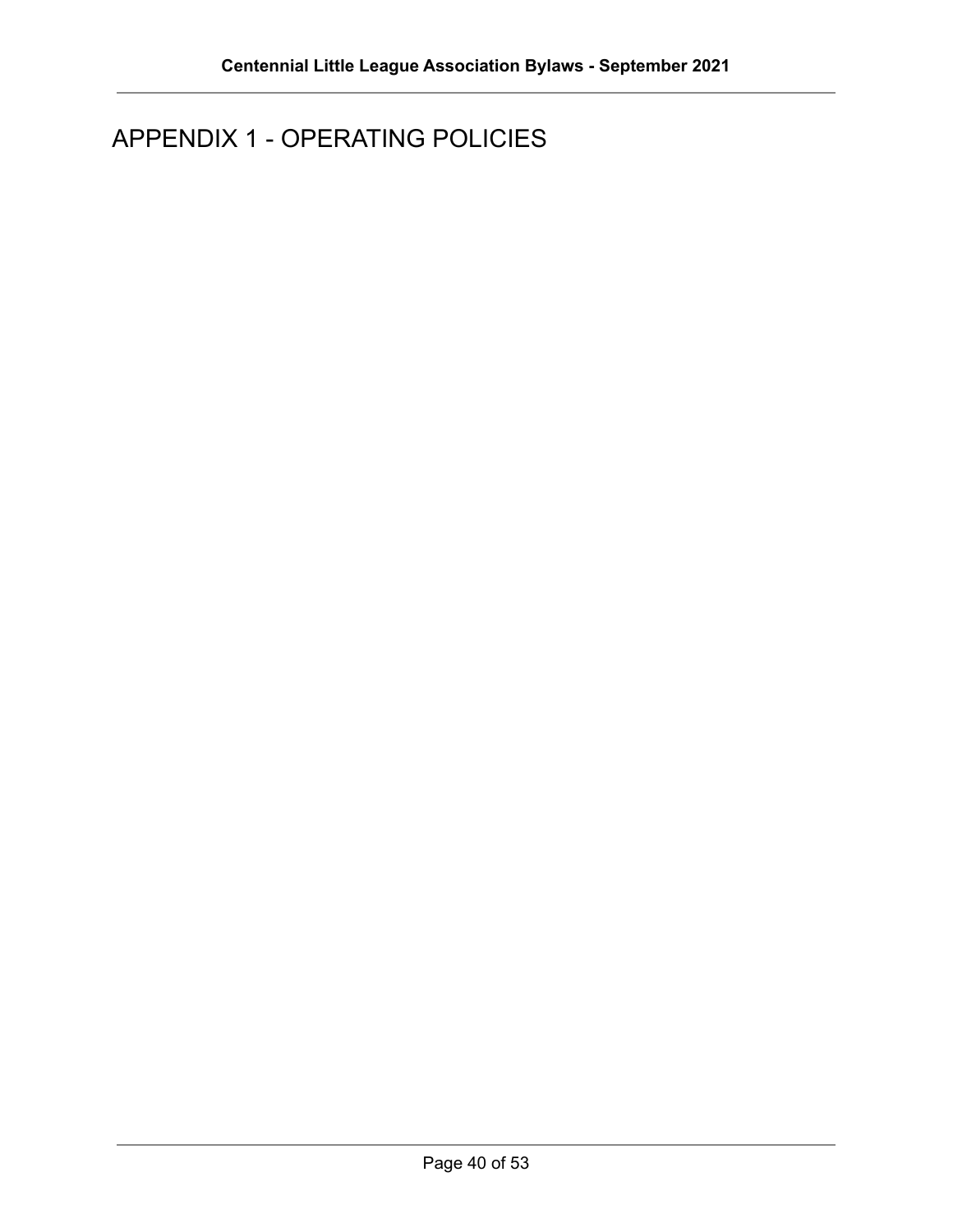# <span id="page-39-0"></span>APPENDIX 1 - OPERATING POLICIES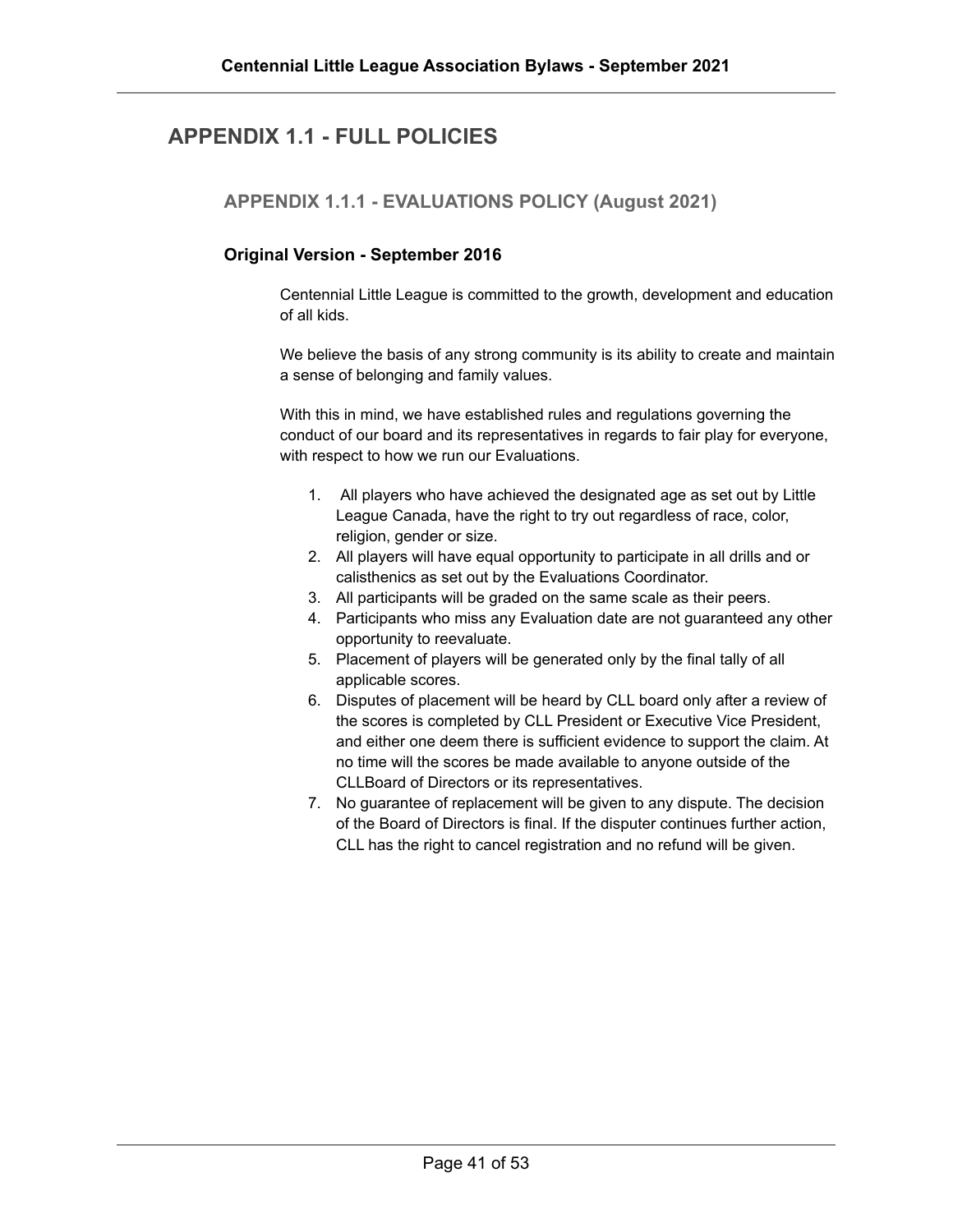#### <span id="page-40-1"></span><span id="page-40-0"></span>**APPENDIX 1.1 - FULL POLICIES**

**APPENDIX 1.1.1 - EVALUATIONS POLICY (August 2021)**

#### **Original Version - September 2016**

Centennial Little League is committed to the growth, development and education of all kids.

We believe the basis of any strong community is its ability to create and maintain a sense of belonging and family values.

With this in mind, we have established rules and regulations governing the conduct of our board and its representatives in regards to fair play for everyone, with respect to how we run our Evaluations.

- 1. All players who have achieved the designated age as set out by Little League Canada, have the right to try out regardless of race, color, religion, gender or size.
- 2. All players will have equal opportunity to participate in all drills and or calisthenics as set out by the Evaluations Coordinator.
- 3. All participants will be graded on the same scale as their peers.
- 4. Participants who miss any Evaluation date are not guaranteed any other opportunity to reevaluate.
- 5. Placement of players will be generated only by the final tally of all applicable scores.
- 6. Disputes of placement will be heard by CLL board only after a review of the scores is completed by CLL President or Executive Vice President, and either one deem there is sufficient evidence to support the claim. At no time will the scores be made available to anyone outside of the CLLBoard of Directors or its representatives.
- 7. No guarantee of replacement will be given to any dispute. The decision of the Board of Directors is final. If the disputer continues further action, CLL has the right to cancel registration and no refund will be given.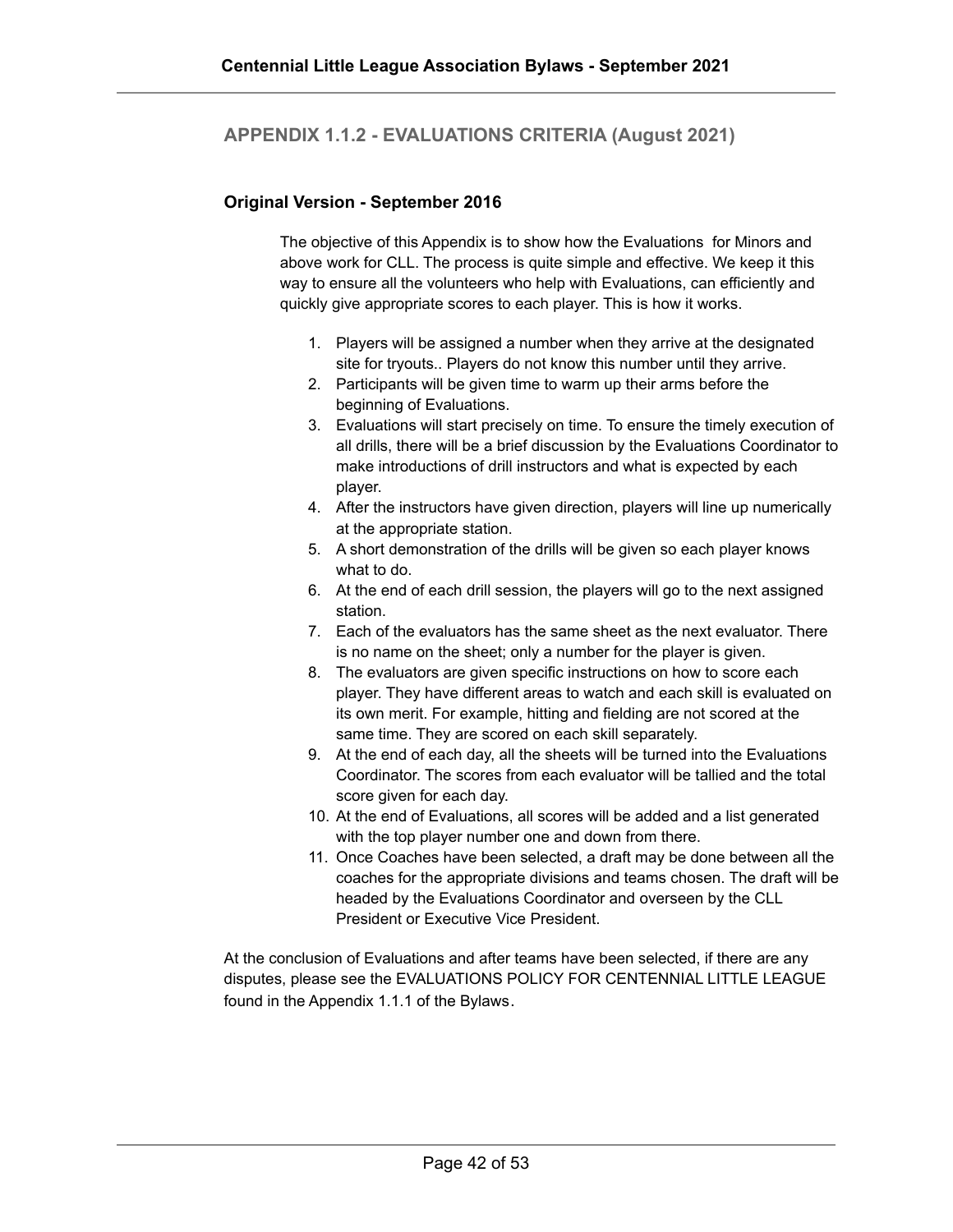#### <span id="page-41-0"></span>**APPENDIX 1.1.2 - EVALUATIONS CRITERIA (August 2021)**

#### **Original Version - September 2016**

The objective of this Appendix is to show how the Evaluations for Minors and above work for CLL. The process is quite simple and effective. We keep it this way to ensure all the volunteers who help with Evaluations, can efficiently and quickly give appropriate scores to each player. This is how it works.

- 1. Players will be assigned a number when they arrive at the designated site for tryouts.. Players do not know this number until they arrive.
- 2. Participants will be given time to warm up their arms before the beginning of Evaluations.
- 3. Evaluations will start precisely on time. To ensure the timely execution of all drills, there will be a brief discussion by the Evaluations Coordinator to make introductions of drill instructors and what is expected by each player.
- 4. After the instructors have given direction, players will line up numerically at the appropriate station.
- 5. A short demonstration of the drills will be given so each player knows what to do.
- 6. At the end of each drill session, the players will go to the next assigned station.
- 7. Each of the evaluators has the same sheet as the next evaluator. There is no name on the sheet; only a number for the player is given.
- 8. The evaluators are given specific instructions on how to score each player. They have different areas to watch and each skill is evaluated on its own merit. For example, hitting and fielding are not scored at the same time. They are scored on each skill separately.
- 9. At the end of each day, all the sheets will be turned into the Evaluations Coordinator. The scores from each evaluator will be tallied and the total score given for each day.
- 10. At the end of Evaluations, all scores will be added and a list generated with the top player number one and down from there.
- 11. Once Coaches have been selected, a draft may be done between all the coaches for the appropriate divisions and teams chosen. The draft will be headed by the Evaluations Coordinator and overseen by the CLL President or Executive Vice President.

At the conclusion of Evaluations and after teams have been selected, if there are any disputes, please see the EVALUATIONS POLICY FOR CENTENNIAL LITTLE LEAGUE found in the Appendix 1.1.1 of the Bylaws.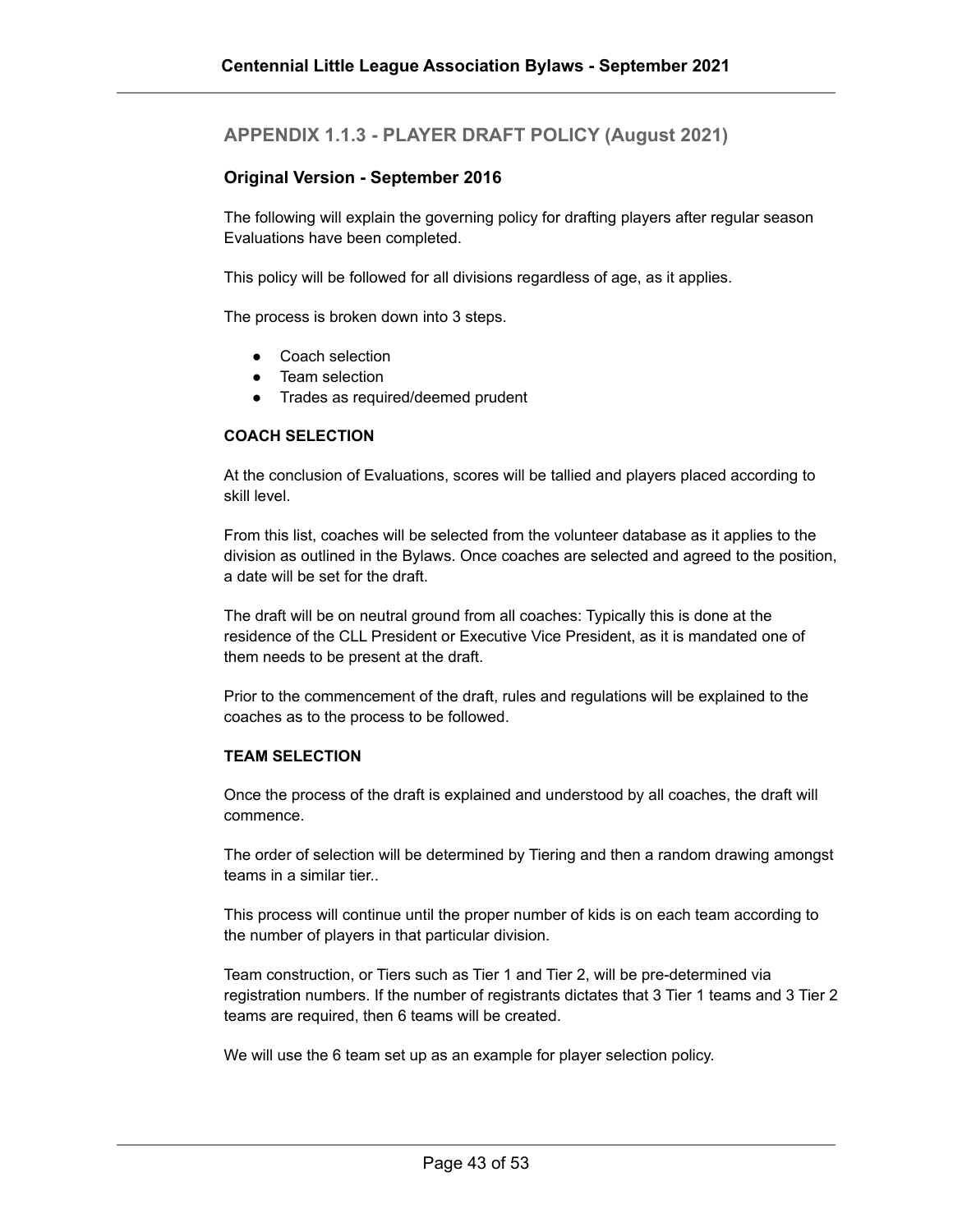#### <span id="page-42-0"></span>**APPENDIX 1.1.3 - PLAYER DRAFT POLICY (August 2021)**

#### **Original Version - September 2016**

The following will explain the governing policy for drafting players after regular season Evaluations have been completed.

This policy will be followed for all divisions regardless of age, as it applies.

The process is broken down into 3 steps.

- Coach selection
- Team selection
- Trades as required/deemed prudent

#### **COACH SELECTION**

At the conclusion of Evaluations, scores will be tallied and players placed according to skill level.

From this list, coaches will be selected from the volunteer database as it applies to the division as outlined in the Bylaws. Once coaches are selected and agreed to the position, a date will be set for the draft.

The draft will be on neutral ground from all coaches: Typically this is done at the residence of the CLL President or Executive Vice President, as it is mandated one of them needs to be present at the draft.

Prior to the commencement of the draft, rules and regulations will be explained to the coaches as to the process to be followed.

#### **TEAM SELECTION**

Once the process of the draft is explained and understood by all coaches, the draft will commence.

The order of selection will be determined by Tiering and then a random drawing amongst teams in a similar tier..

This process will continue until the proper number of kids is on each team according to the number of players in that particular division.

Team construction, or Tiers such as Tier 1 and Tier 2, will be pre-determined via registration numbers. If the number of registrants dictates that 3 Tier 1 teams and 3 Tier 2 teams are required, then 6 teams will be created.

We will use the 6 team set up as an example for player selection policy.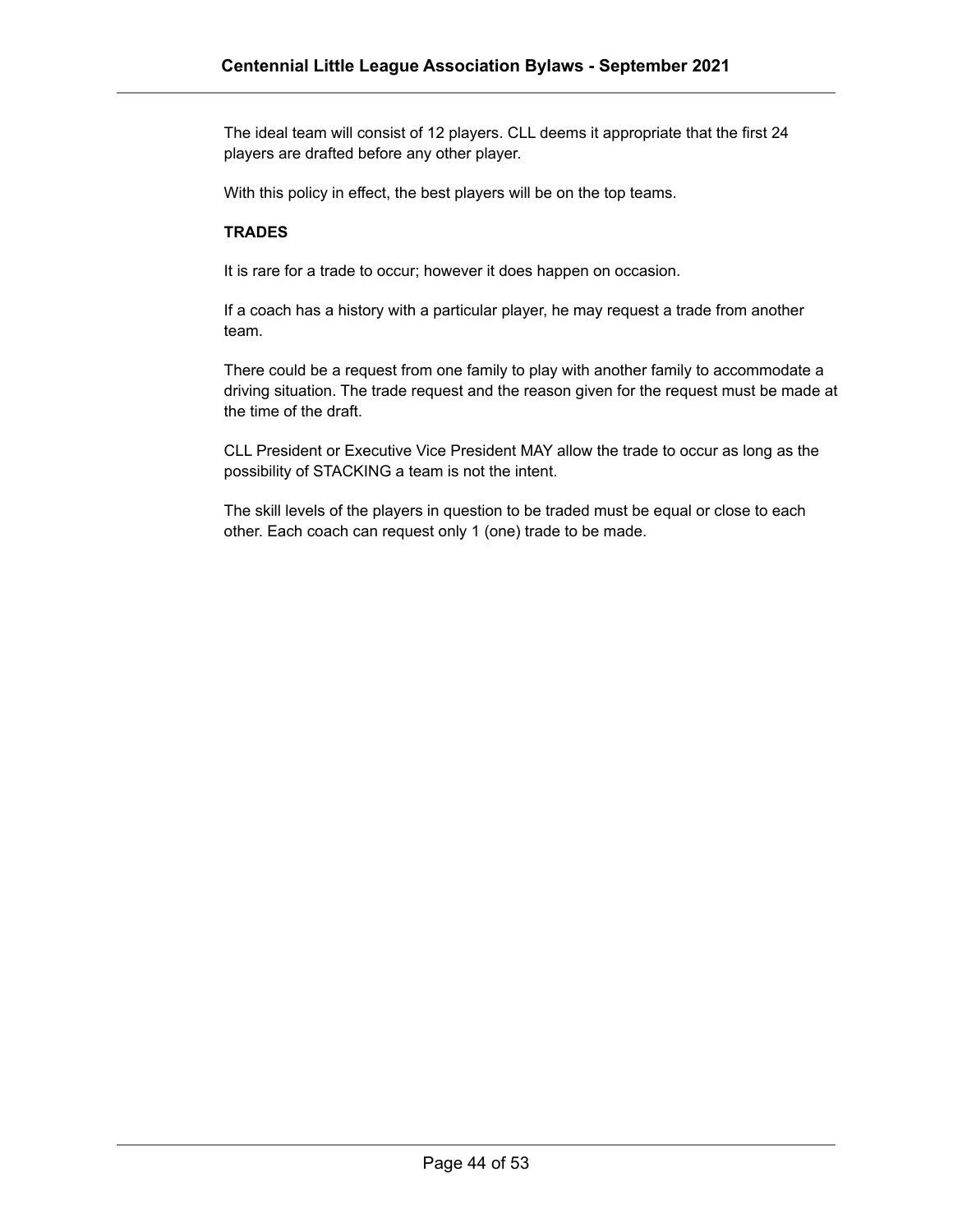The ideal team will consist of 12 players. CLL deems it appropriate that the first 24 players are drafted before any other player.

With this policy in effect, the best players will be on the top teams.

#### **TRADES**

It is rare for a trade to occur; however it does happen on occasion.

If a coach has a history with a particular player, he may request a trade from another team.

There could be a request from one family to play with another family to accommodate a driving situation. The trade request and the reason given for the request must be made at the time of the draft.

CLL President or Executive Vice President MAY allow the trade to occur as long as the possibility of STACKING a team is not the intent.

The skill levels of the players in question to be traded must be equal or close to each other. Each coach can request only 1 (one) trade to be made.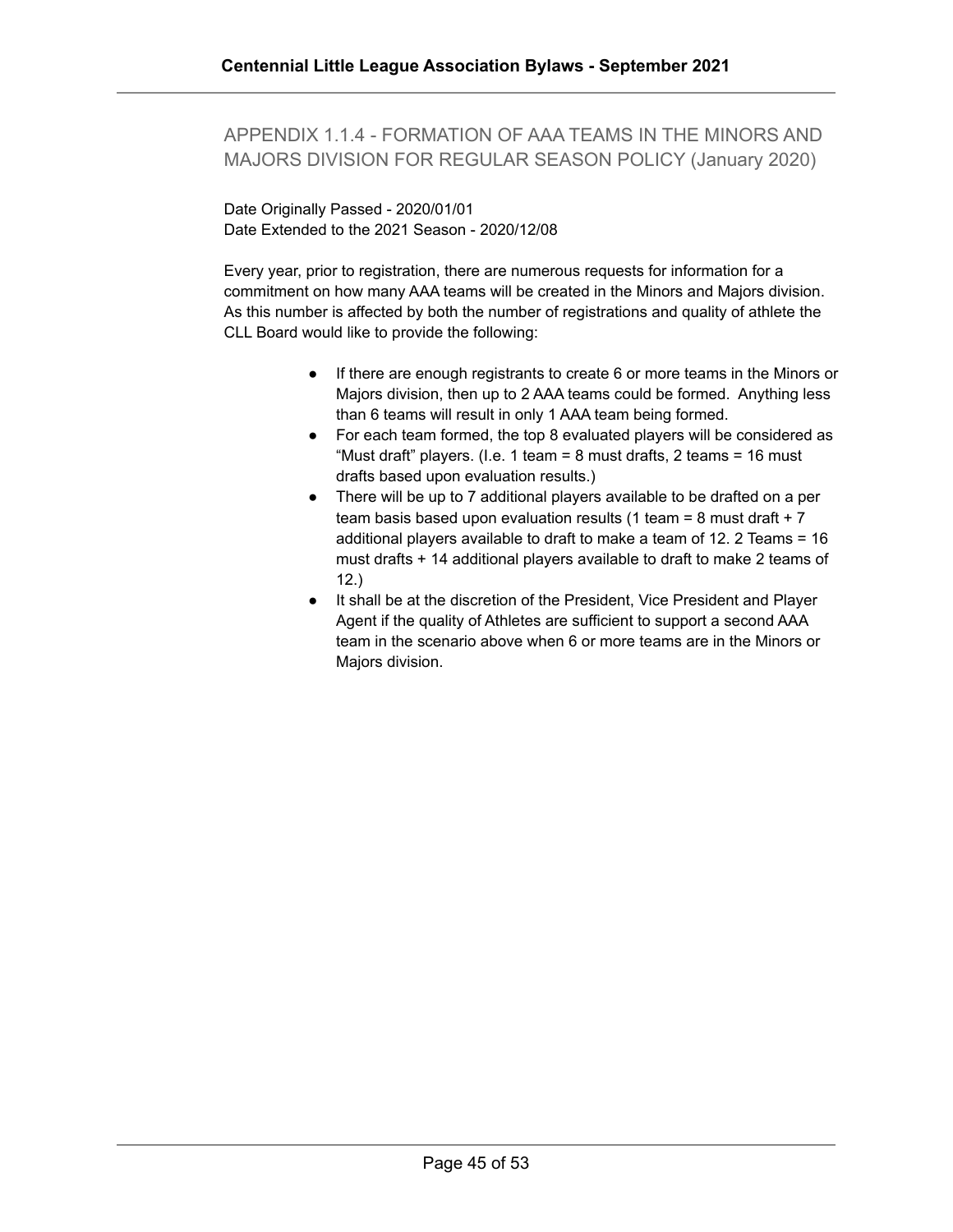#### <span id="page-44-0"></span>APPENDIX 1.1.4 - FORMATION OF AAA TEAMS IN THE MINORS AND MAJORS DIVISION FOR REGULAR SEASON POLICY (January 2020)

Date Originally Passed - 2020/01/01 Date Extended to the 2021 Season - 2020/12/08

Every year, prior to registration, there are numerous requests for information for a commitment on how many AAA teams will be created in the Minors and Majors division. As this number is affected by both the number of registrations and quality of athlete the CLL Board would like to provide the following:

- If there are enough registrants to create 6 or more teams in the Minors or Majors division, then up to 2 AAA teams could be formed. Anything less than 6 teams will result in only 1 AAA team being formed.
- For each team formed, the top 8 evaluated players will be considered as "Must draft" players. (I.e. 1 team = 8 must drafts, 2 teams = 16 must drafts based upon evaluation results.)
- There will be up to 7 additional players available to be drafted on a per team basis based upon evaluation results (1 team = 8 must draft  $+ 7$ additional players available to draft to make a team of 12. 2 Teams = 16 must drafts + 14 additional players available to draft to make 2 teams of 12.)
- It shall be at the discretion of the President, Vice President and Player Agent if the quality of Athletes are sufficient to support a second AAA team in the scenario above when 6 or more teams are in the Minors or Majors division.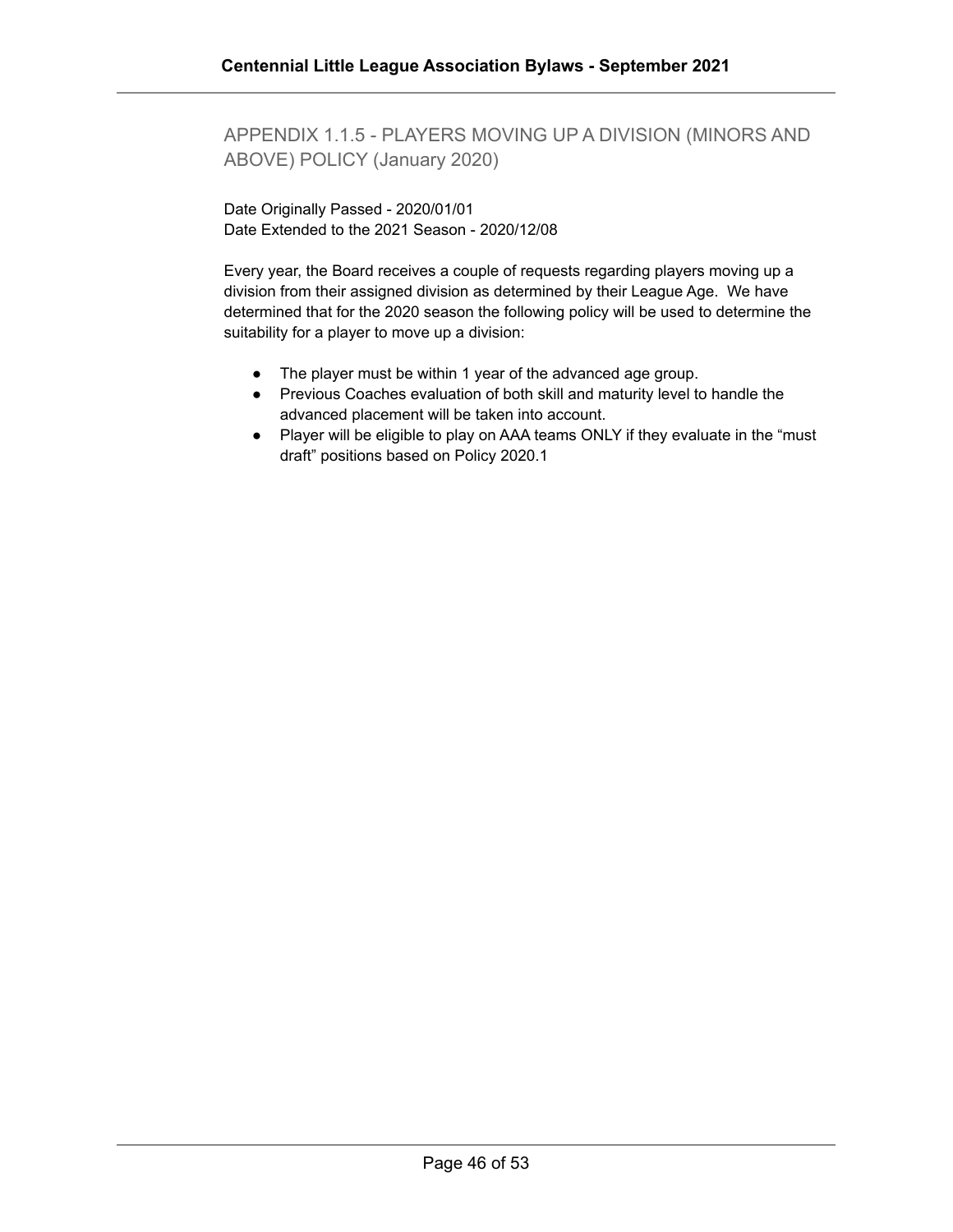<span id="page-45-0"></span>APPENDIX 1.1.5 - PLAYERS MOVING UP A DIVISION (MINORS AND ABOVE) POLICY (January 2020)

Date Originally Passed - 2020/01/01 Date Extended to the 2021 Season - 2020/12/08

Every year, the Board receives a couple of requests regarding players moving up a division from their assigned division as determined by their League Age. We have determined that for the 2020 season the following policy will be used to determine the suitability for a player to move up a division:

- The player must be within 1 year of the advanced age group.
- Previous Coaches evaluation of both skill and maturity level to handle the advanced placement will be taken into account.
- Player will be eligible to play on AAA teams ONLY if they evaluate in the "must draft" positions based on Policy 2020.1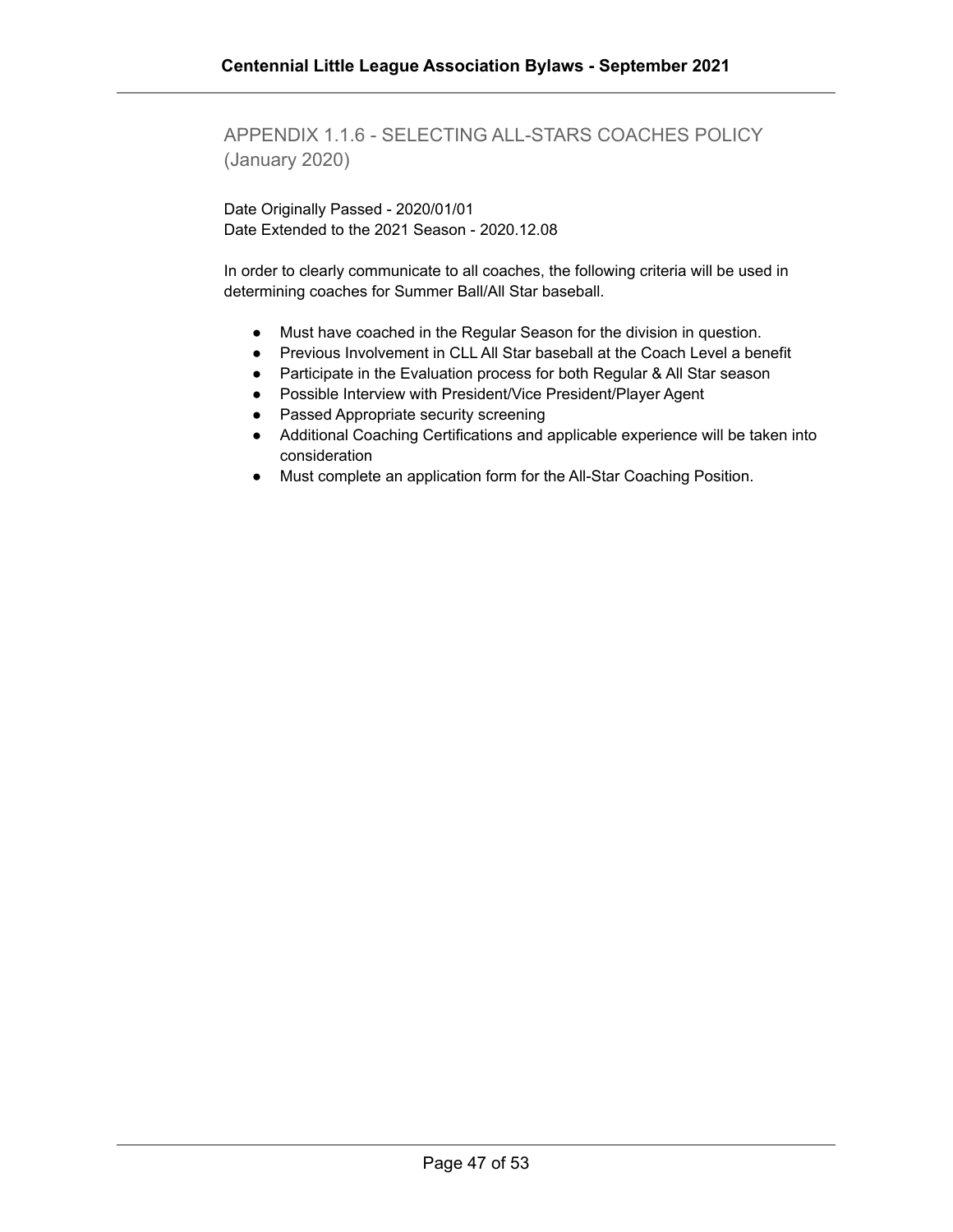<span id="page-46-0"></span>APPENDIX 1.1.6 - SELECTING ALL-STARS COACHES POLICY (January 2020)

Date Originally Passed - 2020/01/01 Date Extended to the 2021 Season - 2020.12.08

In order to clearly communicate to all coaches, the following criteria will be used in determining coaches for Summer Ball/All Star baseball.

- Must have coached in the Regular Season for the division in question.
- Previous Involvement in CLL All Star baseball at the Coach Level a benefit
- Participate in the Evaluation process for both Regular & All Star season
- Possible Interview with President/Vice President/Player Agent
- Passed Appropriate security screening
- Additional Coaching Certifications and applicable experience will be taken into consideration
- Must complete an application form for the All-Star Coaching Position.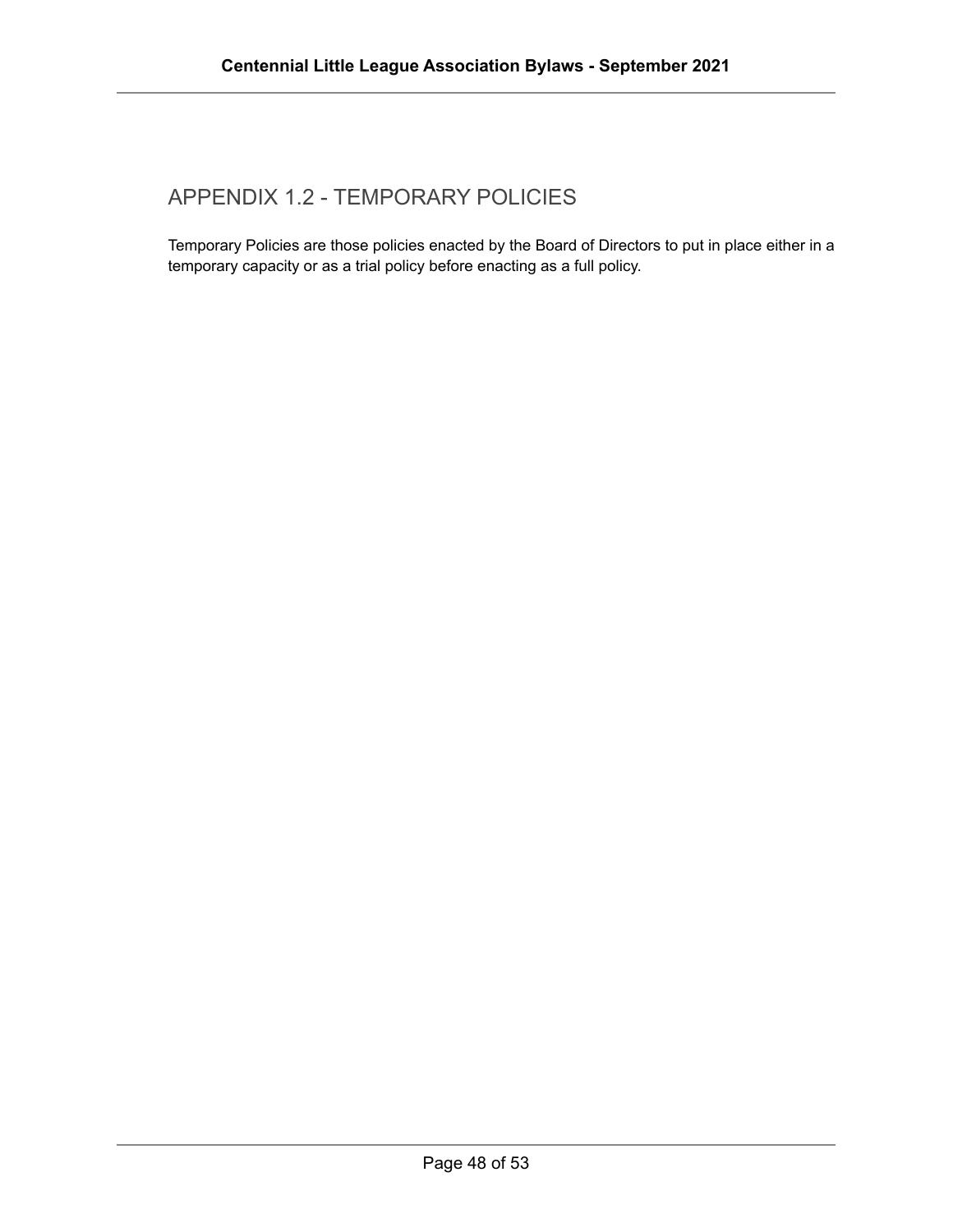#### <span id="page-47-0"></span>APPENDIX 1.2 - TEMPORARY POLICIES

Temporary Policies are those policies enacted by the Board of Directors to put in place either in a temporary capacity or as a trial policy before enacting as a full policy.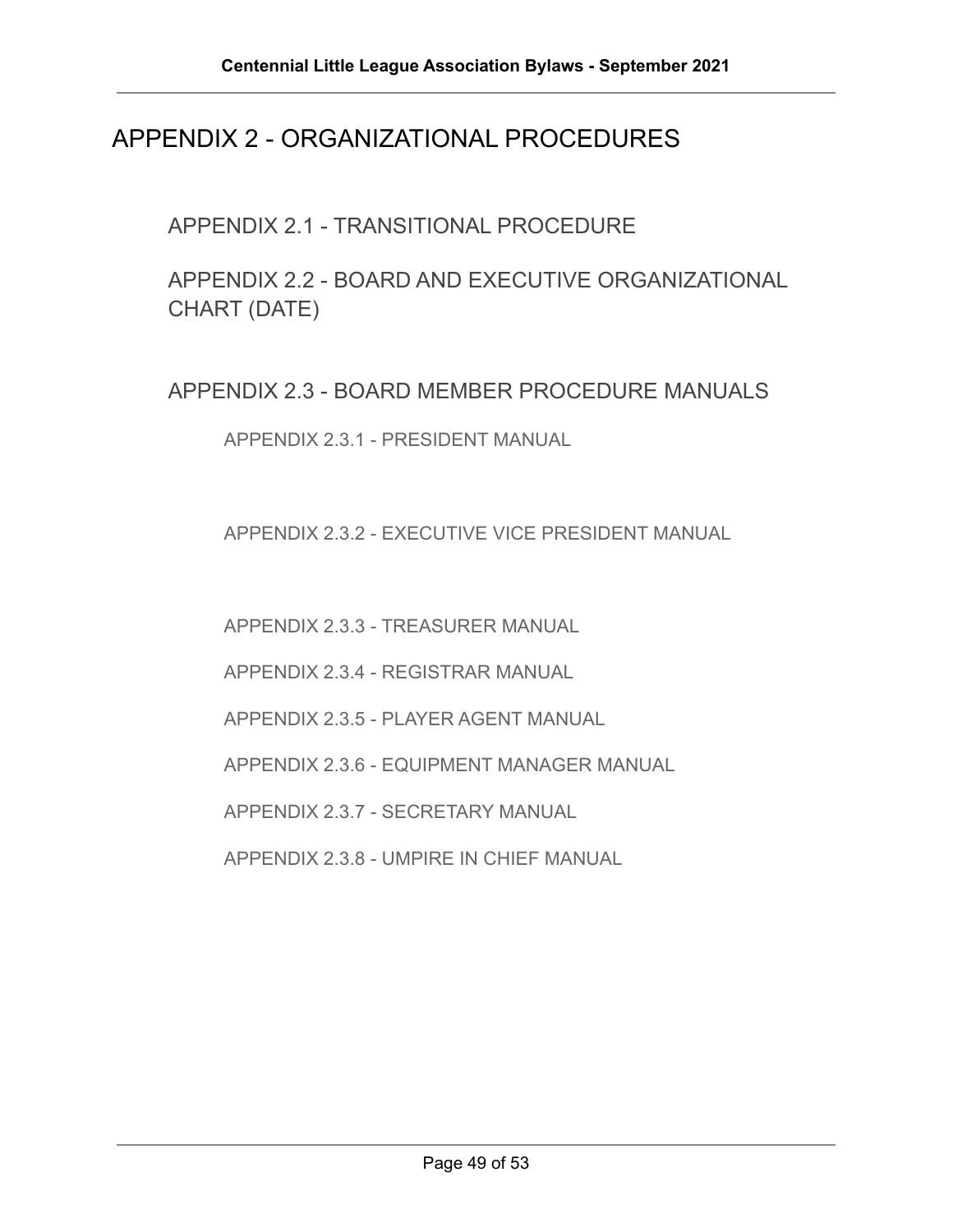#### <span id="page-48-0"></span>APPENDIX 2 - ORGANIZATIONAL PROCEDURES

<span id="page-48-1"></span>APPENDIX 2.1 - TRANSITIONAL PROCEDURE

<span id="page-48-2"></span>APPENDIX 2.2 - BOARD AND EXECUTIVE ORGANIZATIONAL CHART (DATE)

<span id="page-48-4"></span><span id="page-48-3"></span>APPENDIX 2.3 - BOARD MEMBER PROCEDURE MANUALS

APPENDIX 2.3.1 - PRESIDENT MANUAL

<span id="page-48-5"></span>APPENDIX 2.3.2 - EXECUTIVE VICE PRESIDENT MANUAL

APPENDIX 2.3.3 - TREASURER MANUAL

APPENDIX 2.3.4 - REGISTRAR MANUAL

APPENDIX 2.3.5 - PLAYER AGENT MANUAL

APPENDIX 2.3.6 - EQUIPMENT MANAGER MANUAL

APPENDIX 2.3.7 - SECRETARY MANUAL

<span id="page-48-6"></span>APPENDIX 2.3.8 - UMPIRE IN CHIEF MANUAL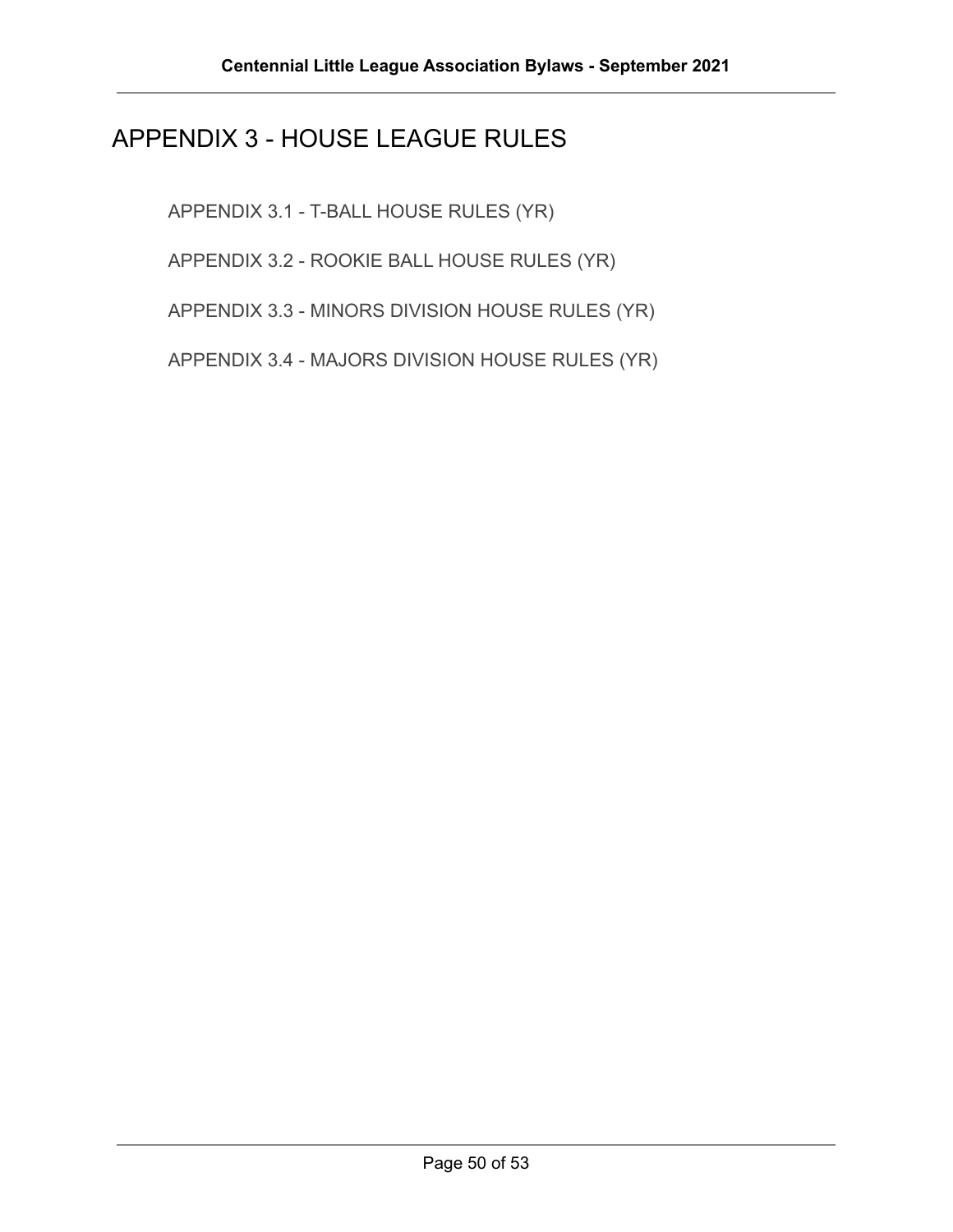### <span id="page-49-0"></span>APPENDIX 3 - HOUSE LEAGUE RULES

APPENDIX 3.1 - T-BALL HOUSE RULES (YR)

APPENDIX 3.2 - ROOKIE BALL HOUSE RULES (YR)

APPENDIX 3.3 - MINORS DIVISION HOUSE RULES (YR)

<span id="page-49-1"></span>APPENDIX 3.4 - MAJORS DIVISION HOUSE RULES (YR)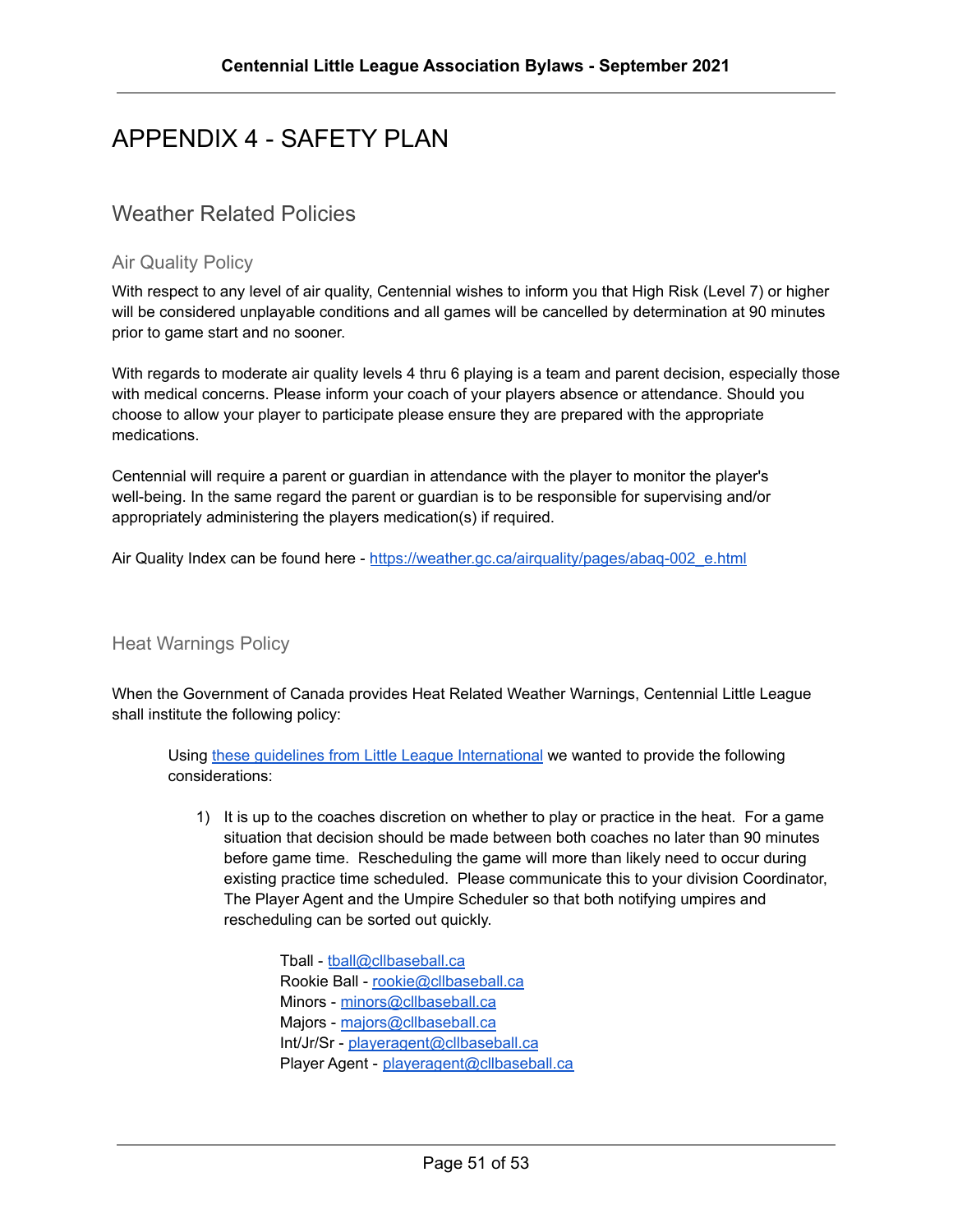#### <span id="page-50-0"></span>APPENDIX 4 - SAFETY PLAN

#### <span id="page-50-1"></span>Weather Related Policies

#### <span id="page-50-2"></span>Air Quality Policy

With respect to any level of air quality, Centennial wishes to inform you that High Risk (Level 7) or higher will be considered unplayable conditions and all games will be cancelled by determination at 90 minutes prior to game start and no sooner.

With regards to moderate air quality levels 4 thru 6 playing is a team and parent decision, especially those with medical concerns. Please inform your coach of your players absence or attendance. Should you choose to allow your player to participate please ensure they are prepared with the appropriate medications.

Centennial will require a parent or guardian in attendance with the player to monitor the player's well-being. In the same regard the parent or guardian is to be responsible for supervising and/or appropriately administering the players medication(s) if required.

Air Quality Index can be found here - [https://weather.gc.ca/airquality/pages/abaq-002\\_e.html](https://weather.gc.ca/airquality/pages/abaq-002_e.html)

#### <span id="page-50-3"></span>Heat Warnings Policy

When the Government of Canada provides Heat Related Weather Warnings, Centennial Little League shall institute the following policy:

Using these guidelines from Little League [International](https://www.littleleague.org/university/articles/staying-safer-in-unsafe-weather/) we wanted to provide the following considerations:

- 1) It is up to the coaches discretion on whether to play or practice in the heat. For a game situation that decision should be made between both coaches no later than 90 minutes before game time. Rescheduling the game will more than likely need to occur during existing practice time scheduled. Please communicate this to your division Coordinator, The Player Agent and the Umpire Scheduler so that both notifying umpires and rescheduling can be sorted out quickly.
	- Tball [tball@cllbaseball.ca](mailto:tball@cllbaseball.ca) Rookie Ball - [rookie@cllbaseball.ca](mailto:rookie@cllbaseball.ca) Minors - [minors@cllbaseball.ca](mailto:minors@cllbaseball.ca) Majors - [majors@cllbaseball.ca](mailto:majors@cllbaseball.ca) Int/Jr/Sr - [playeragent@cllbaseball.ca](mailto:playeragent@cllbaseball.ca) Player Agent - [playeragent@cllbaseball.ca](mailto:playeragent@cllbaseball.ca)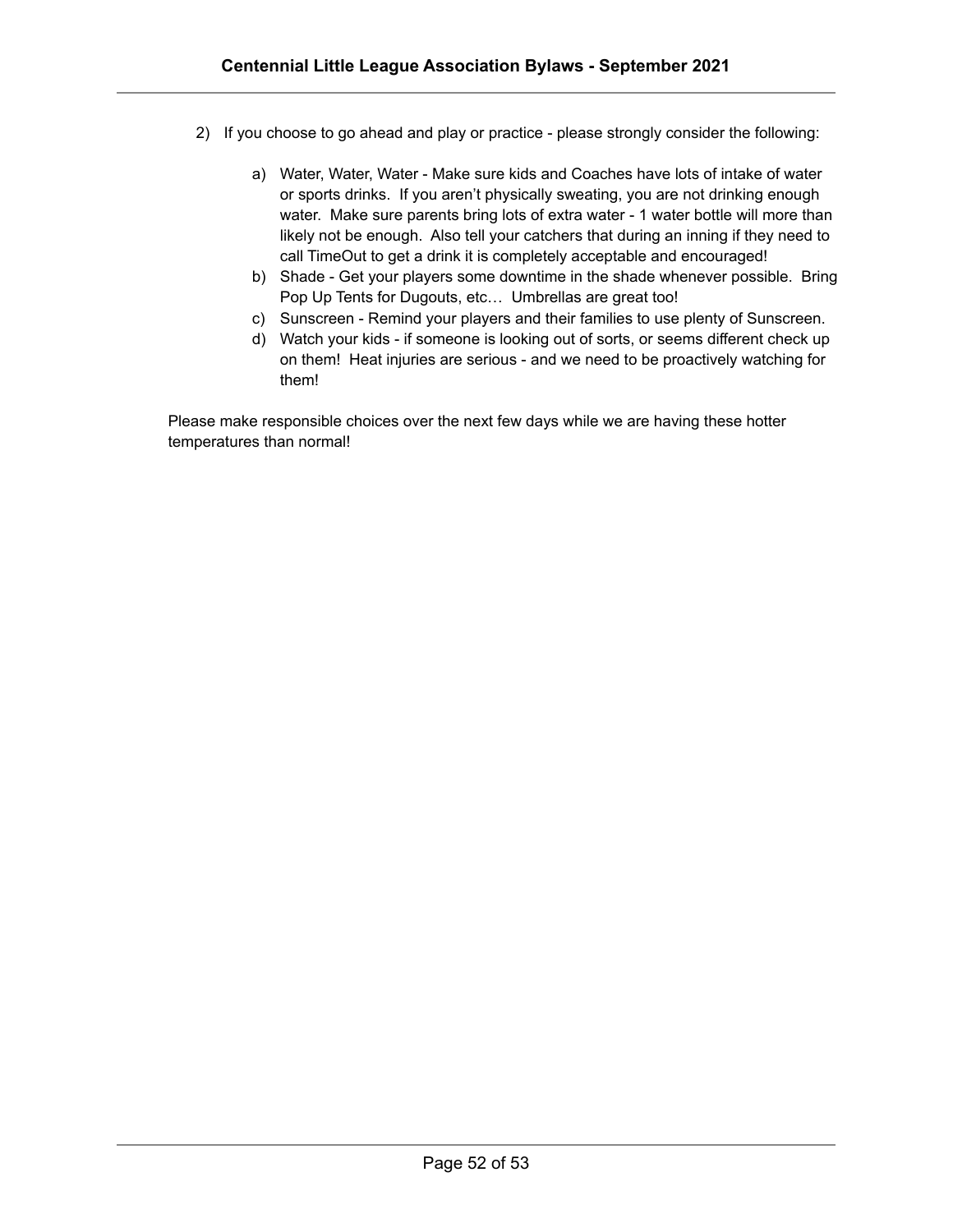- 2) If you choose to go ahead and play or practice please strongly consider the following:
	- a) Water, Water, Water Make sure kids and Coaches have lots of intake of water or sports drinks. If you aren't physically sweating, you are not drinking enough water. Make sure parents bring lots of extra water - 1 water bottle will more than likely not be enough. Also tell your catchers that during an inning if they need to call TimeOut to get a drink it is completely acceptable and encouraged!
	- b) Shade Get your players some downtime in the shade whenever possible. Bring Pop Up Tents for Dugouts, etc… Umbrellas are great too!
	- c) Sunscreen Remind your players and their families to use plenty of Sunscreen.
	- d) Watch your kids if someone is looking out of sorts, or seems different check up on them! Heat injuries are serious - and we need to be proactively watching for them!

Please make responsible choices over the next few days while we are having these hotter temperatures than normal!